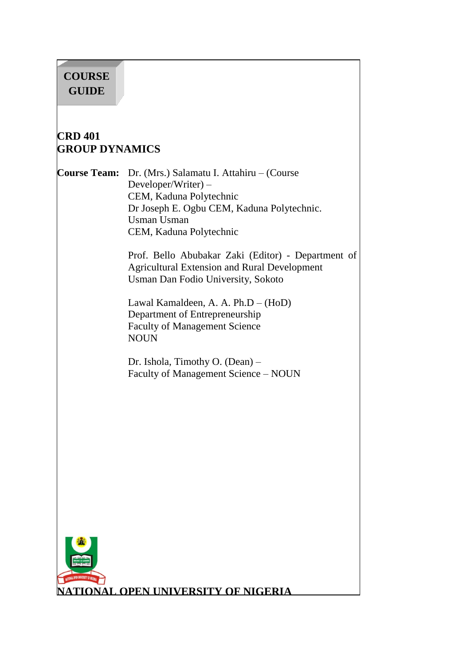# **COURSE GUIDE**

# **CRD 401 GROUP DYNAMICS**

**Course Team:** Dr. (Mrs.) Salamatu I. Attahiru – (Course Developer/Writer) – CEM, Kaduna Polytechnic Dr Joseph E. Ogbu CEM, Kaduna Polytechnic. Usman Usman CEM, Kaduna Polytechnic

> Prof. Bello Abubakar Zaki (Editor) - Department of Agricultural Extension and Rural Development Usman Dan Fodio University, Sokoto

Lawal Kamaldeen, A. A. Ph.D – (HoD) Department of Entrepreneurship Faculty of Management Science NOUN

Dr. Ishola, Timothy O. (Dean) – Faculty of Management Science – NOUN



**NATIONAL OPEN UNIVERSITY OF NIGERIA**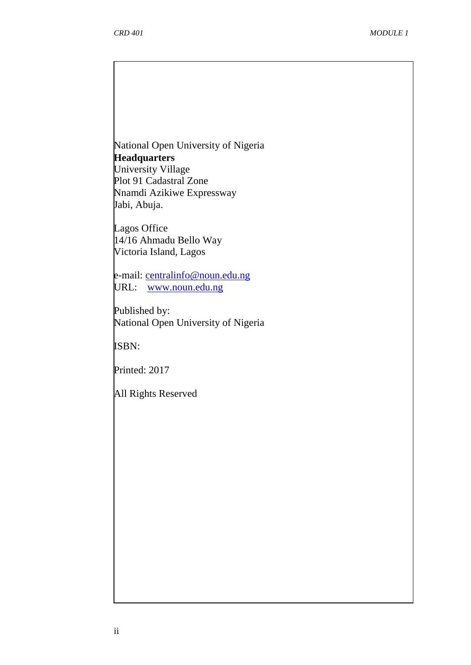National Open University of Nigeria **Headquarters** University Village Plot 91 Cadastral Zone Nnamdi Azikiwe Expressway Jabi, Abuja.

Lagos Office 14/16 Ahmadu Bello Way Victoria Island, Lagos

e-mail: [centralinfo@noun.edu.ng](mailto:centralinfo@noun.edu.ng) URL: [www.noun.edu.ng](http://www.noun.edu.ng/)

Published by: National Open University of Nigeria

ISBN:

Printed: 2017

All Rights Reserved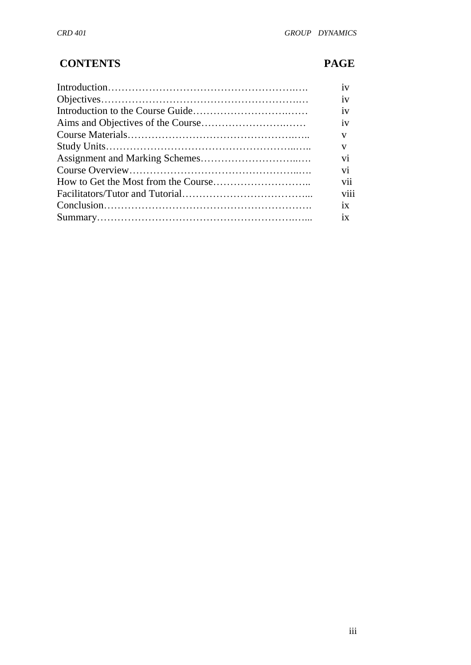# **CONTENTS PAGE**

| 1V              |
|-----------------|
| iv              |
| iv              |
| iv              |
| V               |
| $\mathbf{V}$    |
| vi              |
| vi              |
| vii             |
| viii            |
| $\overline{1}X$ |
| $ix -$          |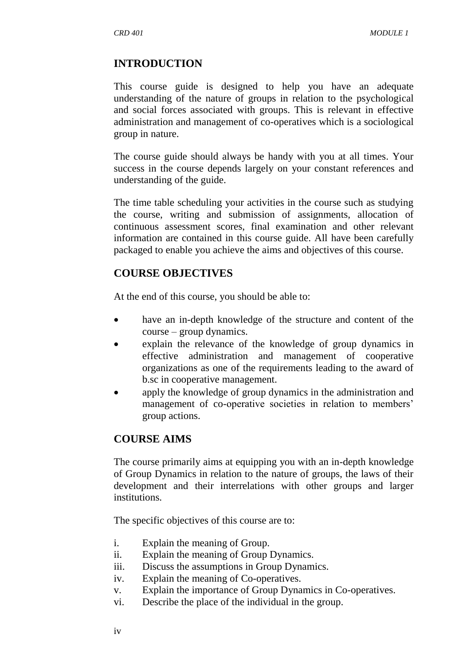# **INTRODUCTION**

This course guide is designed to help you have an adequate understanding of the nature of groups in relation to the psychological and social forces associated with groups. This is relevant in effective administration and management of co-operatives which is a sociological group in nature.

The course guide should always be handy with you at all times. Your success in the course depends largely on your constant references and understanding of the guide.

The time table scheduling your activities in the course such as studying the course, writing and submission of assignments, allocation of continuous assessment scores, final examination and other relevant information are contained in this course guide. All have been carefully packaged to enable you achieve the aims and objectives of this course.

# **COURSE OBJECTIVES**

At the end of this course, you should be able to:

- have an in-depth knowledge of the structure and content of the course – group dynamics.
- explain the relevance of the knowledge of group dynamics in effective administration and management of cooperative organizations as one of the requirements leading to the award of b.sc in cooperative management.
- apply the knowledge of group dynamics in the administration and management of co-operative societies in relation to members' group actions.

# **COURSE AIMS**

The course primarily aims at equipping you with an in-depth knowledge of Group Dynamics in relation to the nature of groups, the laws of their development and their interrelations with other groups and larger institutions.

The specific objectives of this course are to:

- i. Explain the meaning of Group.
- ii. Explain the meaning of Group Dynamics.
- iii. Discuss the assumptions in Group Dynamics.
- iv. Explain the meaning of Co-operatives.
- v. Explain the importance of Group Dynamics in Co-operatives.
- vi. Describe the place of the individual in the group.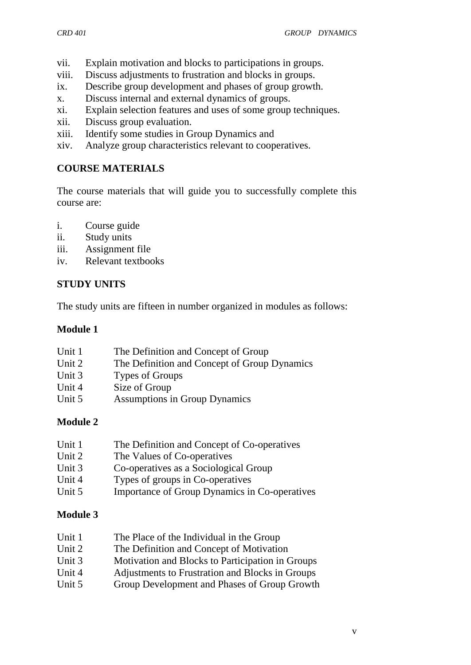- vii. Explain motivation and blocks to participations in groups.
- viii. Discuss adjustments to frustration and blocks in groups.
- ix. Describe group development and phases of group growth.
- x. Discuss internal and external dynamics of groups.
- xi. Explain selection features and uses of some group techniques.
- xii. Discuss group evaluation.
- xiii. Identify some studies in Group Dynamics and
- xiv. Analyze group characteristics relevant to cooperatives.

# **COURSE MATERIALS**

The course materials that will guide you to successfully complete this course are:

- i. Course guide
- ii. Study units
- iii. Assignment file
- iv. Relevant textbooks

## **STUDY UNITS**

The study units are fifteen in number organized in modules as follows:

#### **Module 1**

| Unit 1 | The Definition and Concept of Group          |
|--------|----------------------------------------------|
| Unit 2 | The Definition and Concept of Group Dynamics |
| Unit 3 | Types of Groups                              |
| Unit 4 | Size of Group                                |
| Unit 5 | <b>Assumptions in Group Dynamics</b>         |

## **Module 2**

- Unit 1 The Definition and Concept of Co-operatives
- Unit 2 The Values of Co-operatives
- Unit 3 Co-operatives as a Sociological Group
- Unit 4 Types of groups in Co-operatives
- Unit 5 Importance of Group Dynamics in Co-operatives

## **Module 3**

Unit 1 The Place of the Individual in the Group Unit 2 The Definition and Concept of Motivation Unit 3 Motivation and Blocks to Participation in Groups Unit 4 Adjustments to Frustration and Blocks in Groups Unit 5 Group Development and Phases of Group Growth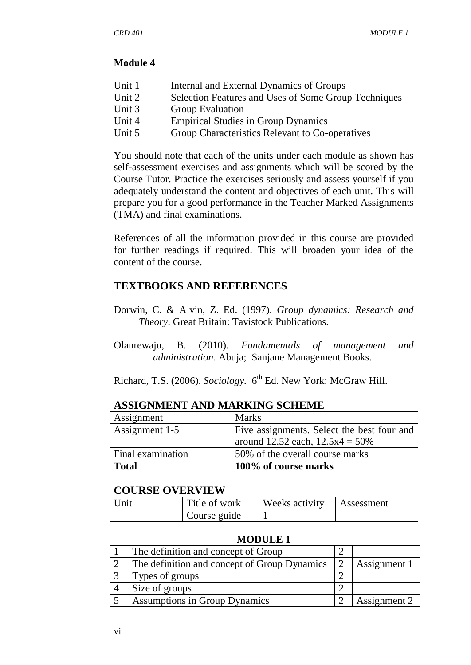#### **Module 4**

| Unit 1 | Internal and External Dynamics of Groups             |
|--------|------------------------------------------------------|
| Unit 2 | Selection Features and Uses of Some Group Techniques |
| Unit 3 | <b>Group Evaluation</b>                              |
| Unit 4 | <b>Empirical Studies in Group Dynamics</b>           |
| Unit 5 | Group Characteristics Relevant to Co-operatives      |

You should note that each of the units under each module as shown has self-assessment exercises and assignments which will be scored by the Course Tutor. Practice the exercises seriously and assess yourself if you adequately understand the content and objectives of each unit. This will prepare you for a good performance in the Teacher Marked Assignments (TMA) and final examinations.

References of all the information provided in this course are provided for further readings if required. This will broaden your idea of the content of the course.

# **TEXTBOOKS AND REFERENCES**

- Dorwin, C. & Alvin, Z. Ed. (1997). *Group dynamics: Research and Theory*. Great Britain: Tavistock Publications.
- Olanrewaju, B. (2010). *Fundamentals of management and administration*. Abuja; Sanjane Management Books.
- Richard, T.S. (2006). *Sociology*. 6<sup>th</sup> Ed. New York: McGraw Hill.

| Assignment        | <b>Marks</b>                               |
|-------------------|--------------------------------------------|
| Assignment 1-5    | Five assignments. Select the best four and |
|                   | around 12.52 each, $12.5x4 = 50\%$         |
| Final examination | 50% of the overall course marks            |
| <b>Total</b>      | 100% of course marks                       |

#### **ASSIGNMENT AND MARKING SCHEME**

#### **COURSE OVERVIEW**

| _ _ _ _ _ _ _ _ _ _ _ _ _ _ _ _ |               |                |            |  |  |
|---------------------------------|---------------|----------------|------------|--|--|
| Unit                            | Title of work | Weeks activity | Assessment |  |  |
|                                 | Course guide  |                |            |  |  |

#### **MODULE 1**

| The definition and concept of Group          |              |
|----------------------------------------------|--------------|
| The definition and concept of Group Dynamics | Assignment 1 |
| Types of groups                              |              |
| Size of groups                               |              |
| <b>Assumptions in Group Dynamics</b>         | Assignment 2 |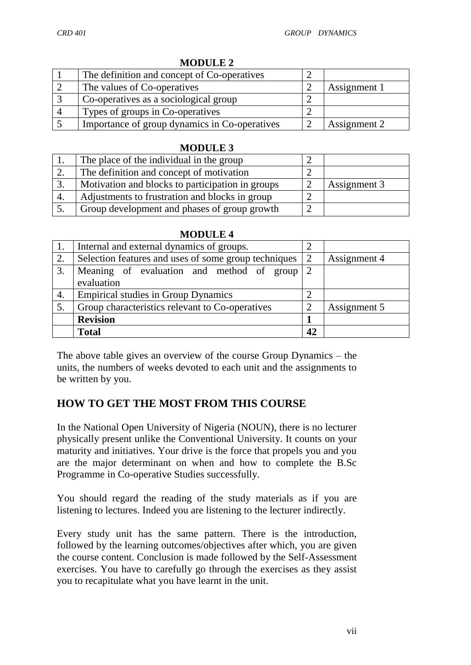| NNDULE 4                                      |              |
|-----------------------------------------------|--------------|
| The definition and concept of Co-operatives   |              |
| The values of Co-operatives                   | Assignment 1 |
| Co-operatives as a sociological group         |              |
| Types of groups in Co-operatives              |              |
| Importance of group dynamics in Co-operatives | Assignment 2 |

**MODULE** 2

#### **MODULE 3**

| The place of the individual in the group         |              |
|--------------------------------------------------|--------------|
| The definition and concept of motivation         |              |
| Motivation and blocks to participation in groups | Assignment 3 |
| Adjustments to frustration and blocks in group   |              |
| Group development and phases of group growth     |              |

#### **MODULE 4**

|    | Internal and external dynamics of groups.               |    |              |
|----|---------------------------------------------------------|----|--------------|
| 2. | Selection features and uses of some group techniques    | 2  | Assignment 4 |
| 3. | Meaning of evaluation and method of group<br>evaluation | 2  |              |
| 4. | <b>Empirical studies in Group Dynamics</b>              |    |              |
| 5. | Group characteristics relevant to Co-operatives         | ∍  | Assignment 5 |
|    | <b>Revision</b>                                         |    |              |
|    | <b>Total</b>                                            | 42 |              |

The above table gives an overview of the course Group Dynamics – the units, the numbers of weeks devoted to each unit and the assignments to be written by you.

## **HOW TO GET THE MOST FROM THIS COURSE**

In the National Open University of Nigeria (NOUN), there is no lecturer physically present unlike the Conventional University. It counts on your maturity and initiatives. Your drive is the force that propels you and you are the major determinant on when and how to complete the B.Sc Programme in Co-operative Studies successfully.

You should regard the reading of the study materials as if you are listening to lectures. Indeed you are listening to the lecturer indirectly.

Every study unit has the same pattern. There is the introduction, followed by the learning outcomes/objectives after which, you are given the course content. Conclusion is made followed by the Self-Assessment exercises. You have to carefully go through the exercises as they assist you to recapitulate what you have learnt in the unit.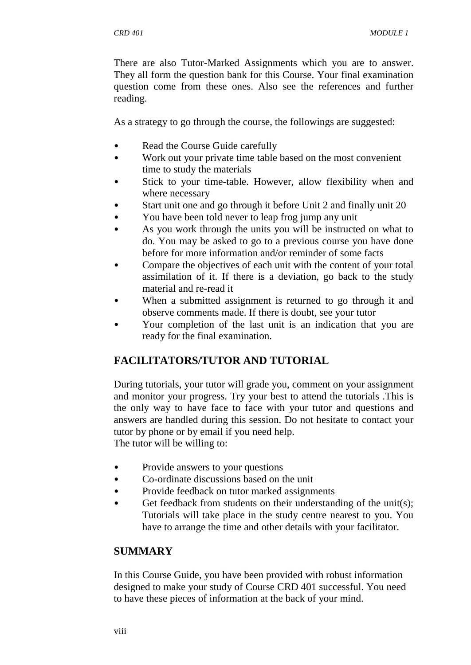There are also Tutor-Marked Assignments which you are to answer. They all form the question bank for this Course. Your final examination question come from these ones. Also see the references and further reading.

As a strategy to go through the course, the followings are suggested:

- Read the Course Guide carefully
- Work out your private time table based on the most convenient time to study the materials
- Stick to your time-table. However, allow flexibility when and where necessary
- Start unit one and go through it before Unit 2 and finally unit 20
- You have been told never to leap frog jump any unit
- As you work through the units you will be instructed on what to do. You may be asked to go to a previous course you have done before for more information and/or reminder of some facts
- Compare the objectives of each unit with the content of your total assimilation of it. If there is a deviation, go back to the study material and re-read it
- When a submitted assignment is returned to go through it and observe comments made. If there is doubt, see your tutor
- Your completion of the last unit is an indication that you are ready for the final examination.

# **FACILITATORS/TUTOR AND TUTORIAL**

During tutorials, your tutor will grade you, comment on your assignment and monitor your progress. Try your best to attend the tutorials .This is the only way to have face to face with your tutor and questions and answers are handled during this session. Do not hesitate to contact your tutor by phone or by email if you need help. The tutor will be willing to:

- Provide answers to your questions
- Co-ordinate discussions based on the unit
- Provide feedback on tutor marked assignments
- Get feedback from students on their understanding of the unit(s); Tutorials will take place in the study centre nearest to you. You have to arrange the time and other details with your facilitator.

# **SUMMARY**

In this Course Guide, you have been provided with robust information designed to make your study of Course CRD 401 successful. You need to have these pieces of information at the back of your mind.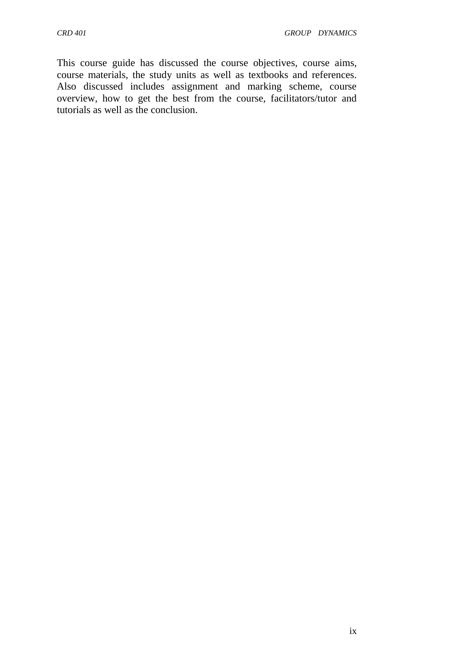This course guide has discussed the course objectives, course aims, course materials, the study units as well as textbooks and references. Also discussed includes assignment and marking scheme, course overview, how to get the best from the course, facilitators/tutor and tutorials as well as the conclusion.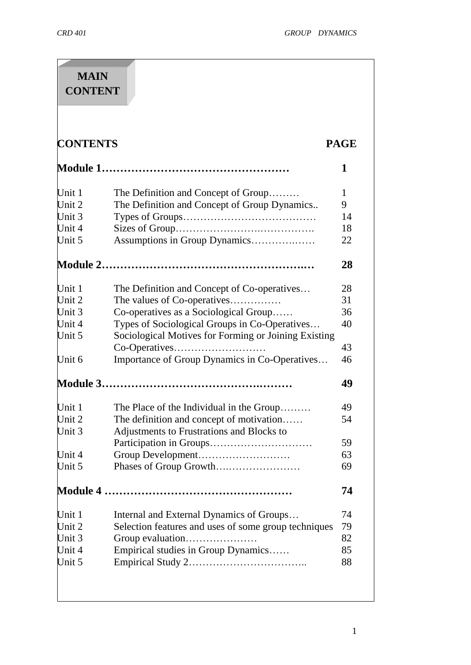| <b>MAIN</b><br><b>CONTENT</b> |                                                                |             |
|-------------------------------|----------------------------------------------------------------|-------------|
| <b>CONTENTS</b>               |                                                                | <b>PAGE</b> |
|                               |                                                                | 1           |
| Unit 1                        | The Definition and Concept of Group                            | 1           |
| Unit 2                        | The Definition and Concept of Group Dynamics                   | 9           |
| Unit 3                        |                                                                | 14          |
| Unit 4                        |                                                                | 18          |
| Unit 5                        | Assumptions in Group Dynamics                                  | 22          |
|                               |                                                                | 28          |
| Unit 1                        | The Definition and Concept of Co-operatives                    | 28          |
| Unit 2                        | The values of Co-operatives                                    | 31          |
| Unit 3                        | Co-operatives as a Sociological Group                          | 36          |
| Unit 4                        | Types of Sociological Groups in Co-Operatives                  | 40          |
| Unit 5                        | Sociological Motives for Forming or Joining Existing           |             |
| Unit 6                        | Co-Operatives<br>Importance of Group Dynamics in Co-Operatives | 43<br>46    |
|                               |                                                                |             |
|                               |                                                                | 49          |
| Unit 1                        | The Place of the Individual in the Group                       | 49          |
| Unit 2                        | The definition and concept of motivation                       | 54          |
| Unit 3                        | Adjustments to Frustrations and Blocks to                      |             |
|                               |                                                                | 59          |
| Unit 4                        |                                                                | 63          |
| Unit 5                        |                                                                | 69          |
|                               |                                                                | 74          |
| Unit 1                        | Internal and External Dynamics of Groups                       | 74          |
| Unit 2                        | Selection features and uses of some group techniques           | 79          |
| Unit 3                        | Group evaluation                                               | 82          |
|                               |                                                                | 85          |
| Unit 4                        | Empirical studies in Group Dynamics                            |             |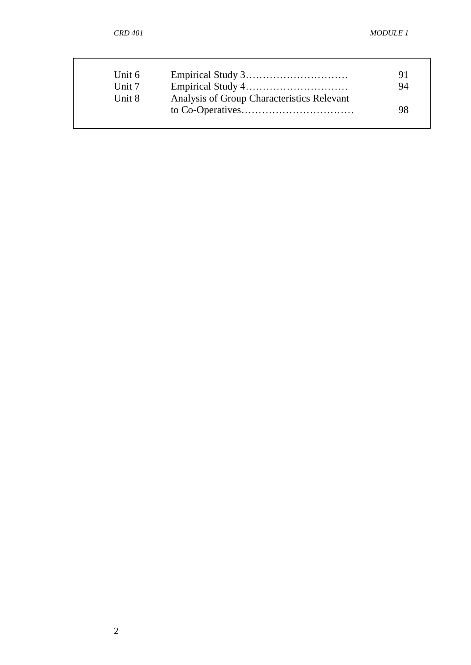| Unit 6 |                                            | 91 |
|--------|--------------------------------------------|----|
| Unit 7 |                                            | 94 |
| Unit 8 | Analysis of Group Characteristics Relevant |    |
|        |                                            | 98 |
|        |                                            |    |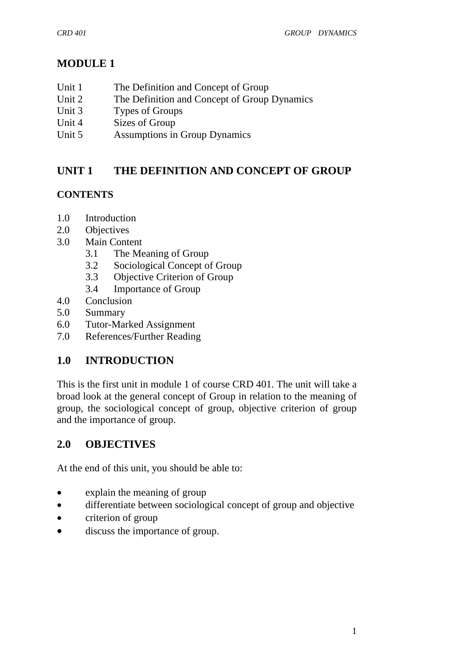# **MODULE 1**

- Unit 1 The Definition and Concept of Group
- Unit 2 The Definition and Concept of Group Dynamics
- Unit 3 Types of Groups
- Unit 4 Sizes of Group
- Unit 5 Assumptions in Group Dynamics

# **UNIT 1 THE DEFINITION AND CONCEPT OF GROUP**

# **CONTENTS**

- 1.0 Introduction
- 2.0 Objectives
- 3.0 Main Content
	- 3.1 The Meaning of Group
	- 3.2 Sociological Concept of Group
	- 3.3 Objective Criterion of Group
	- 3.4 Importance of Group
- 4.0 Conclusion
- 5.0 Summary
- 6.0 Tutor-Marked Assignment
- 7.0 References/Further Reading

# **1.0 INTRODUCTION**

This is the first unit in module 1 of course CRD 401. The unit will take a broad look at the general concept of Group in relation to the meaning of group, the sociological concept of group, objective criterion of group and the importance of group.

# **2.0 OBJECTIVES**

At the end of this unit, you should be able to:

- explain the meaning of group
- differentiate between sociological concept of group and objective
- criterion of group
- discuss the importance of group.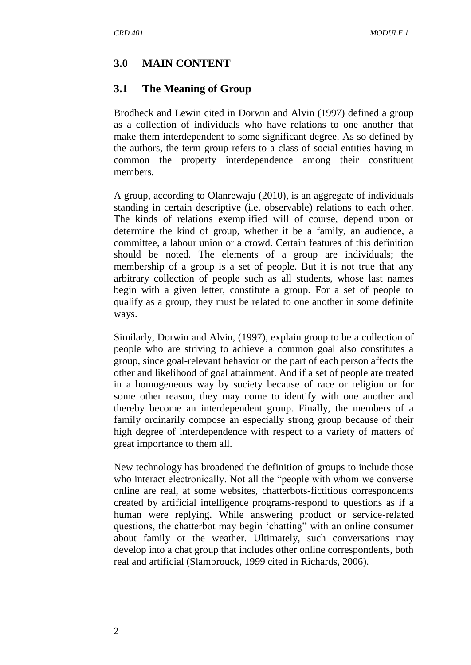# **3.0 MAIN CONTENT**

#### **3.1 The Meaning of Group**

Brodheck and Lewin cited in Dorwin and Alvin (1997) defined a group as a collection of individuals who have relations to one another that make them interdependent to some significant degree. As so defined by the authors, the term group refers to a class of social entities having in common the property interdependence among their constituent members.

A group, according to Olanrewaju (2010), is an aggregate of individuals standing in certain descriptive (i.e. observable) relations to each other. The kinds of relations exemplified will of course, depend upon or determine the kind of group, whether it be a family, an audience, a committee, a labour union or a crowd. Certain features of this definition should be noted. The elements of a group are individuals; the membership of a group is a set of people. But it is not true that any arbitrary collection of people such as all students, whose last names begin with a given letter, constitute a group. For a set of people to qualify as a group, they must be related to one another in some definite ways.

Similarly, Dorwin and Alvin, (1997), explain group to be a collection of people who are striving to achieve a common goal also constitutes a group, since goal-relevant behavior on the part of each person affects the other and likelihood of goal attainment. And if a set of people are treated in a homogeneous way by society because of race or religion or for some other reason, they may come to identify with one another and thereby become an interdependent group. Finally, the members of a family ordinarily compose an especially strong group because of their high degree of interdependence with respect to a variety of matters of great importance to them all.

New technology has broadened the definition of groups to include those who interact electronically. Not all the "people with whom we converse online are real, at some websites, chatterbots-fictitious correspondents created by artificial intelligence programs-respond to questions as if a human were replying. While answering product or service-related questions, the chatterbot may begin "chatting" with an online consumer about family or the weather. Ultimately, such conversations may develop into a chat group that includes other online correspondents, both real and artificial (Slambrouck, 1999 cited in Richards, 2006).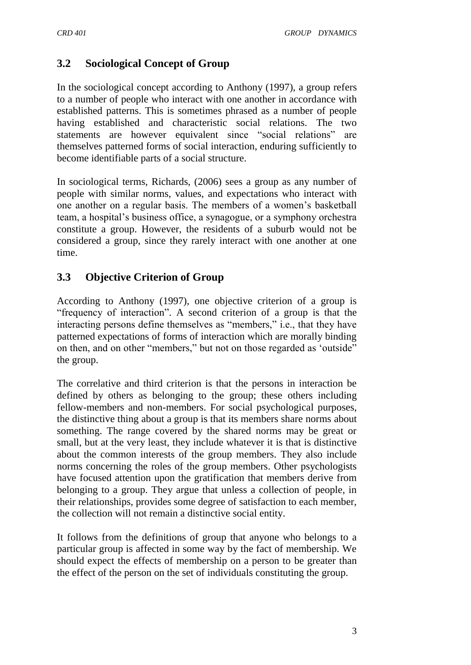# **3.2 Sociological Concept of Group**

In the sociological concept according to Anthony (1997), a group refers to a number of people who interact with one another in accordance with established patterns. This is sometimes phrased as a number of people having established and characteristic social relations. The two statements are however equivalent since "social relations" are themselves patterned forms of social interaction, enduring sufficiently to become identifiable parts of a social structure.

In sociological terms, Richards, (2006) sees a group as any number of people with similar norms, values, and expectations who interact with one another on a regular basis. The members of a women"s basketball team, a hospital"s business office, a synagogue, or a symphony orchestra constitute a group. However, the residents of a suburb would not be considered a group, since they rarely interact with one another at one time.

# **3.3 Objective Criterion of Group**

According to Anthony (1997), one objective criterion of a group is "frequency of interaction". A second criterion of a group is that the interacting persons define themselves as "members," i.e., that they have patterned expectations of forms of interaction which are morally binding on then, and on other "members," but not on those regarded as "outside" the group.

The correlative and third criterion is that the persons in interaction be defined by others as belonging to the group; these others including fellow-members and non-members. For social psychological purposes, the distinctive thing about a group is that its members share norms about something. The range covered by the shared norms may be great or small, but at the very least, they include whatever it is that is distinctive about the common interests of the group members. They also include norms concerning the roles of the group members. Other psychologists have focused attention upon the gratification that members derive from belonging to a group. They argue that unless a collection of people, in their relationships, provides some degree of satisfaction to each member, the collection will not remain a distinctive social entity.

It follows from the definitions of group that anyone who belongs to a particular group is affected in some way by the fact of membership. We should expect the effects of membership on a person to be greater than the effect of the person on the set of individuals constituting the group.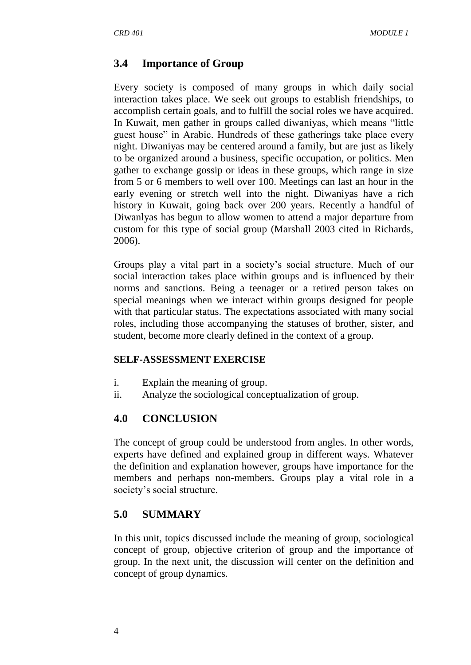## **3.4 Importance of Group**

Every society is composed of many groups in which daily social interaction takes place. We seek out groups to establish friendships, to accomplish certain goals, and to fulfill the social roles we have acquired. In Kuwait, men gather in groups called diwaniyas, which means "little guest house" in Arabic. Hundreds of these gatherings take place every night. Diwaniyas may be centered around a family, but are just as likely to be organized around a business, specific occupation, or politics. Men gather to exchange gossip or ideas in these groups, which range in size from 5 or 6 members to well over 100. Meetings can last an hour in the early evening or stretch well into the night. Diwaniyas have a rich history in Kuwait, going back over 200 years. Recently a handful of Diwanlyas has begun to allow women to attend a major departure from custom for this type of social group (Marshall 2003 cited in Richards, 2006).

Groups play a vital part in a society"s social structure. Much of our social interaction takes place within groups and is influenced by their norms and sanctions. Being a teenager or a retired person takes on special meanings when we interact within groups designed for people with that particular status. The expectations associated with many social roles, including those accompanying the statuses of brother, sister, and student, become more clearly defined in the context of a group.

#### **SELF-ASSESSMENT EXERCISE**

- i. Explain the meaning of group.
- ii. Analyze the sociological conceptualization of group.

#### **4.0 CONCLUSION**

The concept of group could be understood from angles. In other words, experts have defined and explained group in different ways. Whatever the definition and explanation however, groups have importance for the members and perhaps non-members. Groups play a vital role in a society's social structure.

## **5.0 SUMMARY**

In this unit, topics discussed include the meaning of group, sociological concept of group, objective criterion of group and the importance of group. In the next unit, the discussion will center on the definition and concept of group dynamics.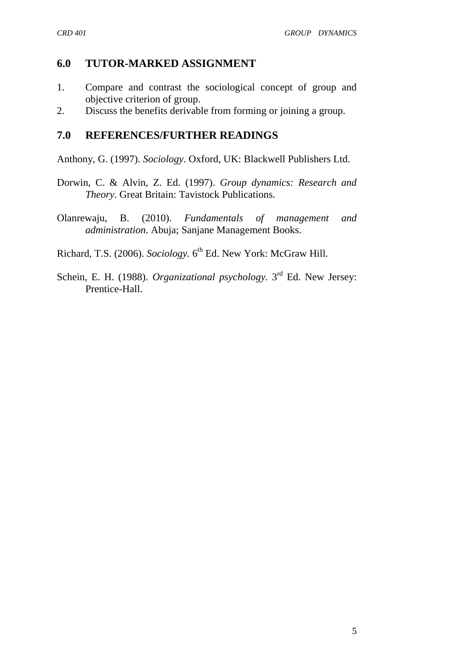### **6.0 TUTOR-MARKED ASSIGNMENT**

- 1. Compare and contrast the sociological concept of group and objective criterion of group.
- 2. Discuss the benefits derivable from forming or joining a group.

# **7.0 REFERENCES/FURTHER READINGS**

Anthony, G. (1997). *Sociology*. Oxford, UK: Blackwell Publishers Ltd.

- Dorwin, C. & Alvin, Z. Ed. (1997). *Group dynamics: Research and Theory*. Great Britain: Tavistock Publications.
- Olanrewaju, B. (2010). *Fundamentals of management and administration*. Abuja; Sanjane Management Books.

Richard, T.S. (2006). *Sociology*. 6<sup>th</sup> Ed. New York: McGraw Hill.

Schein, E. H. (1988). *Organizational psychology*. 3<sup>rd</sup> Ed. New Jersey: Prentice-Hall.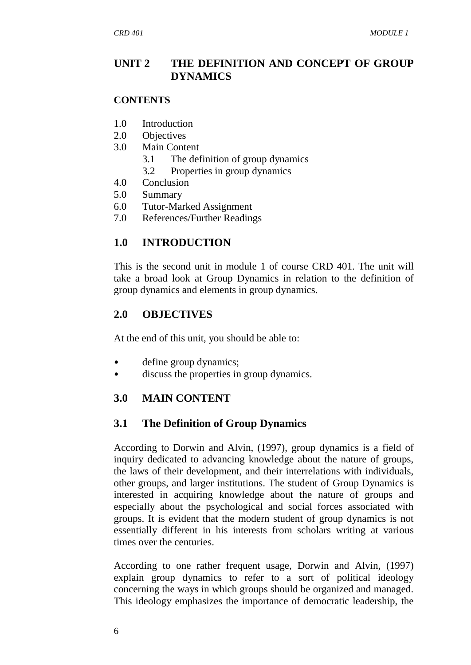# **UNIT 2 THE DEFINITION AND CONCEPT OF GROUP DYNAMICS**

#### **CONTENTS**

- 1.0 Introduction
- 2.0 Objectives
- 3.0 Main Content
	- 3.1 The definition of group dynamics
	- 3.2 Properties in group dynamics
- 4.0 Conclusion
- 5.0 Summary
- 6.0 Tutor-Marked Assignment
- 7.0 References/Further Readings

## **1.0 INTRODUCTION**

This is the second unit in module 1 of course CRD 401. The unit will take a broad look at Group Dynamics in relation to the definition of group dynamics and elements in group dynamics.

#### **2.0 OBJECTIVES**

At the end of this unit, you should be able to:

- define group dynamics;
- discuss the properties in group dynamics.

## **3.0 MAIN CONTENT**

#### **3.1 The Definition of Group Dynamics**

According to Dorwin and Alvin, (1997), group dynamics is a field of inquiry dedicated to advancing knowledge about the nature of groups, the laws of their development, and their interrelations with individuals, other groups, and larger institutions. The student of Group Dynamics is interested in acquiring knowledge about the nature of groups and especially about the psychological and social forces associated with groups. It is evident that the modern student of group dynamics is not essentially different in his interests from scholars writing at various times over the centuries.

According to one rather frequent usage, Dorwin and Alvin, (1997) explain group dynamics to refer to a sort of political ideology concerning the ways in which groups should be organized and managed. This ideology emphasizes the importance of democratic leadership, the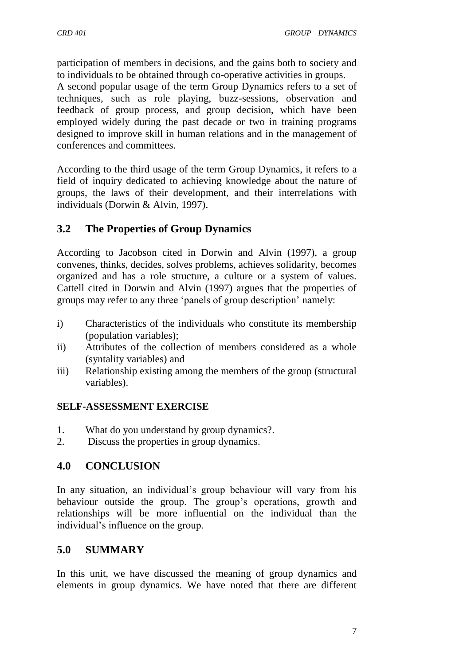participation of members in decisions, and the gains both to society and to individuals to be obtained through co-operative activities in groups.

A second popular usage of the term Group Dynamics refers to a set of techniques, such as role playing, buzz-sessions, observation and feedback of group process, and group decision, which have been employed widely during the past decade or two in training programs designed to improve skill in human relations and in the management of conferences and committees.

According to the third usage of the term Group Dynamics, it refers to a field of inquiry dedicated to achieving knowledge about the nature of groups, the laws of their development, and their interrelations with individuals (Dorwin & Alvin, 1997).

# **3.2 The Properties of Group Dynamics**

According to Jacobson cited in Dorwin and Alvin (1997), a group convenes, thinks, decides, solves problems, achieves solidarity, becomes organized and has a role structure, a culture or a system of values. Cattell cited in Dorwin and Alvin (1997) argues that the properties of groups may refer to any three "panels of group description" namely:

- i) Characteristics of the individuals who constitute its membership (population variables);
- ii) Attributes of the collection of members considered as a whole (syntality variables) and
- iii) Relationship existing among the members of the group (structural variables).

## **SELF-ASSESSMENT EXERCISE**

- 1. What do you understand by group dynamics?.
- 2. Discuss the properties in group dynamics.

# **4.0 CONCLUSION**

In any situation, an individual's group behaviour will vary from his behaviour outside the group. The group's operations, growth and relationships will be more influential on the individual than the individual"s influence on the group.

## **5.0 SUMMARY**

In this unit, we have discussed the meaning of group dynamics and elements in group dynamics. We have noted that there are different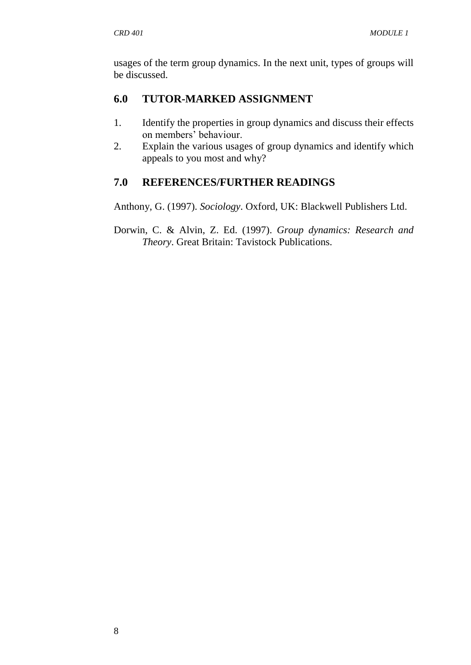usages of the term group dynamics. In the next unit, types of groups will be discussed.

# **6.0 TUTOR-MARKED ASSIGNMENT**

- 1. Identify the properties in group dynamics and discuss their effects on members" behaviour.
- 2. Explain the various usages of group dynamics and identify which appeals to you most and why?

# **7.0 REFERENCES/FURTHER READINGS**

Anthony, G. (1997). *Sociology*. Oxford, UK: Blackwell Publishers Ltd.

Dorwin, C. & Alvin, Z. Ed. (1997). *Group dynamics: Research and Theory*. Great Britain: Tavistock Publications.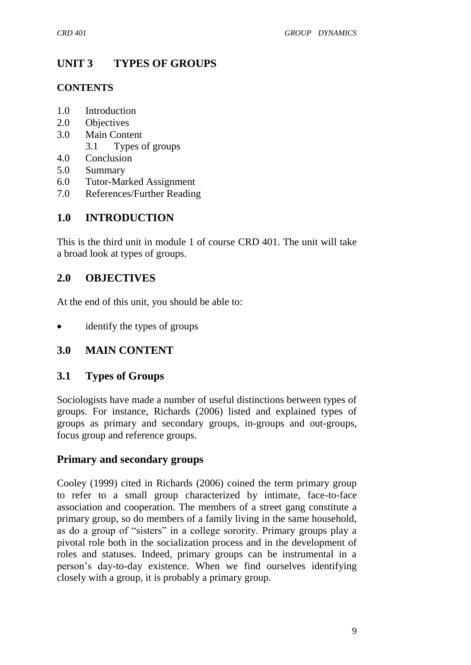# **UNIT 3 TYPES OF GROUPS**

#### **CONTENTS**

- 1.0 Introduction
- 2.0 Objectives
- 3.0 Main Content
	- 3.1 Types of groups
- 4.0 Conclusion
- 5.0 Summary
- 6.0 Tutor-Marked Assignment
- 7.0 References/Further Reading

# **1.0 INTRODUCTION**

This is the third unit in module 1 of course CRD 401. The unit will take a broad look at types of groups.

## **2.0 OBJECTIVES**

At the end of this unit, you should be able to:

• identify the types of groups

# **3.0 MAIN CONTENT**

## **3.1 Types of Groups**

Sociologists have made a number of useful distinctions between types of groups. For instance, Richards (2006) listed and explained types of groups as primary and secondary groups, in-groups and out-groups, focus group and reference groups.

## **Primary and secondary groups**

Cooley (1999) cited in Richards (2006) coined the term primary group to refer to a small group characterized by intimate, face-to-face association and cooperation. The members of a street gang constitute a primary group, so do members of a family living in the same household, as do a group of "sisters" in a college sorority. Primary groups play a pivotal role both in the socialization process and in the development of roles and statuses. Indeed, primary groups can be instrumental in a person"s day-to-day existence. When we find ourselves identifying closely with a group, it is probably a primary group.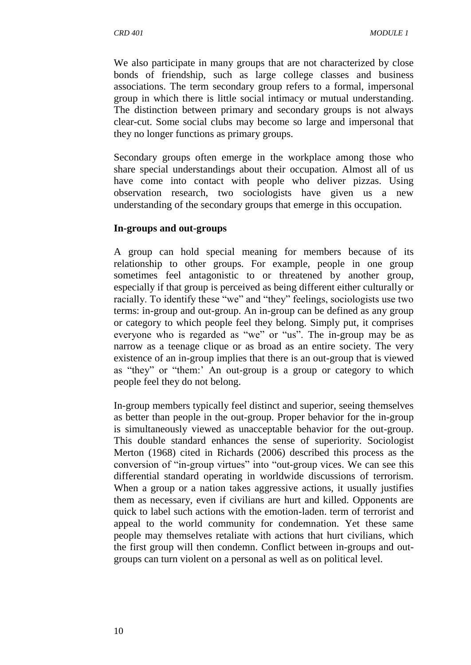We also participate in many groups that are not characterized by close bonds of friendship, such as large college classes and business associations. The term secondary group refers to a formal, impersonal group in which there is little social intimacy or mutual understanding. The distinction between primary and secondary groups is not always clear-cut. Some social clubs may become so large and impersonal that they no longer functions as primary groups.

Secondary groups often emerge in the workplace among those who share special understandings about their occupation. Almost all of us have come into contact with people who deliver pizzas. Using observation research, two sociologists have given us a new understanding of the secondary groups that emerge in this occupation.

#### **In-groups and out-groups**

A group can hold special meaning for members because of its relationship to other groups. For example, people in one group sometimes feel antagonistic to or threatened by another group, especially if that group is perceived as being different either culturally or racially. To identify these "we" and "they" feelings, sociologists use two terms: in-group and out-group. An in-group can be defined as any group or category to which people feel they belong. Simply put, it comprises everyone who is regarded as "we" or "us". The in-group may be as narrow as a teenage clique or as broad as an entire society. The very existence of an in-group implies that there is an out-group that is viewed as "they" or "them:" An out-group is a group or category to which people feel they do not belong.

In-group members typically feel distinct and superior, seeing themselves as better than people in the out-group. Proper behavior for the in-group is simultaneously viewed as unacceptable behavior for the out-group. This double standard enhances the sense of superiority. Sociologist Merton (1968) cited in Richards (2006) described this process as the conversion of "in-group virtues" into "out-group vices. We can see this differential standard operating in worldwide discussions of terrorism. When a group or a nation takes aggressive actions, it usually justifies them as necessary, even if civilians are hurt and killed. Opponents are quick to label such actions with the emotion-laden. term of terrorist and appeal to the world community for condemnation. Yet these same people may themselves retaliate with actions that hurt civilians, which the first group will then condemn. Conflict between in-groups and outgroups can turn violent on a personal as well as on political level.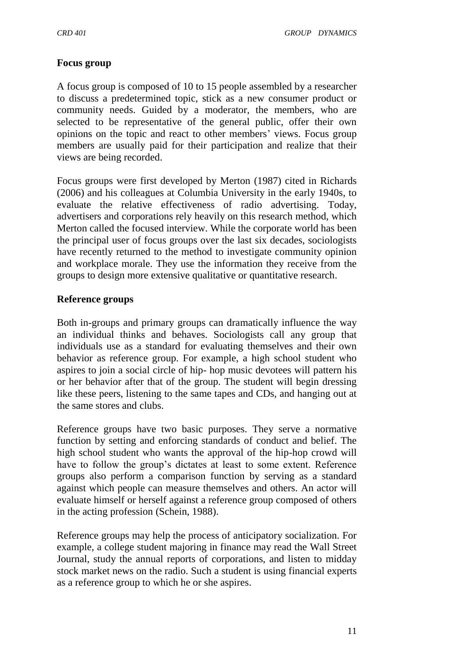#### **Focus group**

A focus group is composed of 10 to 15 people assembled by a researcher to discuss a predetermined topic, stick as a new consumer product or community needs. Guided by a moderator, the members, who are selected to be representative of the general public, offer their own opinions on the topic and react to other members" views. Focus group members are usually paid for their participation and realize that their views are being recorded.

Focus groups were first developed by Merton (1987) cited in Richards (2006) and his colleagues at Columbia University in the early 1940s, to evaluate the relative effectiveness of radio advertising. Today, advertisers and corporations rely heavily on this research method, which Merton called the focused interview. While the corporate world has been the principal user of focus groups over the last six decades, sociologists have recently returned to the method to investigate community opinion and workplace morale. They use the information they receive from the groups to design more extensive qualitative or quantitative research.

#### **Reference groups**

Both in-groups and primary groups can dramatically influence the way an individual thinks and behaves. Sociologists call any group that individuals use as a standard for evaluating themselves and their own behavior as reference group. For example, a high school student who aspires to join a social circle of hip- hop music devotees will pattern his or her behavior after that of the group. The student will begin dressing like these peers, listening to the same tapes and CDs, and hanging out at the same stores and clubs.

Reference groups have two basic purposes. They serve a normative function by setting and enforcing standards of conduct and belief. The high school student who wants the approval of the hip-hop crowd will have to follow the group's dictates at least to some extent. Reference groups also perform a comparison function by serving as a standard against which people can measure themselves and others. An actor will evaluate himself or herself against a reference group composed of others in the acting profession (Schein, 1988).

Reference groups may help the process of anticipatory socialization. For example, a college student majoring in finance may read the Wall Street Journal, study the annual reports of corporations, and listen to midday stock market news on the radio. Such a student is using financial experts as a reference group to which he or she aspires.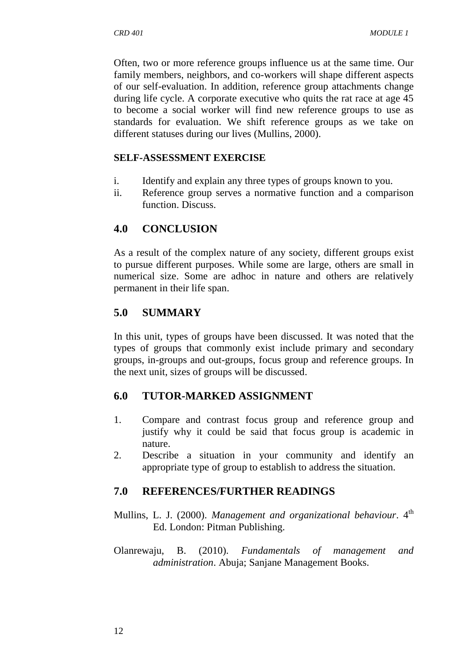Often, two or more reference groups influence us at the same time. Our family members, neighbors, and co-workers will shape different aspects of our self-evaluation. In addition, reference group attachments change during life cycle. A corporate executive who quits the rat race at age 45 to become a social worker will find new reference groups to use as standards for evaluation. We shift reference groups as we take on different statuses during our lives (Mullins, 2000).

#### **SELF-ASSESSMENT EXERCISE**

- i. Identify and explain any three types of groups known to you.
- ii. Reference group serves a normative function and a comparison function. Discuss.

#### **4.0 CONCLUSION**

As a result of the complex nature of any society, different groups exist to pursue different purposes. While some are large, others are small in numerical size. Some are adhoc in nature and others are relatively permanent in their life span.

#### **5.0 SUMMARY**

In this unit, types of groups have been discussed. It was noted that the types of groups that commonly exist include primary and secondary groups, in-groups and out-groups, focus group and reference groups. In the next unit, sizes of groups will be discussed.

#### **6.0 TUTOR-MARKED ASSIGNMENT**

- 1. Compare and contrast focus group and reference group and justify why it could be said that focus group is academic in nature.
- 2. Describe a situation in your community and identify an appropriate type of group to establish to address the situation.

## **7.0 REFERENCES/FURTHER READINGS**

- Mullins, L. J. (2000). *Management and organizational behaviour*. 4<sup>th</sup> Ed. London: Pitman Publishing.
- Olanrewaju, B. (2010). *Fundamentals of management and administration*. Abuja; Sanjane Management Books.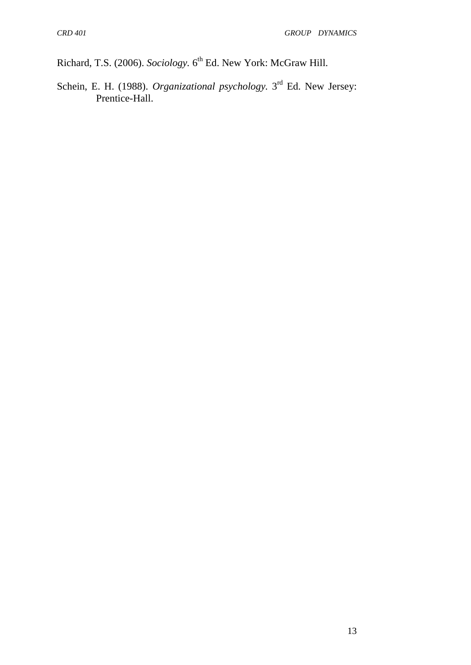Richard, T.S. (2006). *Sociology*. 6<sup>th</sup> Ed. New York: McGraw Hill.

Schein, E. H. (1988). *Organizational psychology*. 3<sup>rd</sup> Ed. New Jersey: Prentice-Hall.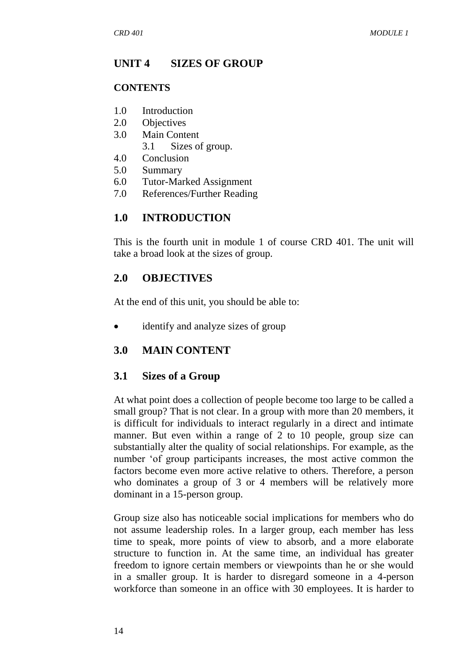# **UNIT 4 SIZES OF GROUP**

#### **CONTENTS**

- 1.0 Introduction
- 2.0 Objectives
- 3.0 Main Content
	- 3.1 Sizes of group.
- 4.0 Conclusion
- 5.0 Summary
- 6.0 Tutor-Marked Assignment
- 7.0 References/Further Reading

## **1.0 INTRODUCTION**

This is the fourth unit in module 1 of course CRD 401. The unit will take a broad look at the sizes of group.

## **2.0 OBJECTIVES**

At the end of this unit, you should be able to:

• identify and analyze sizes of group

## **3.0 MAIN CONTENT**

## **3.1 Sizes of a Group**

At what point does a collection of people become too large to be called a small group? That is not clear. In a group with more than 20 members, it is difficult for individuals to interact regularly in a direct and intimate manner. But even within a range of 2 to 10 people, group size can substantially alter the quality of social relationships. For example, as the number "of group participants increases, the most active common the factors become even more active relative to others. Therefore, a person who dominates a group of 3 or 4 members will be relatively more dominant in a 15-person group.

Group size also has noticeable social implications for members who do not assume leadership roles. In a larger group, each member has less time to speak, more points of view to absorb, and a more elaborate structure to function in. At the same time, an individual has greater freedom to ignore certain members or viewpoints than he or she would in a smaller group. It is harder to disregard someone in a 4-person workforce than someone in an office with 30 employees. It is harder to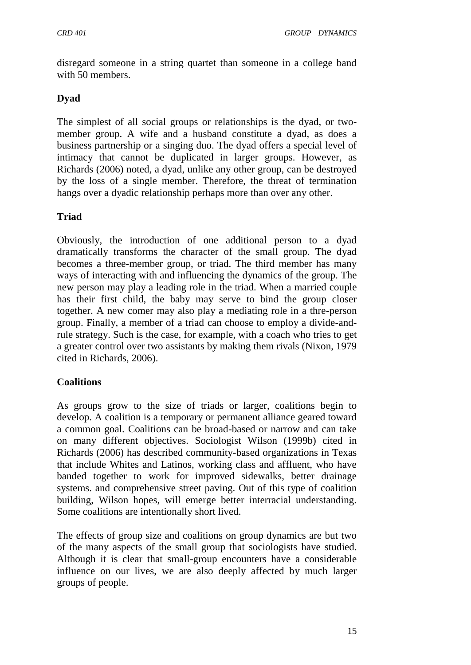disregard someone in a string quartet than someone in a college band with 50 members.

## **Dyad**

The simplest of all social groups or relationships is the dyad, or twomember group. A wife and a husband constitute a dyad, as does a business partnership or a singing duo. The dyad offers a special level of intimacy that cannot be duplicated in larger groups. However, as Richards (2006) noted, a dyad, unlike any other group, can be destroyed by the loss of a single member. Therefore, the threat of termination hangs over a dyadic relationship perhaps more than over any other.

#### **Triad**

Obviously, the introduction of one additional person to a dyad dramatically transforms the character of the small group. The dyad becomes a three-member group, or triad. The third member has many ways of interacting with and influencing the dynamics of the group. The new person may play a leading role in the triad. When a married couple has their first child, the baby may serve to bind the group closer together. A new comer may also play a mediating role in a thre-person group. Finally, a member of a triad can choose to employ a divide-andrule strategy. Such is the case, for example, with a coach who tries to get a greater control over two assistants by making them rivals (Nixon, 1979 cited in Richards, 2006).

#### **Coalitions**

As groups grow to the size of triads or larger, coalitions begin to develop. A coalition is a temporary or permanent alliance geared toward a common goal. Coalitions can be broad-based or narrow and can take on many different objectives. Sociologist Wilson (1999b) cited in Richards (2006) has described community-based organizations in Texas that include Whites and Latinos, working class and affluent, who have banded together to work for improved sidewalks, better drainage systems. and comprehensive street paving. Out of this type of coalition building, Wilson hopes, will emerge better interracial understanding. Some coalitions are intentionally short lived.

The effects of group size and coalitions on group dynamics are but two of the many aspects of the small group that sociologists have studied. Although it is clear that small-group encounters have a considerable influence on our lives, we are also deeply affected by much larger groups of people.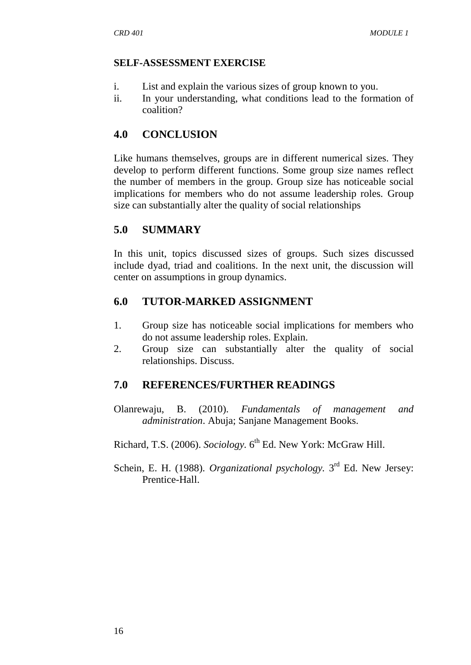#### **SELF-ASSESSMENT EXERCISE**

- i. List and explain the various sizes of group known to you.
- ii. In your understanding, what conditions lead to the formation of coalition?

## **4.0 CONCLUSION**

Like humans themselves, groups are in different numerical sizes. They develop to perform different functions. Some group size names reflect the number of members in the group. Group size has noticeable social implications for members who do not assume leadership roles. Group size can substantially alter the quality of social relationships

# **5.0 SUMMARY**

In this unit, topics discussed sizes of groups. Such sizes discussed include dyad, triad and coalitions. In the next unit, the discussion will center on assumptions in group dynamics.

## **6.0 TUTOR-MARKED ASSIGNMENT**

- 1. Group size has noticeable social implications for members who do not assume leadership roles. Explain.
- 2. Group size can substantially alter the quality of social relationships. Discuss.

## **7.0 REFERENCES/FURTHER READINGS**

- Olanrewaju, B. (2010). *Fundamentals of management and administration*. Abuja; Sanjane Management Books.
- Richard, T.S. (2006). *Sociology*. 6<sup>th</sup> Ed. New York: McGraw Hill.
- Schein, E. H. (1988). *Organizational psychology*. 3<sup>rd</sup> Ed. New Jersey: Prentice-Hall.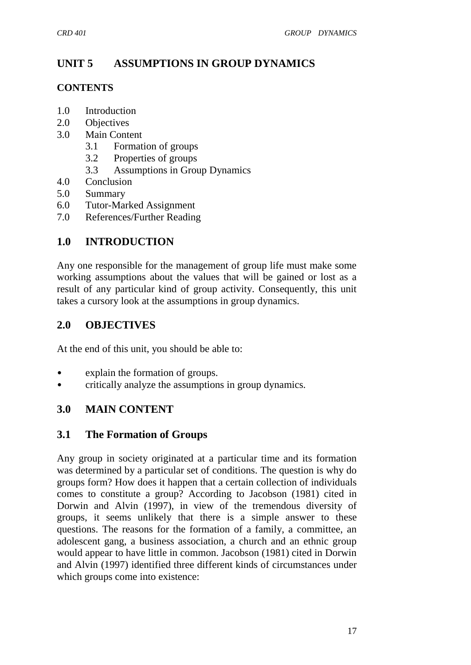# **UNIT 5 ASSUMPTIONS IN GROUP DYNAMICS**

#### **CONTENTS**

- 1.0 Introduction
- 2.0 Objectives
- 3.0 Main Content
	- 3.1 Formation of groups
	- 3.2 Properties of groups
	- 3.3 Assumptions in Group Dynamics
- 4.0 Conclusion
- 5.0 Summary
- 6.0 Tutor-Marked Assignment
- 7.0 References/Further Reading

# **1.0 INTRODUCTION**

Any one responsible for the management of group life must make some working assumptions about the values that will be gained or lost as a result of any particular kind of group activity. Consequently, this unit takes a cursory look at the assumptions in group dynamics.

# **2.0 OBJECTIVES**

At the end of this unit, you should be able to:

- explain the formation of groups.
- critically analyze the assumptions in group dynamics.

## **3.0 MAIN CONTENT**

## **3.1 The Formation of Groups**

Any group in society originated at a particular time and its formation was determined by a particular set of conditions. The question is why do groups form? How does it happen that a certain collection of individuals comes to constitute a group? According to Jacobson (1981) cited in Dorwin and Alvin (1997), in view of the tremendous diversity of groups, it seems unlikely that there is a simple answer to these questions. The reasons for the formation of a family, a committee, an adolescent gang, a business association, a church and an ethnic group would appear to have little in common. Jacobson (1981) cited in Dorwin and Alvin (1997) identified three different kinds of circumstances under which groups come into existence: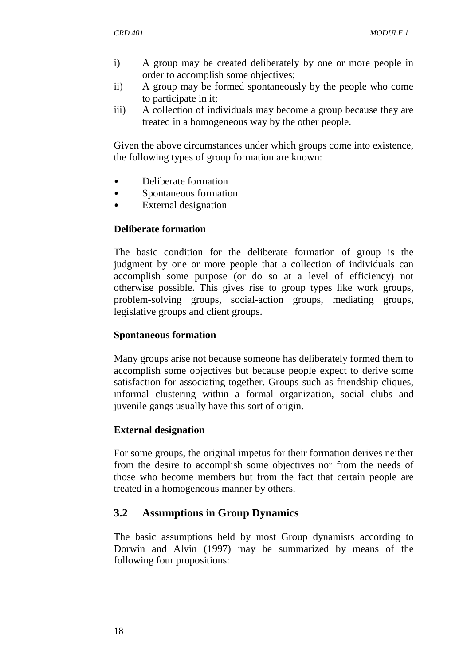- i) A group may be created deliberately by one or more people in order to accomplish some objectives;
- ii) A group may be formed spontaneously by the people who come to participate in it;
- iii) A collection of individuals may become a group because they are treated in a homogeneous way by the other people.

Given the above circumstances under which groups come into existence, the following types of group formation are known:

- Deliberate formation
- Spontaneous formation
- External designation

#### **Deliberate formation**

The basic condition for the deliberate formation of group is the judgment by one or more people that a collection of individuals can accomplish some purpose (or do so at a level of efficiency) not otherwise possible. This gives rise to group types like work groups, problem-solving groups, social-action groups, mediating groups, legislative groups and client groups.

#### **Spontaneous formation**

Many groups arise not because someone has deliberately formed them to accomplish some objectives but because people expect to derive some satisfaction for associating together. Groups such as friendship cliques, informal clustering within a formal organization, social clubs and juvenile gangs usually have this sort of origin.

#### **External designation**

For some groups, the original impetus for their formation derives neither from the desire to accomplish some objectives nor from the needs of those who become members but from the fact that certain people are treated in a homogeneous manner by others.

## **3.2 Assumptions in Group Dynamics**

The basic assumptions held by most Group dynamists according to Dorwin and Alvin (1997) may be summarized by means of the following four propositions: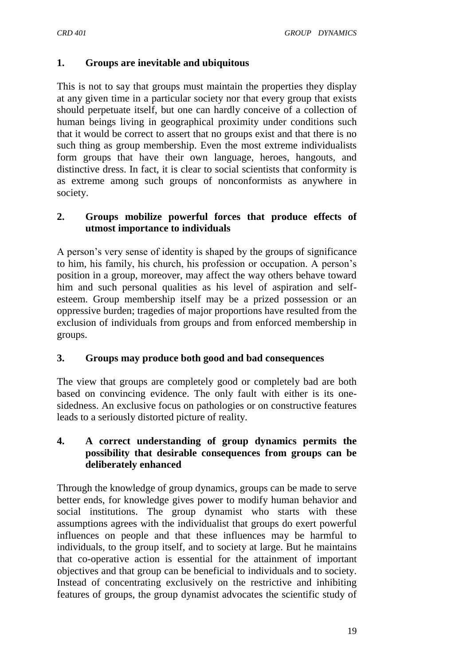#### **1. Groups are inevitable and ubiquitous**

This is not to say that groups must maintain the properties they display at any given time in a particular society nor that every group that exists should perpetuate itself, but one can hardly conceive of a collection of human beings living in geographical proximity under conditions such that it would be correct to assert that no groups exist and that there is no such thing as group membership. Even the most extreme individualists form groups that have their own language, heroes, hangouts, and distinctive dress. In fact, it is clear to social scientists that conformity is as extreme among such groups of nonconformists as anywhere in society.

#### **2. Groups mobilize powerful forces that produce effects of utmost importance to individuals**

A person"s very sense of identity is shaped by the groups of significance to him, his family, his church, his profession or occupation. A person"s position in a group, moreover, may affect the way others behave toward him and such personal qualities as his level of aspiration and selfesteem. Group membership itself may be a prized possession or an oppressive burden; tragedies of major proportions have resulted from the exclusion of individuals from groups and from enforced membership in groups.

#### **3. Groups may produce both good and bad consequences**

The view that groups are completely good or completely bad are both based on convincing evidence. The only fault with either is its onesidedness. An exclusive focus on pathologies or on constructive features leads to a seriously distorted picture of reality.

#### **4. A correct understanding of group dynamics permits the possibility that desirable consequences from groups can be deliberately enhanced**

Through the knowledge of group dynamics, groups can be made to serve better ends, for knowledge gives power to modify human behavior and social institutions. The group dynamist who starts with these assumptions agrees with the individualist that groups do exert powerful influences on people and that these influences may be harmful to individuals, to the group itself, and to society at large. But he maintains that co-operative action is essential for the attainment of important objectives and that group can be beneficial to individuals and to society. Instead of concentrating exclusively on the restrictive and inhibiting features of groups, the group dynamist advocates the scientific study of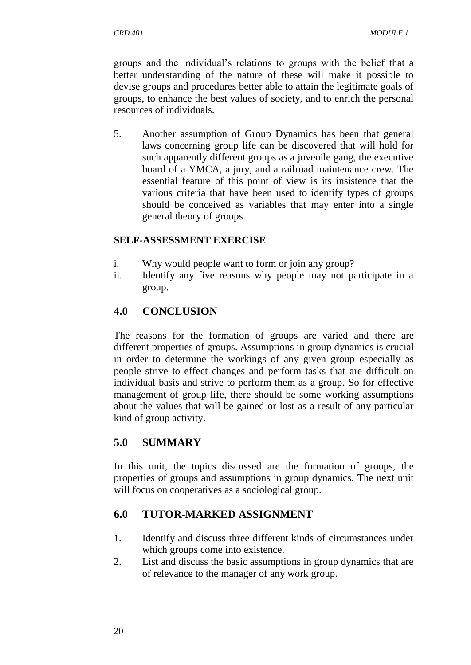groups and the individual"s relations to groups with the belief that a better understanding of the nature of these will make it possible to devise groups and procedures better able to attain the legitimate goals of groups, to enhance the best values of society, and to enrich the personal resources of individuals.

5. Another assumption of Group Dynamics has been that general laws concerning group life can be discovered that will hold for such apparently different groups as a juvenile gang, the executive board of a YMCA, a jury, and a railroad maintenance crew. The essential feature of this point of view is its insistence that the various criteria that have been used to identify types of groups should be conceived as variables that may enter into a single general theory of groups.

#### **SELF-ASSESSMENT EXERCISE**

- i. Why would people want to form or join any group?
- ii. Identify any five reasons why people may not participate in a group.

# **4.0 CONCLUSION**

The reasons for the formation of groups are varied and there are different properties of groups. Assumptions in group dynamics is crucial in order to determine the workings of any given group especially as people strive to effect changes and perform tasks that are difficult on individual basis and strive to perform them as a group. So for effective management of group life, there should be some working assumptions about the values that will be gained or lost as a result of any particular kind of group activity.

# **5.0 SUMMARY**

In this unit, the topics discussed are the formation of groups, the properties of groups and assumptions in group dynamics. The next unit will focus on cooperatives as a sociological group.

## **6.0 TUTOR-MARKED ASSIGNMENT**

- 1. Identify and discuss three different kinds of circumstances under which groups come into existence.
- 2. List and discuss the basic assumptions in group dynamics that are of relevance to the manager of any work group.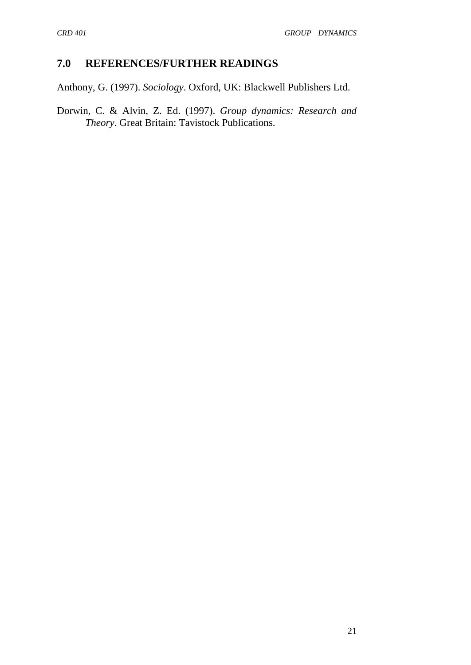## **7.0 REFERENCES/FURTHER READINGS**

Anthony, G. (1997). *Sociology*. Oxford, UK: Blackwell Publishers Ltd.

Dorwin, C. & Alvin, Z. Ed. (1997). *Group dynamics: Research and Theory*. Great Britain: Tavistock Publications.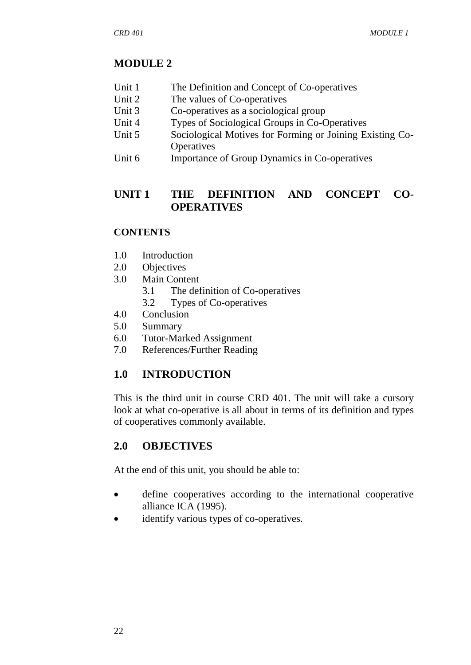# **MODULE 2**

- Unit 1 The Definition and Concept of Co-operatives
- Unit 2 The values of Co-operatives
- Unit 3 Co-operatives as a sociological group
- Unit 4 Types of Sociological Groups in Co-Operatives
- Unit 5 Sociological Motives for Forming or Joining Existing Co-**Operatives**
- Unit 6 Importance of Group Dynamics in Co-operatives

# **UNIT 1 THE DEFINITION AND CONCEPT CO-OPERATIVES**

#### **CONTENTS**

- 1.0 Introduction
- 2.0 Objectives
- 3.0 Main Content
	- 3.1 The definition of Co-operatives
	- 3.2 Types of Co-operatives
- 4.0 Conclusion
- 5.0 Summary
- 6.0 Tutor-Marked Assignment
- 7.0 References/Further Reading

## **1.0 INTRODUCTION**

This is the third unit in course CRD 401. The unit will take a cursory look at what co-operative is all about in terms of its definition and types of cooperatives commonly available.

## **2.0 OBJECTIVES**

At the end of this unit, you should be able to:

- define cooperatives according to the international cooperative alliance ICA (1995).
- identify various types of co-operatives.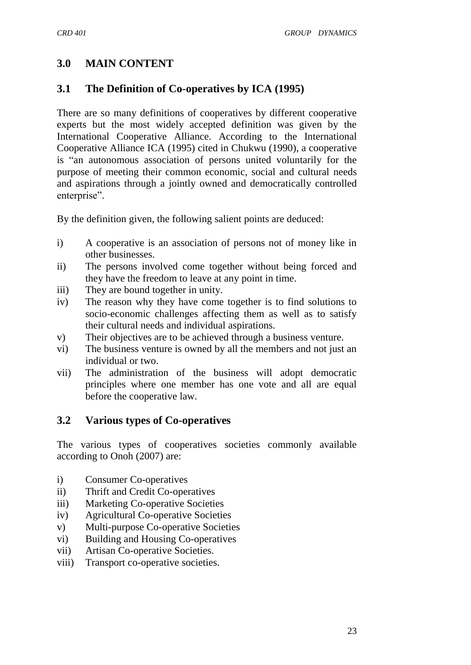# **3.0 MAIN CONTENT**

## **3.1 The Definition of Co-operatives by ICA (1995)**

There are so many definitions of cooperatives by different cooperative experts but the most widely accepted definition was given by the International Cooperative Alliance. According to the International Cooperative Alliance ICA (1995) cited in Chukwu (1990), a cooperative is "an autonomous association of persons united voluntarily for the purpose of meeting their common economic, social and cultural needs and aspirations through a jointly owned and democratically controlled enterprise".

By the definition given, the following salient points are deduced:

- i) A cooperative is an association of persons not of money like in other businesses.
- ii) The persons involved come together without being forced and they have the freedom to leave at any point in time.
- iii) They are bound together in unity.
- iv) The reason why they have come together is to find solutions to socio-economic challenges affecting them as well as to satisfy their cultural needs and individual aspirations.
- v) Their objectives are to be achieved through a business venture.
- vi) The business venture is owned by all the members and not just an individual or two.
- vii) The administration of the business will adopt democratic principles where one member has one vote and all are equal before the cooperative law.

## **3.2 Various types of Co-operatives**

The various types of cooperatives societies commonly available according to Onoh (2007) are:

- i) Consumer Co-operatives
- ii) Thrift and Credit Co-operatives
- iii) Marketing Co-operative Societies
- iv) Agricultural Co-operative Societies
- v) Multi-purpose Co-operative Societies
- vi) Building and Housing Co-operatives
- vii) Artisan Co-operative Societies.
- viii) Transport co-operative societies.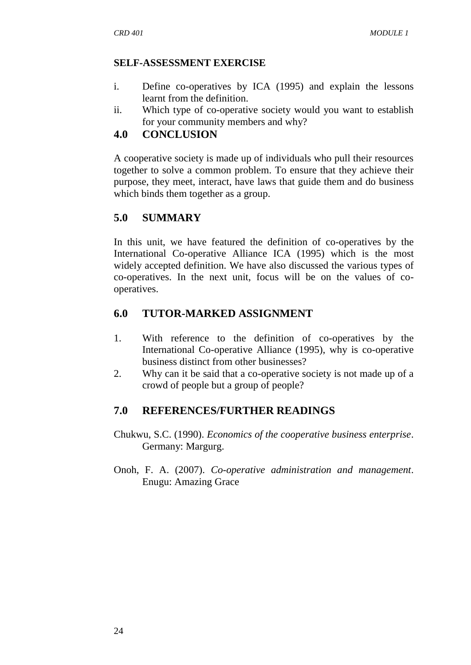#### **SELF-ASSESSMENT EXERCISE**

- i. Define co-operatives by ICA (1995) and explain the lessons learnt from the definition.
- ii. Which type of co-operative society would you want to establish for your community members and why?

#### **4.0 CONCLUSION**

A cooperative society is made up of individuals who pull their resources together to solve a common problem. To ensure that they achieve their purpose, they meet, interact, have laws that guide them and do business which binds them together as a group.

# **5.0 SUMMARY**

In this unit, we have featured the definition of co-operatives by the International Co-operative Alliance ICA (1995) which is the most widely accepted definition. We have also discussed the various types of co-operatives. In the next unit, focus will be on the values of cooperatives.

## **6.0 TUTOR-MARKED ASSIGNMENT**

- 1. With reference to the definition of co-operatives by the International Co-operative Alliance (1995), why is co-operative business distinct from other businesses?
- 2. Why can it be said that a co-operative society is not made up of a crowd of people but a group of people?

## **7.0 REFERENCES/FURTHER READINGS**

- Chukwu, S.C. (1990). *Economics of the cooperative business enterprise*. Germany: Margurg.
- Onoh, F. A. (2007). *Co-operative administration and management*. Enugu: Amazing Grace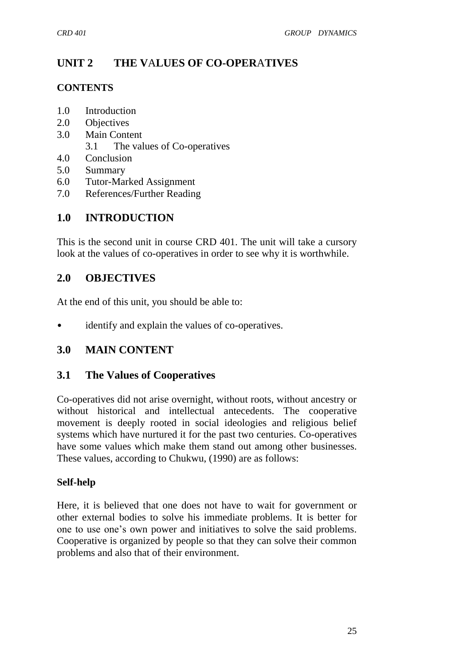# **UNIT 2 THE V**A**LUES OF CO-OPER**A**TIVES**

### **CONTENTS**

- 1.0 Introduction
- 2.0 Objectives
- 3.0 Main Content
	- 3.1 The values of Co-operatives
- 4.0 Conclusion
- 5.0 Summary
- 6.0 Tutor-Marked Assignment
- 7.0 References/Further Reading

# **1.0 INTRODUCTION**

This is the second unit in course CRD 401. The unit will take a cursory look at the values of co-operatives in order to see why it is worthwhile.

## **2.0 OBJECTIVES**

At the end of this unit, you should be able to:

• identify and explain the values of co-operatives.

# **3.0 MAIN CONTENT**

## **3.1 The Values of Cooperatives**

Co-operatives did not arise overnight, without roots, without ancestry or without historical and intellectual antecedents. The cooperative movement is deeply rooted in social ideologies and religious belief systems which have nurtured it for the past two centuries. Co-operatives have some values which make them stand out among other businesses. These values, according to Chukwu, (1990) are as follows:

### **Self-help**

Here, it is believed that one does not have to wait for government or other external bodies to solve his immediate problems. It is better for one to use one"s own power and initiatives to solve the said problems. Cooperative is organized by people so that they can solve their common problems and also that of their environment.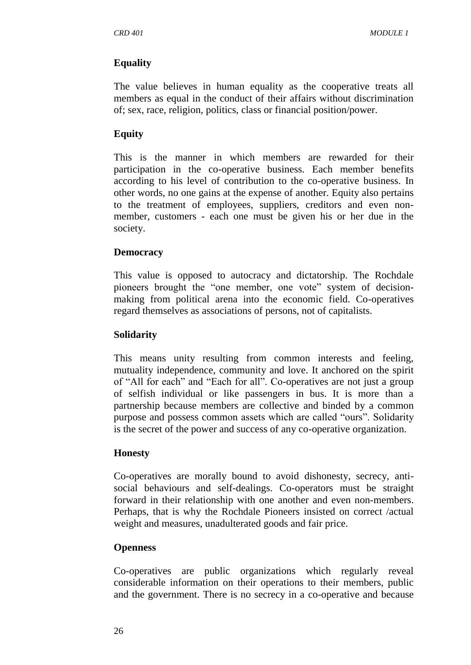### **Equality**

The value believes in human equality as the cooperative treats all members as equal in the conduct of their affairs without discrimination of; sex, race, religion, politics, class or financial position/power.

### **Equity**

This is the manner in which members are rewarded for their participation in the co-operative business. Each member benefits according to his level of contribution to the co-operative business. In other words, no one gains at the expense of another. Equity also pertains to the treatment of employees, suppliers, creditors and even nonmember, customers - each one must be given his or her due in the society.

### **Democracy**

This value is opposed to autocracy and dictatorship. The Rochdale pioneers brought the "one member, one vote" system of decisionmaking from political arena into the economic field. Co-operatives regard themselves as associations of persons, not of capitalists.

### **Solidarity**

This means unity resulting from common interests and feeling, mutuality independence, community and love. It anchored on the spirit of "All for each" and "Each for all". Co-operatives are not just a group of selfish individual or like passengers in bus. It is more than a partnership because members are collective and binded by a common purpose and possess common assets which are called "ours". Solidarity is the secret of the power and success of any co-operative organization.

### **Honesty**

Co-operatives are morally bound to avoid dishonesty, secrecy, antisocial behaviours and self-dealings. Co-operators must be straight forward in their relationship with one another and even non-members. Perhaps, that is why the Rochdale Pioneers insisted on correct /actual weight and measures, unadulterated goods and fair price.

### **Openness**

Co-operatives are public organizations which regularly reveal considerable information on their operations to their members, public and the government. There is no secrecy in a co-operative and because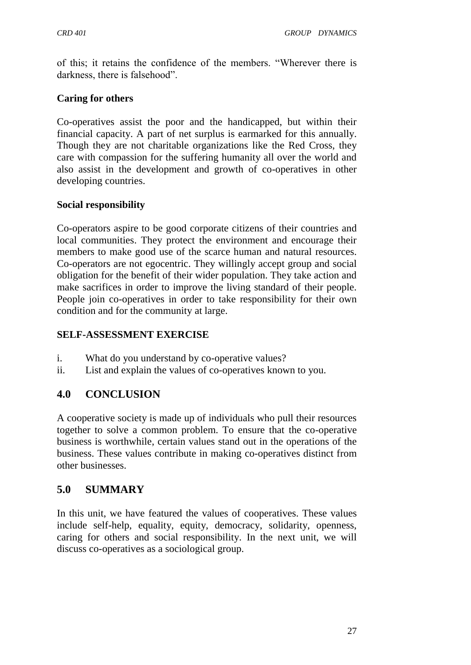of this; it retains the confidence of the members. "Wherever there is darkness, there is falsehood".

### **Caring for others**

Co-operatives assist the poor and the handicapped, but within their financial capacity. A part of net surplus is earmarked for this annually. Though they are not charitable organizations like the Red Cross, they care with compassion for the suffering humanity all over the world and also assist in the development and growth of co-operatives in other developing countries.

### **Social responsibility**

Co-operators aspire to be good corporate citizens of their countries and local communities. They protect the environment and encourage their members to make good use of the scarce human and natural resources. Co-operators are not egocentric. They willingly accept group and social obligation for the benefit of their wider population. They take action and make sacrifices in order to improve the living standard of their people. People join co-operatives in order to take responsibility for their own condition and for the community at large.

### **SELF-ASSESSMENT EXERCISE**

- i. What do you understand by co-operative values?
- ii. List and explain the values of co-operatives known to you.

# **4.0 CONCLUSION**

A cooperative society is made up of individuals who pull their resources together to solve a common problem. To ensure that the co-operative business is worthwhile, certain values stand out in the operations of the business. These values contribute in making co-operatives distinct from other businesses.

# **5.0 SUMMARY**

In this unit, we have featured the values of cooperatives. These values include self-help, equality, equity, democracy, solidarity, openness, caring for others and social responsibility. In the next unit, we will discuss co-operatives as a sociological group.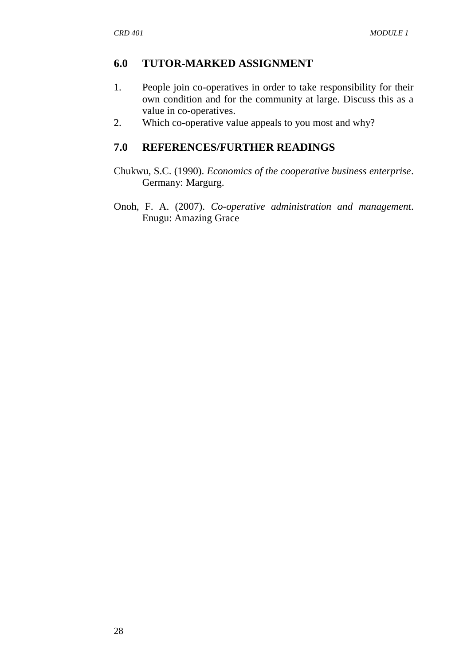### **6.0 TUTOR-MARKED ASSIGNMENT**

- 1. People join co-operatives in order to take responsibility for their own condition and for the community at large. Discuss this as a value in co-operatives.
- 2. Which co-operative value appeals to you most and why?

## **7.0 REFERENCES/FURTHER READINGS**

- Chukwu, S.C. (1990). *Economics of the cooperative business enterprise*. Germany: Margurg.
- Onoh, F. A. (2007). *Co-operative administration and management*. Enugu: Amazing Grace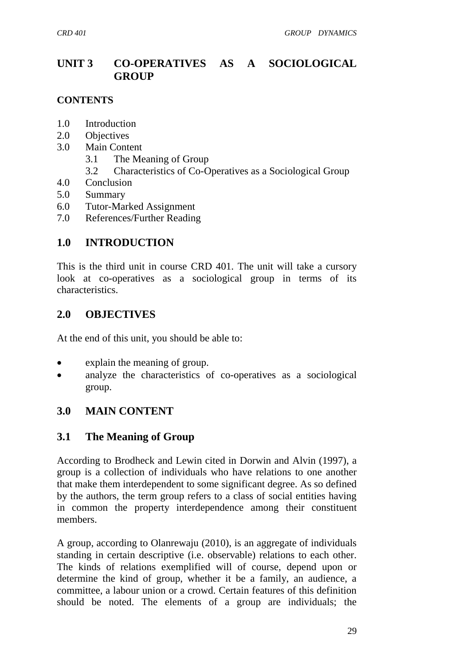# **UNIT 3 CO-OPERATIVES AS A SOCIOLOGICAL GROUP**

### **CONTENTS**

- 1.0 Introduction
- 2.0 Objectives
- 3.0 Main Content
	- 3.1 The Meaning of Group
	- 3.2 Characteristics of Co-Operatives as a Sociological Group
- 4.0 Conclusion
- 5.0 Summary
- 6.0 Tutor-Marked Assignment
- 7.0 References/Further Reading

# **1.0 INTRODUCTION**

This is the third unit in course CRD 401. The unit will take a cursory look at co-operatives as a sociological group in terms of its characteristics.

## **2.0 OBJECTIVES**

At the end of this unit, you should be able to:

- explain the meaning of group.
- analyze the characteristics of co-operatives as a sociological group.

## **3.0 MAIN CONTENT**

## **3.1 The Meaning of Group**

According to Brodheck and Lewin cited in Dorwin and Alvin (1997), a group is a collection of individuals who have relations to one another that make them interdependent to some significant degree. As so defined by the authors, the term group refers to a class of social entities having in common the property interdependence among their constituent members.

A group, according to Olanrewaju (2010), is an aggregate of individuals standing in certain descriptive (i.e. observable) relations to each other. The kinds of relations exemplified will of course, depend upon or determine the kind of group, whether it be a family, an audience, a committee, a labour union or a crowd. Certain features of this definition should be noted. The elements of a group are individuals; the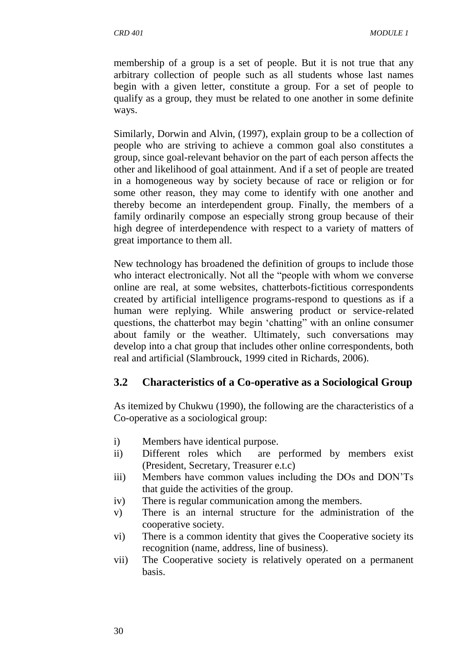membership of a group is a set of people. But it is not true that any arbitrary collection of people such as all students whose last names begin with a given letter, constitute a group. For a set of people to qualify as a group, they must be related to one another in some definite ways.

Similarly, Dorwin and Alvin, (1997), explain group to be a collection of people who are striving to achieve a common goal also constitutes a group, since goal-relevant behavior on the part of each person affects the other and likelihood of goal attainment. And if a set of people are treated in a homogeneous way by society because of race or religion or for some other reason, they may come to identify with one another and thereby become an interdependent group. Finally, the members of a family ordinarily compose an especially strong group because of their high degree of interdependence with respect to a variety of matters of great importance to them all.

New technology has broadened the definition of groups to include those who interact electronically. Not all the "people with whom we converse online are real, at some websites, chatterbots-fictitious correspondents created by artificial intelligence programs-respond to questions as if a human were replying. While answering product or service-related questions, the chatterbot may begin "chatting" with an online consumer about family or the weather. Ultimately, such conversations may develop into a chat group that includes other online correspondents, both real and artificial (Slambrouck, 1999 cited in Richards, 2006).

### **3.2 Characteristics of a Co-operative as a Sociological Group**

As itemized by Chukwu (1990), the following are the characteristics of a Co-operative as a sociological group:

- i) Members have identical purpose.
- ii) Different roles which are performed by members exist (President, Secretary, Treasurer e.t.c)
- iii) Members have common values including the DOs and DON"Ts that guide the activities of the group.
- iv) There is regular communication among the members.
- v) There is an internal structure for the administration of the cooperative society.
- vi) There is a common identity that gives the Cooperative society its recognition (name, address, line of business).
- vii) The Cooperative society is relatively operated on a permanent basis.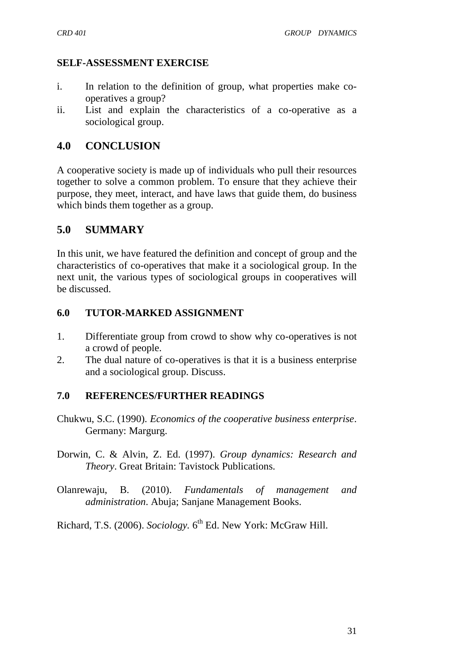### **SELF-ASSESSMENT EXERCISE**

- i. In relation to the definition of group, what properties make cooperatives a group?
- ii. List and explain the characteristics of a co-operative as a sociological group.

## **4.0 CONCLUSION**

A cooperative society is made up of individuals who pull their resources together to solve a common problem. To ensure that they achieve their purpose, they meet, interact, and have laws that guide them, do business which binds them together as a group.

# **5.0 SUMMARY**

In this unit, we have featured the definition and concept of group and the characteristics of co-operatives that make it a sociological group. In the next unit, the various types of sociological groups in cooperatives will be discussed.

### **6.0 TUTOR-MARKED ASSIGNMENT**

- 1. Differentiate group from crowd to show why co-operatives is not a crowd of people.
- 2. The dual nature of co-operatives is that it is a business enterprise and a sociological group. Discuss.

### **7.0 REFERENCES/FURTHER READINGS**

- Chukwu, S.C. (1990). *Economics of the cooperative business enterprise*. Germany: Margurg.
- Dorwin, C. & Alvin, Z. Ed. (1997). *Group dynamics: Research and Theory*. Great Britain: Tavistock Publications.
- Olanrewaju, B. (2010). *Fundamentals of management and administration*. Abuja; Sanjane Management Books.

Richard, T.S. (2006). *Sociology*. 6<sup>th</sup> Ed. New York: McGraw Hill.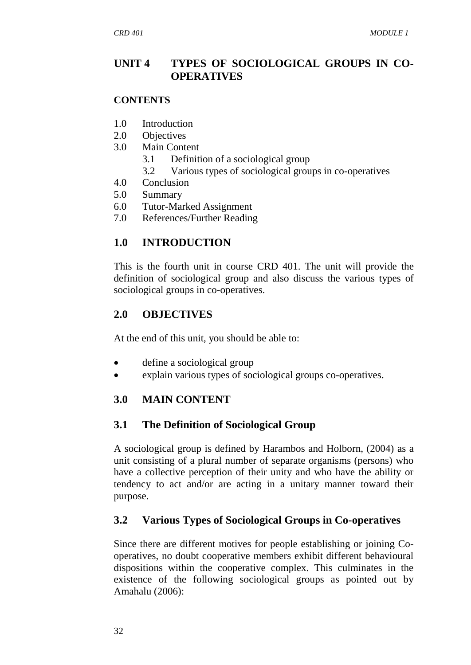# **UNIT 4 TYPES OF SOCIOLOGICAL GROUPS IN CO-OPERATIVES**

#### **CONTENTS**

- 1.0 Introduction
- 2.0 Objectives
- 3.0 Main Content
	- 3.1 Definition of a sociological group
	- 3.2 Various types of sociological groups in co-operatives
- 4.0 Conclusion
- 5.0 Summary
- 6.0 Tutor-Marked Assignment
- 7.0 References/Further Reading

# **1.0 INTRODUCTION**

This is the fourth unit in course CRD 401. The unit will provide the definition of sociological group and also discuss the various types of sociological groups in co-operatives.

## **2.0 OBJECTIVES**

At the end of this unit, you should be able to:

- define a sociological group
- explain various types of sociological groups co-operatives.

# **3.0 MAIN CONTENT**

## **3.1 The Definition of Sociological Group**

A sociological group is defined by Harambos and Holborn, (2004) as a unit consisting of a plural number of separate organisms (persons) who have a collective perception of their unity and who have the ability or tendency to act and/or are acting in a unitary manner toward their purpose.

## **3.2 Various Types of Sociological Groups in Co-operatives**

Since there are different motives for people establishing or joining Cooperatives, no doubt cooperative members exhibit different behavioural dispositions within the cooperative complex. This culminates in the existence of the following sociological groups as pointed out by Amahalu (2006):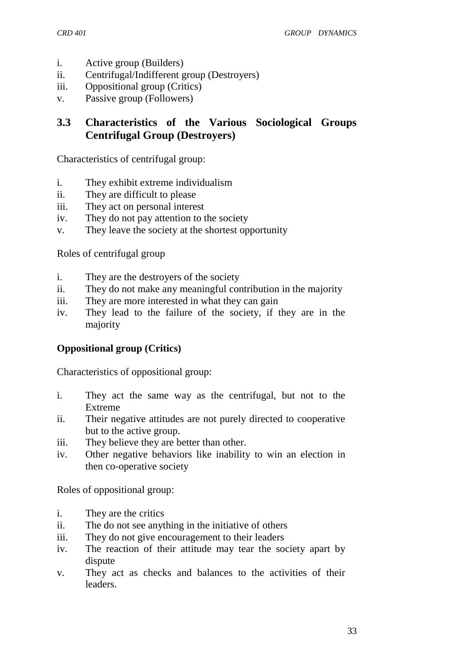- i. Active group (Builders)
- ii. Centrifugal/Indifferent group (Destroyers)
- iii. Oppositional group (Critics)
- v. Passive group (Followers)

## **3.3 Characteristics of the Various Sociological Groups Centrifugal Group (Destroyers)**

Characteristics of centrifugal group:

- i. They exhibit extreme individualism
- ii. They are difficult to please
- iii. They act on personal interest
- iv. They do not pay attention to the society
- v. They leave the society at the shortest opportunity

Roles of centrifugal group

- i. They are the destroyers of the society
- ii. They do not make any meaningful contribution in the majority
- iii. They are more interested in what they can gain
- iv. They lead to the failure of the society, if they are in the majority

### **Oppositional group (Critics)**

Characteristics of oppositional group:

- i. They act the same way as the centrifugal, but not to the Extreme
- ii. Their negative attitudes are not purely directed to cooperative but to the active group.
- iii. They believe they are better than other.
- iv. Other negative behaviors like inability to win an election in then co-operative society

Roles of oppositional group:

- i. They are the critics
- ii. The do not see anything in the initiative of others
- iii. They do not give encouragement to their leaders
- iv. The reaction of their attitude may tear the society apart by dispute
- v. They act as checks and balances to the activities of their leaders.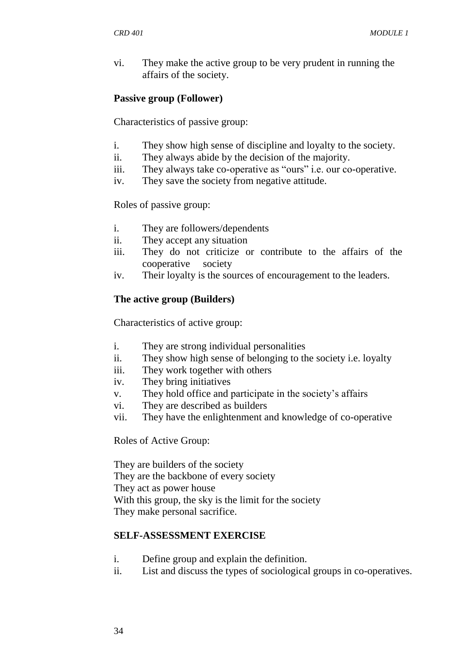vi. They make the active group to be very prudent in running the affairs of the society.

### **Passive group (Follower)**

Characteristics of passive group:

- i. They show high sense of discipline and loyalty to the society.
- ii. They always abide by the decision of the majority.
- iii. They always take co-operative as "ours" i.e. our co-operative.
- iv. They save the society from negative attitude.

Roles of passive group:

- i. They are followers/dependents
- ii. They accept any situation
- iii. They do not criticize or contribute to the affairs of the cooperative society
- iv. Their loyalty is the sources of encouragement to the leaders.

### **The active group (Builders)**

Characteristics of active group:

- i. They are strong individual personalities
- ii. They show high sense of belonging to the society i.e. loyalty
- iii. They work together with others
- iv. They bring initiatives
- v. They hold office and participate in the society"s affairs
- vi. They are described as builders
- vii. They have the enlightenment and knowledge of co-operative

Roles of Active Group:

They are builders of the society They are the backbone of every society They act as power house With this group, the sky is the limit for the society They make personal sacrifice.

### **SELF-ASSESSMENT EXERCISE**

- i. Define group and explain the definition.
- ii. List and discuss the types of sociological groups in co-operatives.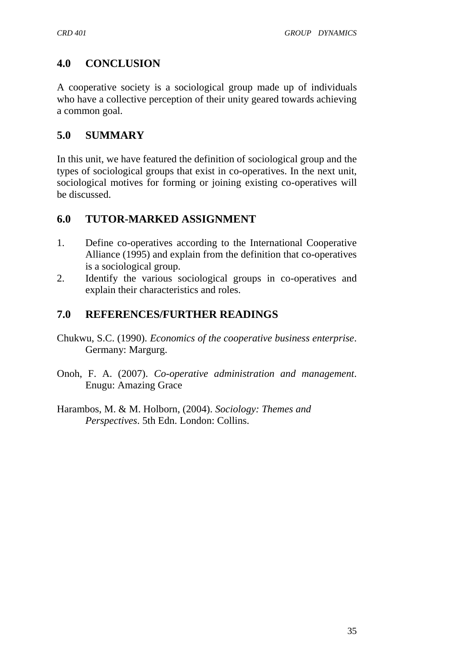# **4.0 CONCLUSION**

A cooperative society is a sociological group made up of individuals who have a collective perception of their unity geared towards achieving a common goal.

# **5.0 SUMMARY**

In this unit, we have featured the definition of sociological group and the types of sociological groups that exist in co-operatives. In the next unit, sociological motives for forming or joining existing co-operatives will be discussed.

# **6.0 TUTOR-MARKED ASSIGNMENT**

- 1. Define co-operatives according to the International Cooperative Alliance (1995) and explain from the definition that co-operatives is a sociological group.
- 2. Identify the various sociological groups in co-operatives and explain their characteristics and roles.

# **7.0 REFERENCES/FURTHER READINGS**

- Chukwu, S.C. (1990). *Economics of the cooperative business enterprise*. Germany: Margurg.
- Onoh, F. A. (2007). *Co-operative administration and management*. Enugu: Amazing Grace
- Harambos, M. & M. Holborn, (2004). *Sociology: Themes and Perspectives*. 5th Edn. London: Collins.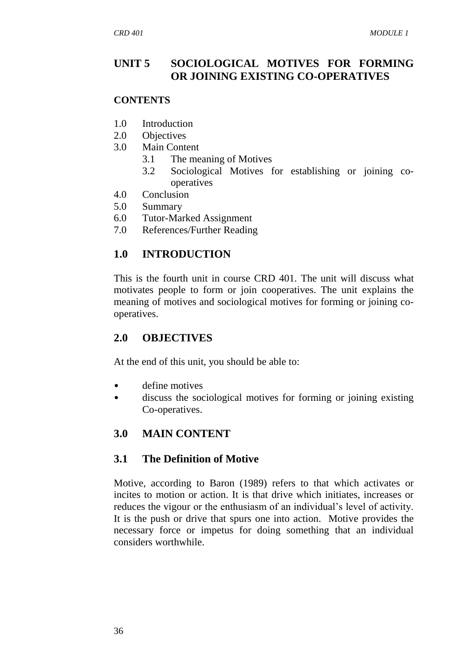## **UNIT 5 SOCIOLOGICAL MOTIVES FOR FORMING OR JOINING EXISTING CO-OPERATIVES**

#### **CONTENTS**

- 1.0 Introduction
- 2.0 Objectives
- 3.0 Main Content
	- 3.1 The meaning of Motives
	- 3.2 Sociological Motives for establishing or joining cooperatives
- 4.0 Conclusion
- 5.0 Summary
- 6.0 Tutor-Marked Assignment
- 7.0 References/Further Reading

# **1.0 INTRODUCTION**

This is the fourth unit in course CRD 401. The unit will discuss what motivates people to form or join cooperatives. The unit explains the meaning of motives and sociological motives for forming or joining cooperatives.

## **2.0 OBJECTIVES**

At the end of this unit, you should be able to:

- define motives
- discuss the sociological motives for forming or joining existing Co-operatives.

## **3.0 MAIN CONTENT**

## **3.1 The Definition of Motive**

Motive, according to Baron (1989) refers to that which activates or incites to motion or action. It is that drive which initiates, increases or reduces the vigour or the enthusiasm of an individual's level of activity. It is the push or drive that spurs one into action. Motive provides the necessary force or impetus for doing something that an individual considers worthwhile.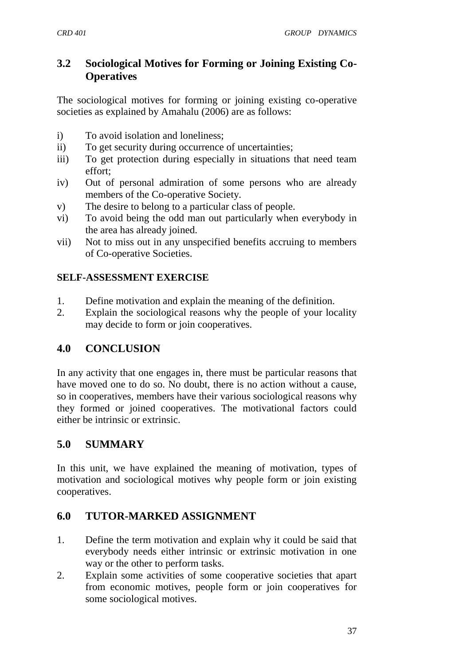# **3.2 Sociological Motives for Forming or Joining Existing Co-Operatives**

The sociological motives for forming or joining existing co-operative societies as explained by Amahalu (2006) are as follows:

- i) To avoid isolation and loneliness;
- ii) To get security during occurrence of uncertainties;
- iii) To get protection during especially in situations that need team effort;
- iv) Out of personal admiration of some persons who are already members of the Co-operative Society.
- v) The desire to belong to a particular class of people.
- vi) To avoid being the odd man out particularly when everybody in the area has already joined.
- vii) Not to miss out in any unspecified benefits accruing to members of Co-operative Societies.

# **SELF-ASSESSMENT EXERCISE**

- 1. Define motivation and explain the meaning of the definition.
- 2. Explain the sociological reasons why the people of your locality may decide to form or join cooperatives.

# **4.0 CONCLUSION**

In any activity that one engages in, there must be particular reasons that have moved one to do so. No doubt, there is no action without a cause, so in cooperatives, members have their various sociological reasons why they formed or joined cooperatives. The motivational factors could either be intrinsic or extrinsic.

# **5.0 SUMMARY**

In this unit, we have explained the meaning of motivation, types of motivation and sociological motives why people form or join existing cooperatives.

# **6.0 TUTOR-MARKED ASSIGNMENT**

- 1. Define the term motivation and explain why it could be said that everybody needs either intrinsic or extrinsic motivation in one way or the other to perform tasks.
- 2. Explain some activities of some cooperative societies that apart from economic motives, people form or join cooperatives for some sociological motives.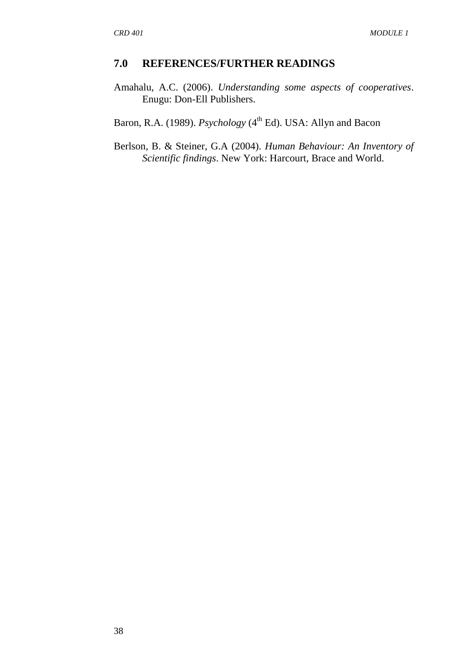## **7.0 REFERENCES/FURTHER READINGS**

Amahalu, A.C. (2006). *Understanding some aspects of cooperatives*. Enugu: Don-Ell Publishers.

Baron, R.A. (1989). *Psychology* (4<sup>th</sup> Ed). USA: Allyn and Bacon

Berlson, B. & Steiner, G.A (2004). *Human Behaviour: An Inventory of Scientific findings*. New York: Harcourt, Brace and World.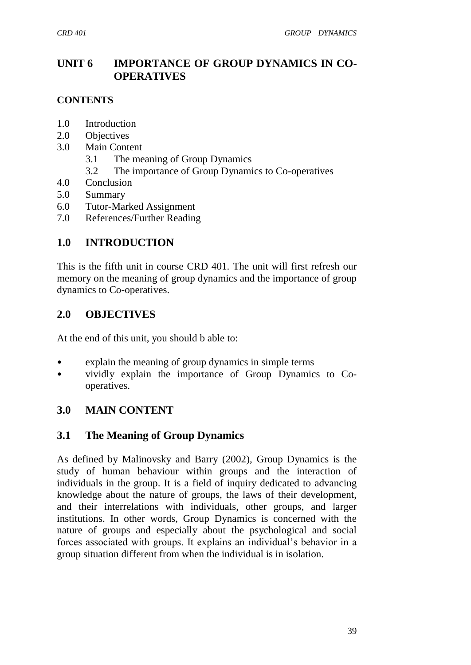# **UNIT 6 IMPORTANCE OF GROUP DYNAMICS IN CO-OPERATIVES**

### **CONTENTS**

- 1.0 Introduction
- 2.0 Objectives
- 3.0 Main Content
	- 3.1 The meaning of Group Dynamics
	- 3.2 The importance of Group Dynamics to Co-operatives
- 4.0 Conclusion
- 5.0 Summary
- 6.0 Tutor-Marked Assignment
- 7.0 References/Further Reading

# **1.0 INTRODUCTION**

This is the fifth unit in course CRD 401. The unit will first refresh our memory on the meaning of group dynamics and the importance of group dynamics to Co-operatives.

## **2.0 OBJECTIVES**

At the end of this unit, you should b able to:

- explain the meaning of group dynamics in simple terms
- vividly explain the importance of Group Dynamics to Cooperatives.

# **3.0 MAIN CONTENT**

## **3.1 The Meaning of Group Dynamics**

As defined by Malinovsky and Barry (2002), Group Dynamics is the study of human behaviour within groups and the interaction of individuals in the group. It is a field of inquiry dedicated to advancing knowledge about the nature of groups, the laws of their development, and their interrelations with individuals, other groups, and larger institutions. In other words, Group Dynamics is concerned with the nature of groups and especially about the psychological and social forces associated with groups. It explains an individual"s behavior in a group situation different from when the individual is in isolation.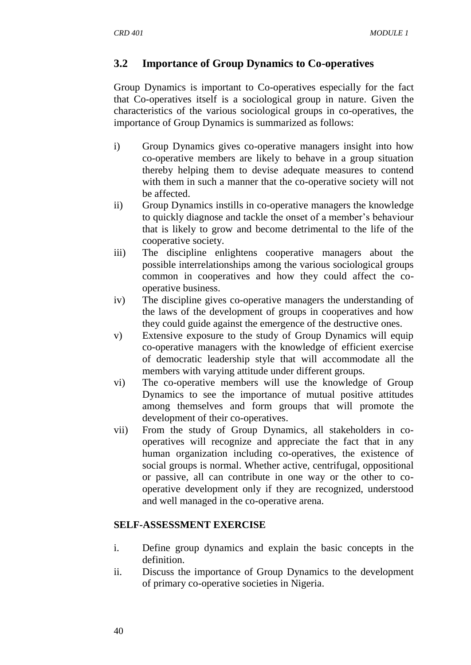### **3.2 Importance of Group Dynamics to Co-operatives**

Group Dynamics is important to Co-operatives especially for the fact that Co-operatives itself is a sociological group in nature. Given the characteristics of the various sociological groups in co-operatives, the importance of Group Dynamics is summarized as follows:

- i) Group Dynamics gives co-operative managers insight into how co-operative members are likely to behave in a group situation thereby helping them to devise adequate measures to contend with them in such a manner that the co-operative society will not be affected.
- ii) Group Dynamics instills in co-operative managers the knowledge to quickly diagnose and tackle the onset of a member"s behaviour that is likely to grow and become detrimental to the life of the cooperative society.
- iii) The discipline enlightens cooperative managers about the possible interrelationships among the various sociological groups common in cooperatives and how they could affect the cooperative business.
- iv) The discipline gives co-operative managers the understanding of the laws of the development of groups in cooperatives and how they could guide against the emergence of the destructive ones.
- v) Extensive exposure to the study of Group Dynamics will equip co-operative managers with the knowledge of efficient exercise of democratic leadership style that will accommodate all the members with varying attitude under different groups.
- vi) The co-operative members will use the knowledge of Group Dynamics to see the importance of mutual positive attitudes among themselves and form groups that will promote the development of their co-operatives.
- vii) From the study of Group Dynamics, all stakeholders in cooperatives will recognize and appreciate the fact that in any human organization including co-operatives, the existence of social groups is normal. Whether active, centrifugal, oppositional or passive, all can contribute in one way or the other to cooperative development only if they are recognized, understood and well managed in the co-operative arena.

### **SELF-ASSESSMENT EXERCISE**

- i. Define group dynamics and explain the basic concepts in the definition.
- ii. Discuss the importance of Group Dynamics to the development of primary co-operative societies in Nigeria.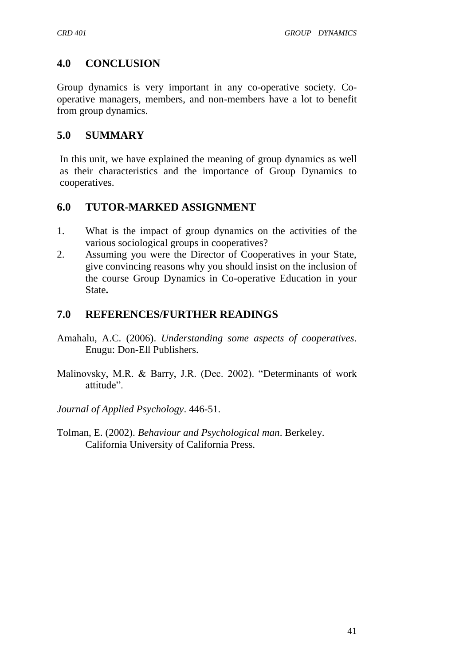# **4.0 CONCLUSION**

Group dynamics is very important in any co-operative society. Cooperative managers, members, and non-members have a lot to benefit from group dynamics.

# **5.0 SUMMARY**

In this unit, we have explained the meaning of group dynamics as well as their characteristics and the importance of Group Dynamics to cooperatives.

# **6.0 TUTOR-MARKED ASSIGNMENT**

- 1. What is the impact of group dynamics on the activities of the various sociological groups in cooperatives?
- 2. Assuming you were the Director of Cooperatives in your State, give convincing reasons why you should insist on the inclusion of the course Group Dynamics in Co-operative Education in your State**.**

# **7.0 REFERENCES/FURTHER READINGS**

- Amahalu, A.C. (2006). *Understanding some aspects of cooperatives*. Enugu: Don-Ell Publishers.
- Malinovsky, M.R. & Barry, J.R. (Dec. 2002). "Determinants of work attitude".
- *Journal of Applied Psychology*. 446-51.
- Tolman, E. (2002). *Behaviour and Psychological man*. Berkeley. California University of California Press.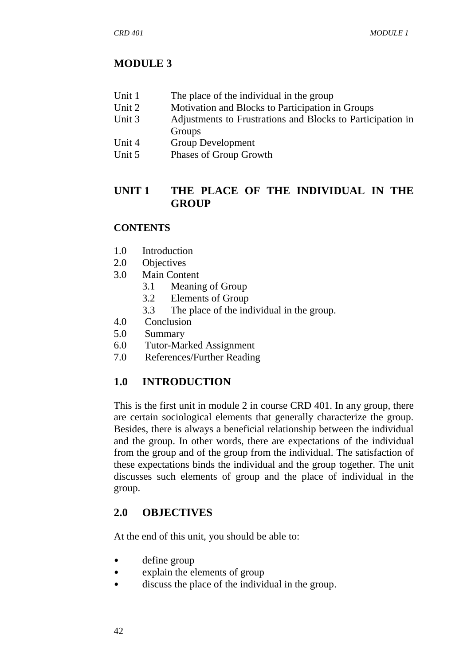# **MODULE 3**

- Unit 1 The place of the individual in the group
- Unit 2 Motivation and Blocks to Participation in Groups
- Unit 3 Adjustments to Frustrations and Blocks to Participation in Groups
- Unit 4 Group Development
- Unit 5 Phases of Group Growth

# **UNIT 1 THE PLACE OF THE INDIVIDUAL IN THE GROUP**

### **CONTENTS**

- 1.0 Introduction
- 2.0 Objectives
- 3.0 Main Content
	- 3.1 Meaning of Group
	- 3.2 Elements of Group
	- 3.3 The place of the individual in the group.
- 4.0 Conclusion
- 5.0 Summary
- 6.0 Tutor-Marked Assignment
- 7.0 References/Further Reading

## **1.0 INTRODUCTION**

This is the first unit in module 2 in course CRD 401. In any group, there are certain sociological elements that generally characterize the group. Besides, there is always a beneficial relationship between the individual and the group. In other words, there are expectations of the individual from the group and of the group from the individual. The satisfaction of these expectations binds the individual and the group together. The unit discusses such elements of group and the place of individual in the group.

## **2.0 OBJECTIVES**

At the end of this unit, you should be able to:

- define group
- explain the elements of group
- discuss the place of the individual in the group.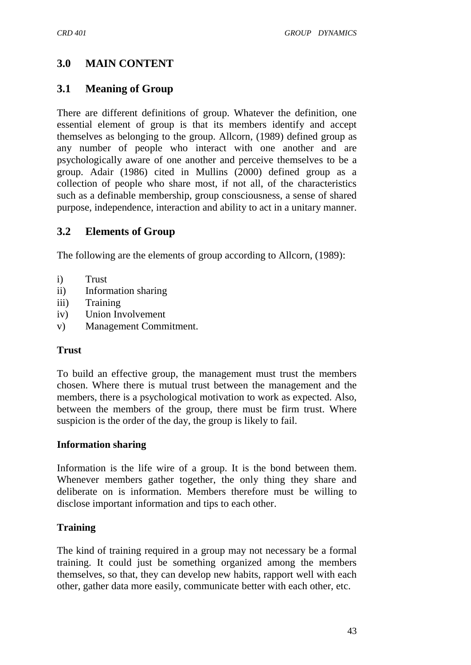# **3.0 MAIN CONTENT**

# **3.1 Meaning of Group**

There are different definitions of group. Whatever the definition, one essential element of group is that its members identify and accept themselves as belonging to the group. Allcorn, (1989) defined group as any number of people who interact with one another and are psychologically aware of one another and perceive themselves to be a group. Adair (1986) cited in Mullins (2000) defined group as a collection of people who share most, if not all, of the characteristics such as a definable membership, group consciousness, a sense of shared purpose, independence, interaction and ability to act in a unitary manner.

# **3.2 Elements of Group**

The following are the elements of group according to Allcorn, (1989):

- i) Trust
- ii) Information sharing
- iii) Training
- iv) Union Involvement
- v) Management Commitment.

### **Trust**

To build an effective group, the management must trust the members chosen. Where there is mutual trust between the management and the members, there is a psychological motivation to work as expected. Also, between the members of the group, there must be firm trust. Where suspicion is the order of the day, the group is likely to fail.

### **Information sharing**

Information is the life wire of a group. It is the bond between them. Whenever members gather together, the only thing they share and deliberate on is information. Members therefore must be willing to disclose important information and tips to each other.

### **Training**

The kind of training required in a group may not necessary be a formal training. It could just be something organized among the members themselves, so that, they can develop new habits, rapport well with each other, gather data more easily, communicate better with each other, etc.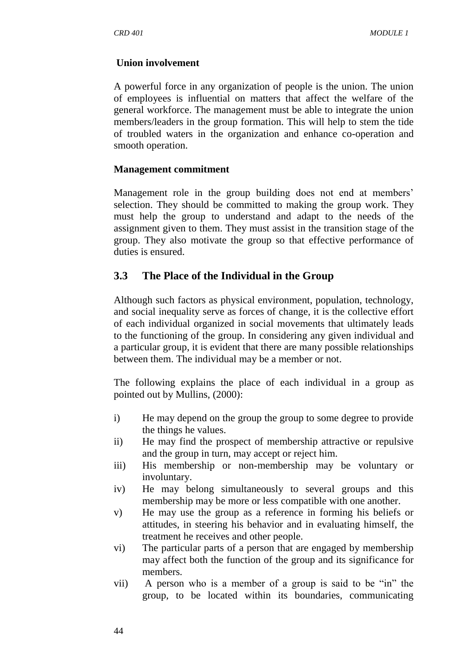### **Union involvement**

A powerful force in any organization of people is the union. The union of employees is influential on matters that affect the welfare of the general workforce. The management must be able to integrate the union members/leaders in the group formation. This will help to stem the tide of troubled waters in the organization and enhance co-operation and smooth operation.

### **Management commitment**

Management role in the group building does not end at members' selection. They should be committed to making the group work. They must help the group to understand and adapt to the needs of the assignment given to them. They must assist in the transition stage of the group. They also motivate the group so that effective performance of duties is ensured.

### **3.3 The Place of the Individual in the Group**

Although such factors as physical environment, population, technology, and social inequality serve as forces of change, it is the collective effort of each individual organized in social movements that ultimately leads to the functioning of the group. In considering any given individual and a particular group, it is evident that there are many possible relationships between them. The individual may be a member or not.

The following explains the place of each individual in a group as pointed out by Mullins, (2000):

- i) He may depend on the group the group to some degree to provide the things he values.
- ii) He may find the prospect of membership attractive or repulsive and the group in turn, may accept or reject him.
- iii) His membership or non-membership may be voluntary or involuntary.
- iv) He may belong simultaneously to several groups and this membership may be more or less compatible with one another.
- v) He may use the group as a reference in forming his beliefs or attitudes, in steering his behavior and in evaluating himself, the treatment he receives and other people.
- vi) The particular parts of a person that are engaged by membership may affect both the function of the group and its significance for members.
- vii) A person who is a member of a group is said to be "in" the group, to be located within its boundaries, communicating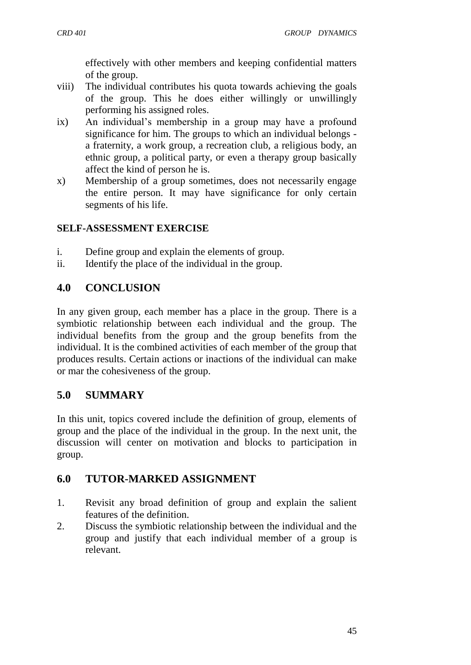effectively with other members and keeping confidential matters of the group.

- viii) The individual contributes his quota towards achieving the goals of the group. This he does either willingly or unwillingly performing his assigned roles.
- ix) An individual"s membership in a group may have a profound significance for him. The groups to which an individual belongs a fraternity, a work group, a recreation club, a religious body, an ethnic group, a political party, or even a therapy group basically affect the kind of person he is.
- x) Membership of a group sometimes, does not necessarily engage the entire person. It may have significance for only certain segments of his life.

## **SELF-ASSESSMENT EXERCISE**

- i. Define group and explain the elements of group.
- ii. Identify the place of the individual in the group.

# **4.0 CONCLUSION**

In any given group, each member has a place in the group. There is a symbiotic relationship between each individual and the group. The individual benefits from the group and the group benefits from the individual. It is the combined activities of each member of the group that produces results. Certain actions or inactions of the individual can make or mar the cohesiveness of the group.

## **5.0 SUMMARY**

In this unit, topics covered include the definition of group, elements of group and the place of the individual in the group. In the next unit, the discussion will center on motivation and blocks to participation in group.

## **6.0 TUTOR-MARKED ASSIGNMENT**

- 1. Revisit any broad definition of group and explain the salient features of the definition.
- 2. Discuss the symbiotic relationship between the individual and the group and justify that each individual member of a group is relevant.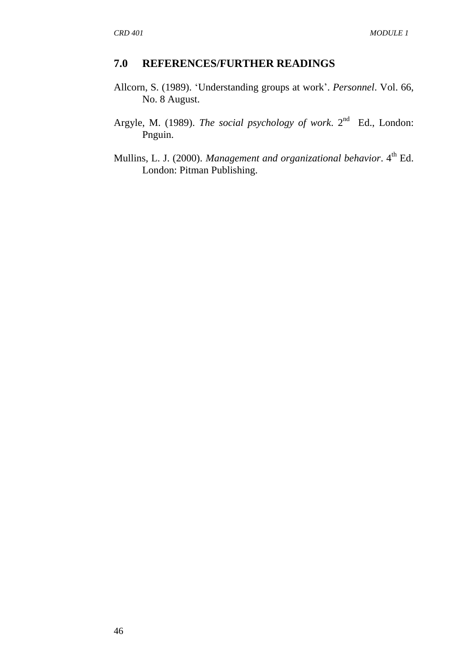### **7.0 REFERENCES/FURTHER READINGS**

- Allcorn, S. (1989). "Understanding groups at work". *Personnel*. Vol. 66, No. 8 August.
- Argyle, M. (1989). *The social psychology of work*. 2<sup>nd</sup> Ed., London: Pnguin.
- Mullins, L. J. (2000). *Management and organizational behavior*. 4<sup>th</sup> Ed. London: Pitman Publishing.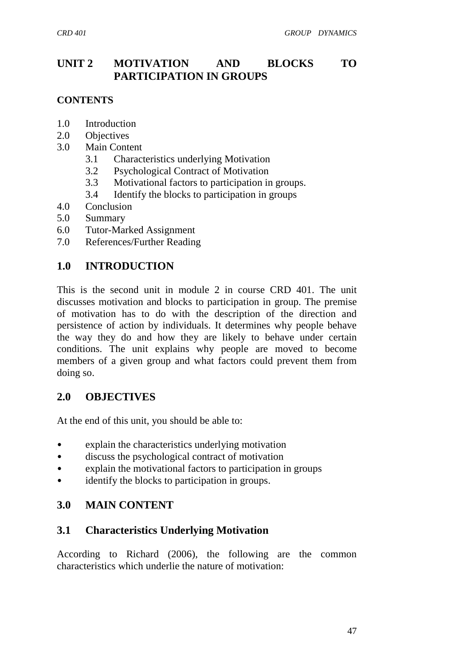# **UNIT 2 MOTIVATION AND BLOCKS TO PARTICIPATION IN GROUPS**

### **CONTENTS**

- 1.0 Introduction
- 2.0 Objectives
- 3.0 Main Content
	- 3.1 Characteristics underlying Motivation
	- 3.2 Psychological Contract of Motivation
	- 3.3 Motivational factors to participation in groups.
	- 3.4 Identify the blocks to participation in groups
- 4.0 Conclusion
- 5.0 Summary
- 6.0 Tutor-Marked Assignment
- 7.0 References/Further Reading

## **1.0 INTRODUCTION**

This is the second unit in module 2 in course CRD 401. The unit discusses motivation and blocks to participation in group. The premise of motivation has to do with the description of the direction and persistence of action by individuals. It determines why people behave the way they do and how they are likely to behave under certain conditions. The unit explains why people are moved to become members of a given group and what factors could prevent them from doing so.

### **2.0 OBJECTIVES**

At the end of this unit, you should be able to:

- explain the characteristics underlying motivation
- discuss the psychological contract of motivation
- explain the motivational factors to participation in groups
- identify the blocks to participation in groups.

## **3.0 MAIN CONTENT**

## **3.1 Characteristics Underlying Motivation**

According to Richard (2006), the following are the common characteristics which underlie the nature of motivation: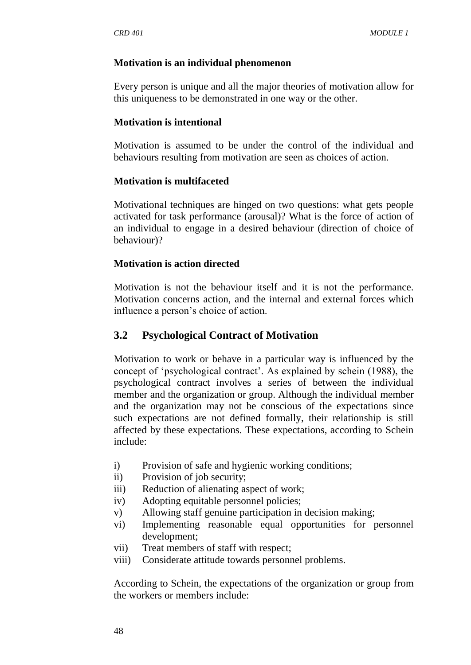#### **Motivation is an individual phenomenon**

Every person is unique and all the major theories of motivation allow for this uniqueness to be demonstrated in one way or the other.

#### **Motivation is intentional**

Motivation is assumed to be under the control of the individual and behaviours resulting from motivation are seen as choices of action.

#### **Motivation is multifaceted**

Motivational techniques are hinged on two questions: what gets people activated for task performance (arousal)? What is the force of action of an individual to engage in a desired behaviour (direction of choice of behaviour)?

#### **Motivation is action directed**

Motivation is not the behaviour itself and it is not the performance. Motivation concerns action, and the internal and external forces which influence a person"s choice of action.

### **3.2 Psychological Contract of Motivation**

Motivation to work or behave in a particular way is influenced by the concept of "psychological contract". As explained by schein (1988), the psychological contract involves a series of between the individual member and the organization or group. Although the individual member and the organization may not be conscious of the expectations since such expectations are not defined formally, their relationship is still affected by these expectations. These expectations, according to Schein include:

- i) Provision of safe and hygienic working conditions;
- ii) Provision of job security;
- iii) Reduction of alienating aspect of work;
- iv) Adopting equitable personnel policies;
- v) Allowing staff genuine participation in decision making;
- vi) Implementing reasonable equal opportunities for personnel development;
- vii) Treat members of staff with respect;
- viii) Considerate attitude towards personnel problems.

According to Schein, the expectations of the organization or group from the workers or members include: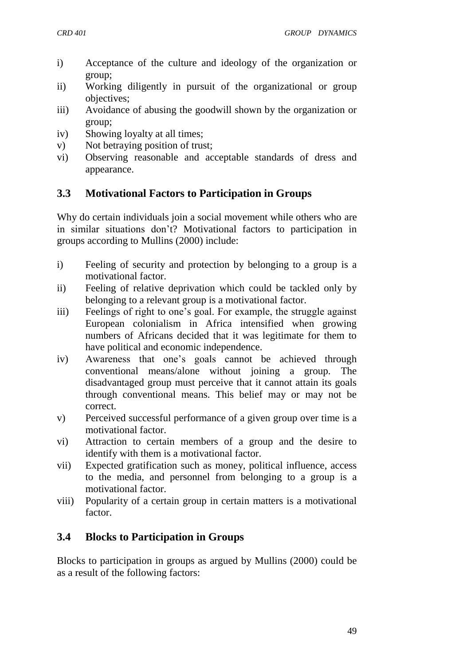- i) Acceptance of the culture and ideology of the organization or group;
- ii) Working diligently in pursuit of the organizational or group objectives;
- iii) Avoidance of abusing the goodwill shown by the organization or group;
- iv) Showing loyalty at all times;
- v) Not betraying position of trust;
- vi) Observing reasonable and acceptable standards of dress and appearance.

# **3.3 Motivational Factors to Participation in Groups**

Why do certain individuals join a social movement while others who are in similar situations don"t? Motivational factors to participation in groups according to Mullins (2000) include:

- i) Feeling of security and protection by belonging to a group is a motivational factor.
- ii) Feeling of relative deprivation which could be tackled only by belonging to a relevant group is a motivational factor.
- iii) Feelings of right to one's goal. For example, the struggle against European colonialism in Africa intensified when growing numbers of Africans decided that it was legitimate for them to have political and economic independence.
- iv) Awareness that one"s goals cannot be achieved through conventional means/alone without joining a group. The disadvantaged group must perceive that it cannot attain its goals through conventional means. This belief may or may not be correct.
- v) Perceived successful performance of a given group over time is a motivational factor.
- vi) Attraction to certain members of a group and the desire to identify with them is a motivational factor.
- vii) Expected gratification such as money, political influence, access to the media, and personnel from belonging to a group is a motivational factor.
- viii) Popularity of a certain group in certain matters is a motivational factor.

# **3.4 Blocks to Participation in Groups**

Blocks to participation in groups as argued by Mullins (2000) could be as a result of the following factors: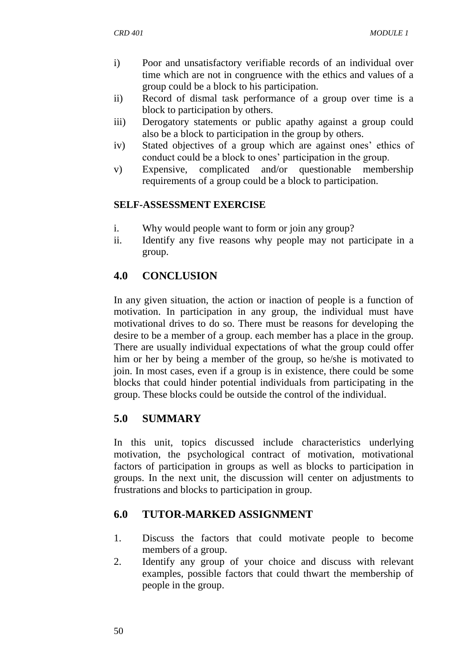- i) Poor and unsatisfactory verifiable records of an individual over time which are not in congruence with the ethics and values of a group could be a block to his participation.
- ii) Record of dismal task performance of a group over time is a block to participation by others.
- iii) Derogatory statements or public apathy against a group could also be a block to participation in the group by others.
- iv) Stated objectives of a group which are against ones" ethics of conduct could be a block to ones" participation in the group.
- v) Expensive, complicated and/or questionable membership requirements of a group could be a block to participation.

### **SELF-ASSESSMENT EXERCISE**

- i. Why would people want to form or join any group?
- ii. Identify any five reasons why people may not participate in a group.

# **4.0 CONCLUSION**

In any given situation, the action or inaction of people is a function of motivation. In participation in any group, the individual must have motivational drives to do so. There must be reasons for developing the desire to be a member of a group. each member has a place in the group. There are usually individual expectations of what the group could offer him or her by being a member of the group, so he/she is motivated to join. In most cases, even if a group is in existence, there could be some blocks that could hinder potential individuals from participating in the group. These blocks could be outside the control of the individual.

## **5.0 SUMMARY**

In this unit, topics discussed include characteristics underlying motivation, the psychological contract of motivation, motivational factors of participation in groups as well as blocks to participation in groups. In the next unit, the discussion will center on adjustments to frustrations and blocks to participation in group.

## **6.0 TUTOR-MARKED ASSIGNMENT**

- 1. Discuss the factors that could motivate people to become members of a group.
- 2. Identify any group of your choice and discuss with relevant examples, possible factors that could thwart the membership of people in the group.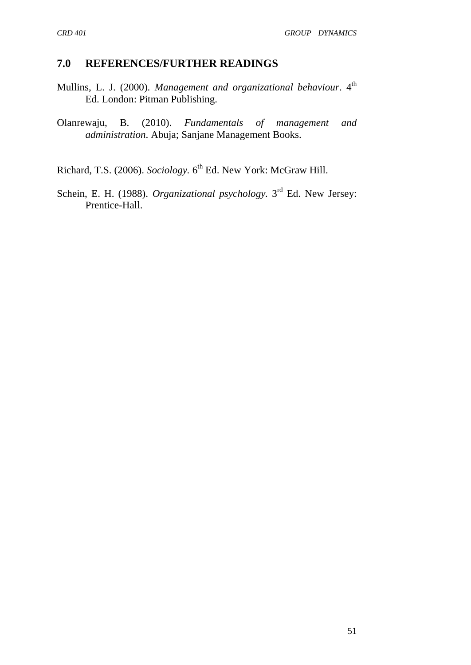#### **7.0 REFERENCES/FURTHER READINGS**

Mullins, L. J. (2000). *Management and organizational behaviour*. 4<sup>th</sup> Ed. London: Pitman Publishing.

Olanrewaju, B. (2010). *Fundamentals of management and administration*. Abuja; Sanjane Management Books.

Richard, T.S. (2006). *Sociology*. 6<sup>th</sup> Ed. New York: McGraw Hill.

Schein, E. H. (1988). *Organizational psychology*. 3<sup>rd</sup> Ed. New Jersey: Prentice-Hall.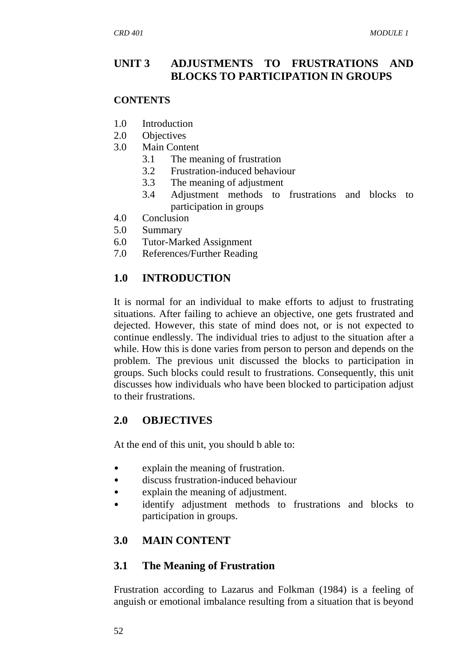# **UNIT 3 ADJUSTMENTS TO FRUSTRATIONS AND BLOCKS TO PARTICIPATION IN GROUPS**

#### **CONTENTS**

- 1.0 Introduction
- 2.0 Objectives
- 3.0 Main Content
	- 3.1 The meaning of frustration
	- 3.2 Frustration-induced behaviour
	- 3.3 The meaning of adjustment
	- 3.4 Adjustment methods to frustrations and blocks to participation in groups
- 4.0 Conclusion
- 5.0 Summary
- 6.0 Tutor-Marked Assignment
- 7.0 References/Further Reading

# **1.0 INTRODUCTION**

It is normal for an individual to make efforts to adjust to frustrating situations. After failing to achieve an objective, one gets frustrated and dejected. However, this state of mind does not, or is not expected to continue endlessly. The individual tries to adjust to the situation after a while. How this is done varies from person to person and depends on the problem. The previous unit discussed the blocks to participation in groups. Such blocks could result to frustrations. Consequently, this unit discusses how individuals who have been blocked to participation adjust to their frustrations.

## **2.0 OBJECTIVES**

At the end of this unit, you should b able to:

- explain the meaning of frustration.
- discuss frustration-induced behaviour
- explain the meaning of adjustment.
- identify adjustment methods to frustrations and blocks to participation in groups.

# **3.0 MAIN CONTENT**

## **3.1 The Meaning of Frustration**

Frustration according to Lazarus and Folkman (1984) is a feeling of anguish or emotional imbalance resulting from a situation that is beyond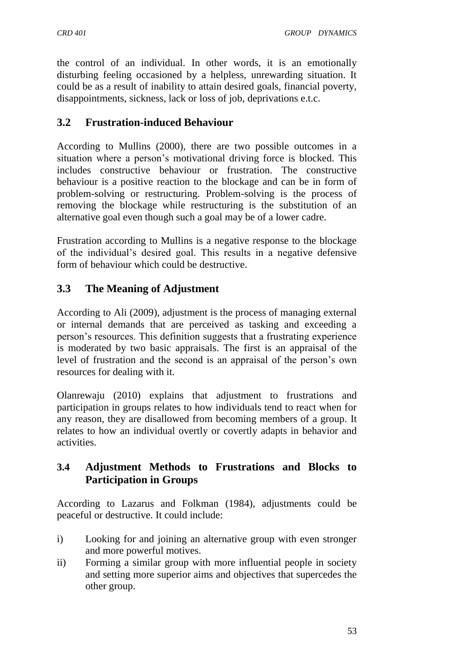the control of an individual. In other words, it is an emotionally disturbing feeling occasioned by a helpless, unrewarding situation. It could be as a result of inability to attain desired goals, financial poverty, disappointments, sickness, lack or loss of job, deprivations e.t.c.

# **3.2 Frustration-induced Behaviour**

According to Mullins (2000), there are two possible outcomes in a situation where a person"s motivational driving force is blocked. This includes constructive behaviour or frustration. The constructive behaviour is a positive reaction to the blockage and can be in form of problem-solving or restructuring. Problem-solving is the process of removing the blockage while restructuring is the substitution of an alternative goal even though such a goal may be of a lower cadre.

Frustration according to Mullins is a negative response to the blockage of the individual"s desired goal. This results in a negative defensive form of behaviour which could be destructive.

# **3.3 The Meaning of Adjustment**

According to Ali (2009), adjustment is the process of managing external or internal demands that are perceived as tasking and exceeding a person"s resources. This definition suggests that a frustrating experience is moderated by two basic appraisals. The first is an appraisal of the level of frustration and the second is an appraisal of the person's own resources for dealing with it.

Olanrewaju (2010) explains that adjustment to frustrations and participation in groups relates to how individuals tend to react when for any reason, they are disallowed from becoming members of a group. It relates to how an individual overtly or covertly adapts in behavior and activities.

## **3.4 Adjustment Methods to Frustrations and Blocks to Participation in Groups**

According to Lazarus and Folkman (1984), adjustments could be peaceful or destructive. It could include:

- i) Looking for and joining an alternative group with even stronger and more powerful motives.
- ii) Forming a similar group with more influential people in society and setting more superior aims and objectives that supercedes the other group.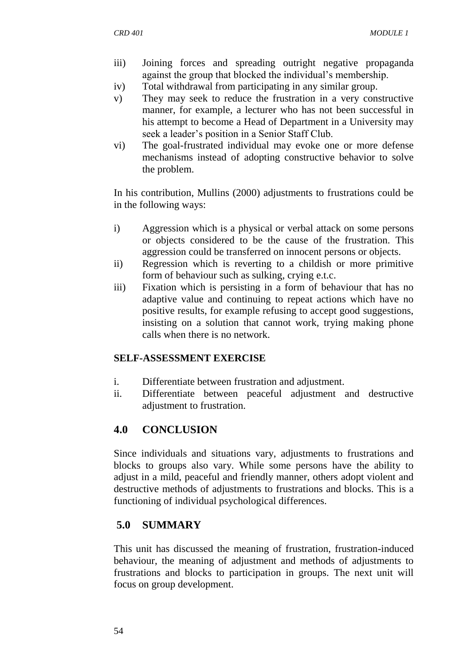- iii) Joining forces and spreading outright negative propaganda against the group that blocked the individual"s membership.
- iv) Total withdrawal from participating in any similar group.
- v) They may seek to reduce the frustration in a very constructive manner, for example, a lecturer who has not been successful in his attempt to become a Head of Department in a University may seek a leader"s position in a Senior Staff Club.
- vi) The goal-frustrated individual may evoke one or more defense mechanisms instead of adopting constructive behavior to solve the problem.

In his contribution, Mullins (2000) adjustments to frustrations could be in the following ways:

- i) Aggression which is a physical or verbal attack on some persons or objects considered to be the cause of the frustration. This aggression could be transferred on innocent persons or objects.
- ii) Regression which is reverting to a childish or more primitive form of behaviour such as sulking, crying e.t.c.
- iii) Fixation which is persisting in a form of behaviour that has no adaptive value and continuing to repeat actions which have no positive results, for example refusing to accept good suggestions, insisting on a solution that cannot work, trying making phone calls when there is no network.

## **SELF-ASSESSMENT EXERCISE**

- i. Differentiate between frustration and adjustment.
- ii. Differentiate between peaceful adjustment and destructive adjustment to frustration.

# **4.0 CONCLUSION**

Since individuals and situations vary, adjustments to frustrations and blocks to groups also vary. While some persons have the ability to adjust in a mild, peaceful and friendly manner, others adopt violent and destructive methods of adjustments to frustrations and blocks. This is a functioning of individual psychological differences.

# **5.0 SUMMARY**

This unit has discussed the meaning of frustration, frustration-induced behaviour, the meaning of adjustment and methods of adjustments to frustrations and blocks to participation in groups. The next unit will focus on group development.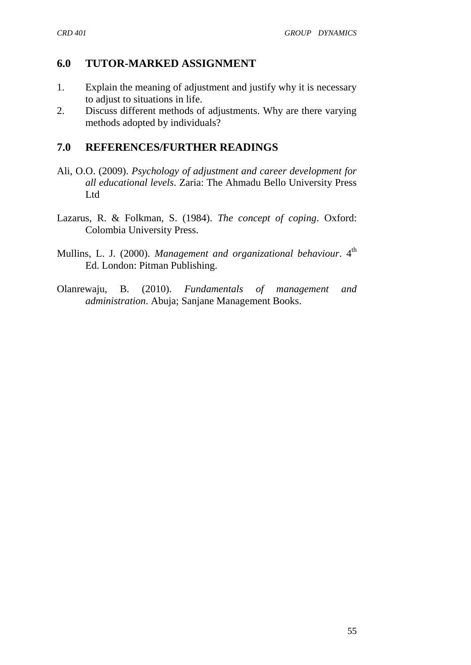# **6.0 TUTOR-MARKED ASSIGNMENT**

- 1. Explain the meaning of adjustment and justify why it is necessary to adjust to situations in life.
- 2. Discuss different methods of adjustments. Why are there varying methods adopted by individuals?

## **7.0 REFERENCES/FURTHER READINGS**

- Ali, O.O. (2009). *Psychology of adjustment and career development for all educational levels*. Zaria: The Ahmadu Bello University Press Ltd
- Lazarus, R. & Folkman, S. (1984). *The concept of coping*. Oxford: Colombia University Press.
- Mullins, L. J. (2000). *Management and organizational behaviour*. 4<sup>th</sup> Ed. London: Pitman Publishing.
- Olanrewaju, B. (2010). *Fundamentals of management and administration*. Abuja; Sanjane Management Books.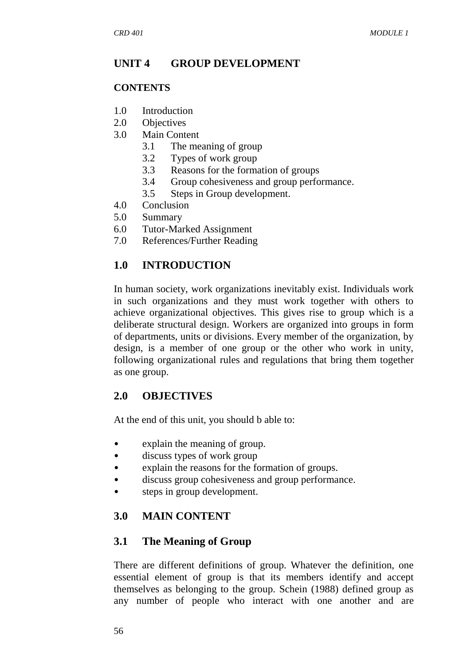# **UNIT 4 GROUP DEVELOPMENT**

#### **CONTENTS**

- 1.0 Introduction
- 2.0 Objectives
- 3.0 Main Content
	- 3.1 The meaning of group
	- 3.2 Types of work group
	- 3.3 Reasons for the formation of groups
	- 3.4 Group cohesiveness and group performance.
	- 3.5 Steps in Group development.
- 4.0 Conclusion
- 5.0 Summary
- 6.0 Tutor-Marked Assignment
- 7.0 References/Further Reading

# **1.0 INTRODUCTION**

In human society, work organizations inevitably exist. Individuals work in such organizations and they must work together with others to achieve organizational objectives. This gives rise to group which is a deliberate structural design. Workers are organized into groups in form of departments, units or divisions. Every member of the organization, by design, is a member of one group or the other who work in unity, following organizational rules and regulations that bring them together as one group.

## **2.0 OBJECTIVES**

At the end of this unit, you should b able to:

- explain the meaning of group.
- discuss types of work group
- explain the reasons for the formation of groups.
- discuss group cohesiveness and group performance.
- steps in group development.

# **3.0 MAIN CONTENT**

## **3.1 The Meaning of Group**

There are different definitions of group. Whatever the definition, one essential element of group is that its members identify and accept themselves as belonging to the group. Schein (1988) defined group as any number of people who interact with one another and are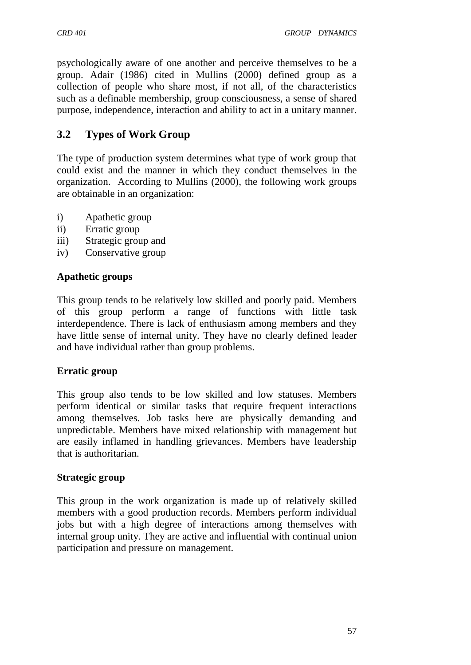psychologically aware of one another and perceive themselves to be a group. Adair (1986) cited in Mullins (2000) defined group as a collection of people who share most, if not all, of the characteristics such as a definable membership, group consciousness, a sense of shared purpose, independence, interaction and ability to act in a unitary manner.

# **3.2 Types of Work Group**

The type of production system determines what type of work group that could exist and the manner in which they conduct themselves in the organization. According to Mullins (2000), the following work groups are obtainable in an organization:

- i) Apathetic group
- ii) Erratic group
- iii) Strategic group and
- iv) Conservative group

### **Apathetic groups**

This group tends to be relatively low skilled and poorly paid. Members of this group perform a range of functions with little task interdependence. There is lack of enthusiasm among members and they have little sense of internal unity. They have no clearly defined leader and have individual rather than group problems.

### **Erratic group**

This group also tends to be low skilled and low statuses. Members perform identical or similar tasks that require frequent interactions among themselves. Job tasks here are physically demanding and unpredictable. Members have mixed relationship with management but are easily inflamed in handling grievances. Members have leadership that is authoritarian.

### **Strategic group**

This group in the work organization is made up of relatively skilled members with a good production records. Members perform individual jobs but with a high degree of interactions among themselves with internal group unity. They are active and influential with continual union participation and pressure on management.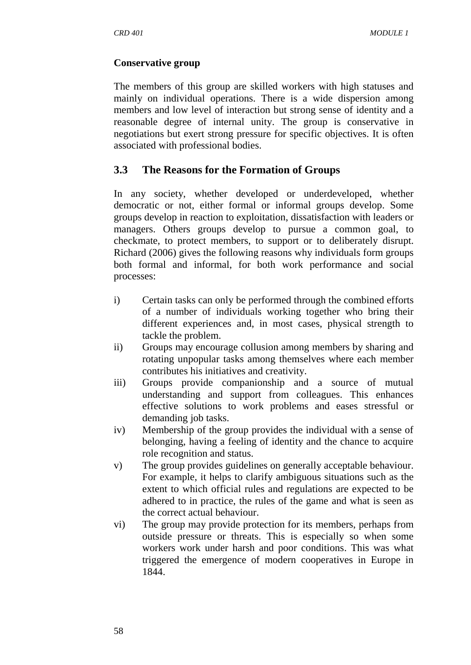#### **Conservative group**

The members of this group are skilled workers with high statuses and mainly on individual operations. There is a wide dispersion among members and low level of interaction but strong sense of identity and a reasonable degree of internal unity. The group is conservative in negotiations but exert strong pressure for specific objectives. It is often associated with professional bodies.

### **3.3 The Reasons for the Formation of Groups**

In any society, whether developed or underdeveloped, whether democratic or not, either formal or informal groups develop. Some groups develop in reaction to exploitation, dissatisfaction with leaders or managers. Others groups develop to pursue a common goal, to checkmate, to protect members, to support or to deliberately disrupt. Richard (2006) gives the following reasons why individuals form groups both formal and informal, for both work performance and social processes:

- i) Certain tasks can only be performed through the combined efforts of a number of individuals working together who bring their different experiences and, in most cases, physical strength to tackle the problem.
- ii) Groups may encourage collusion among members by sharing and rotating unpopular tasks among themselves where each member contributes his initiatives and creativity.
- iii) Groups provide companionship and a source of mutual understanding and support from colleagues. This enhances effective solutions to work problems and eases stressful or demanding job tasks.
- iv) Membership of the group provides the individual with a sense of belonging, having a feeling of identity and the chance to acquire role recognition and status.
- v) The group provides guidelines on generally acceptable behaviour. For example, it helps to clarify ambiguous situations such as the extent to which official rules and regulations are expected to be adhered to in practice, the rules of the game and what is seen as the correct actual behaviour.
- vi) The group may provide protection for its members, perhaps from outside pressure or threats. This is especially so when some workers work under harsh and poor conditions. This was what triggered the emergence of modern cooperatives in Europe in 1844.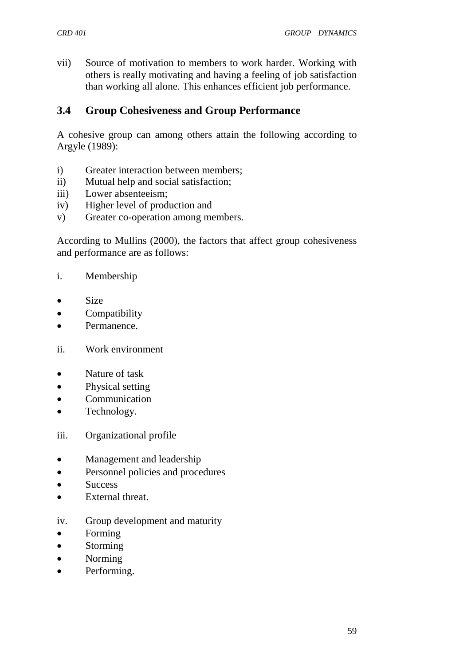vii) Source of motivation to members to work harder. Working with others is really motivating and having a feeling of job satisfaction than working all alone. This enhances efficient job performance.

### **3.4 Group Cohesiveness and Group Performance**

A cohesive group can among others attain the following according to Argyle (1989):

- i) Greater interaction between members;
- ii) Mutual help and social satisfaction;
- iii) Lower absenteeism;
- iv) Higher level of production and
- v) Greater co-operation among members.

According to Mullins (2000), the factors that affect group cohesiveness and performance are as follows:

- i. Membership
- Size
- Compatibility
- Permanence.
- ii. Work environment
- Nature of task
- Physical setting
- Communication
- Technology.
- iii. Organizational profile
- Management and leadership
- Personnel policies and procedures
- Success
- External threat.
- iv. Group development and maturity
- Forming
- Storming
- Norming
- Performing.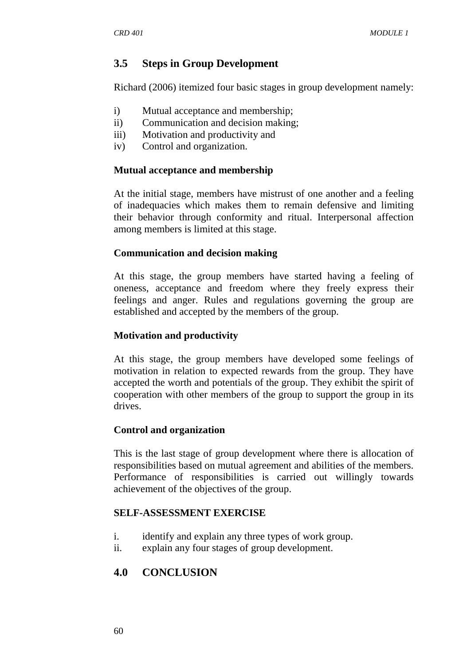# **3.5 Steps in Group Development**

Richard (2006) itemized four basic stages in group development namely:

- i) Mutual acceptance and membership;
- ii) Communication and decision making;
- iii) Motivation and productivity and
- iv) Control and organization.

#### **Mutual acceptance and membership**

At the initial stage, members have mistrust of one another and a feeling of inadequacies which makes them to remain defensive and limiting their behavior through conformity and ritual. Interpersonal affection among members is limited at this stage.

#### **Communication and decision making**

At this stage, the group members have started having a feeling of oneness, acceptance and freedom where they freely express their feelings and anger. Rules and regulations governing the group are established and accepted by the members of the group.

### **Motivation and productivity**

At this stage, the group members have developed some feelings of motivation in relation to expected rewards from the group. They have accepted the worth and potentials of the group. They exhibit the spirit of cooperation with other members of the group to support the group in its drives.

### **Control and organization**

This is the last stage of group development where there is allocation of responsibilities based on mutual agreement and abilities of the members. Performance of responsibilities is carried out willingly towards achievement of the objectives of the group.

### **SELF-ASSESSMENT EXERCISE**

- i. identify and explain any three types of work group.
- ii. explain any four stages of group development.

## **4.0 CONCLUSION**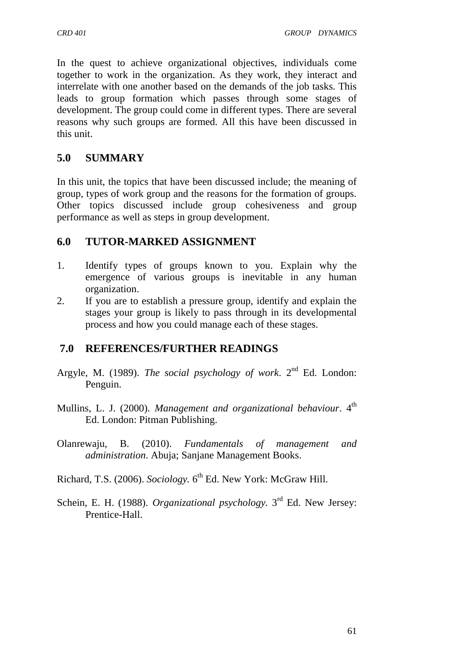In the quest to achieve organizational objectives, individuals come together to work in the organization. As they work, they interact and interrelate with one another based on the demands of the job tasks. This leads to group formation which passes through some stages of development. The group could come in different types. There are several reasons why such groups are formed. All this have been discussed in this unit.

# **5.0 SUMMARY**

In this unit, the topics that have been discussed include; the meaning of group, types of work group and the reasons for the formation of groups. Other topics discussed include group cohesiveness and group performance as well as steps in group development.

## **6.0 TUTOR-MARKED ASSIGNMENT**

- 1. Identify types of groups known to you. Explain why the emergence of various groups is inevitable in any human organization.
- 2. If you are to establish a pressure group, identify and explain the stages your group is likely to pass through in its developmental process and how you could manage each of these stages.

# **7.0 REFERENCES/FURTHER READINGS**

- Argyle, M. (1989). *The social psychology of work*. 2<sup>nd</sup> Ed. London: Penguin.
- Mullins, L. J. (2000). *Management and organizational behaviour*. 4<sup>th</sup> Ed. London: Pitman Publishing.
- Olanrewaju, B. (2010). *Fundamentals of management and administration*. Abuja; Sanjane Management Books.
- Richard, T.S. (2006). *Sociology*. 6<sup>th</sup> Ed. New York: McGraw Hill.
- Schein, E. H. (1988). *Organizational psychology*. 3<sup>rd</sup> Ed. New Jersey: Prentice-Hall.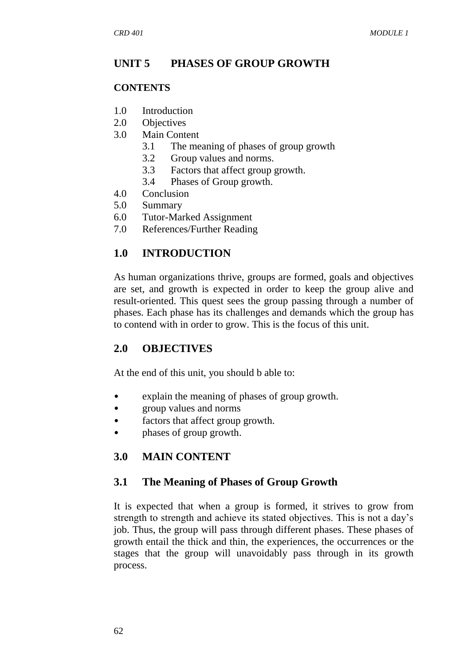## **UNIT 5 PHASES OF GROUP GROWTH**

#### **CONTENTS**

- 1.0 Introduction
- 2.0 Objectives
- 3.0 Main Content
	- 3.1 The meaning of phases of group growth
	- 3.2 Group values and norms.
	- 3.3 Factors that affect group growth.
	- 3.4 Phases of Group growth.
- 4.0 Conclusion
- 5.0 Summary
- 6.0 Tutor-Marked Assignment
- 7.0 References/Further Reading

## **1.0 INTRODUCTION**

As human organizations thrive, groups are formed, goals and objectives are set, and growth is expected in order to keep the group alive and result-oriented. This quest sees the group passing through a number of phases. Each phase has its challenges and demands which the group has to contend with in order to grow. This is the focus of this unit.

## **2.0 OBJECTIVES**

At the end of this unit, you should b able to:

- explain the meaning of phases of group growth.
- group values and norms
- factors that affect group growth.
- phases of group growth.

## **3.0 MAIN CONTENT**

#### **3.1 The Meaning of Phases of Group Growth**

It is expected that when a group is formed, it strives to grow from strength to strength and achieve its stated objectives. This is not a day"s job. Thus, the group will pass through different phases. These phases of growth entail the thick and thin, the experiences, the occurrences or the stages that the group will unavoidably pass through in its growth process.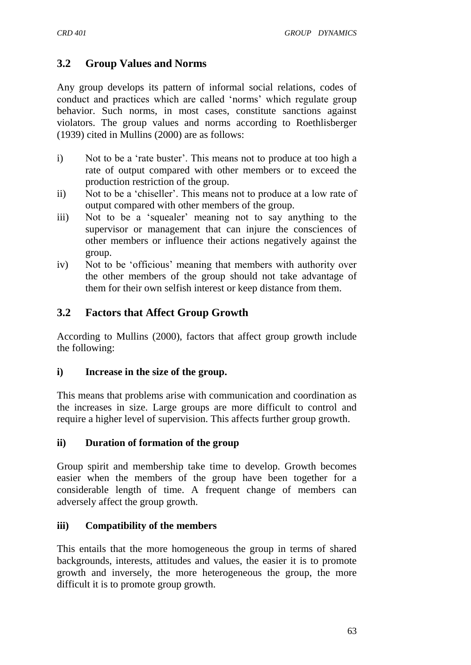## **3.2 Group Values and Norms**

Any group develops its pattern of informal social relations, codes of conduct and practices which are called "norms" which regulate group behavior. Such norms, in most cases, constitute sanctions against violators. The group values and norms according to Roethlisberger (1939) cited in Mullins (2000) are as follows:

- i) Not to be a 'rate buster'. This means not to produce at too high a rate of output compared with other members or to exceed the production restriction of the group.
- ii) Not to be a "chiseller". This means not to produce at a low rate of output compared with other members of the group.
- iii) Not to be a 'squealer' meaning not to say anything to the supervisor or management that can injure the consciences of other members or influence their actions negatively against the group.
- iv) Not to be "officious" meaning that members with authority over the other members of the group should not take advantage of them for their own selfish interest or keep distance from them.

## **3.2 Factors that Affect Group Growth**

According to Mullins (2000), factors that affect group growth include the following:

#### **i) Increase in the size of the group.**

This means that problems arise with communication and coordination as the increases in size. Large groups are more difficult to control and require a higher level of supervision. This affects further group growth.

#### **ii) Duration of formation of the group**

Group spirit and membership take time to develop. Growth becomes easier when the members of the group have been together for a considerable length of time. A frequent change of members can adversely affect the group growth.

#### **iii) Compatibility of the members**

This entails that the more homogeneous the group in terms of shared backgrounds, interests, attitudes and values, the easier it is to promote growth and inversely, the more heterogeneous the group, the more difficult it is to promote group growth.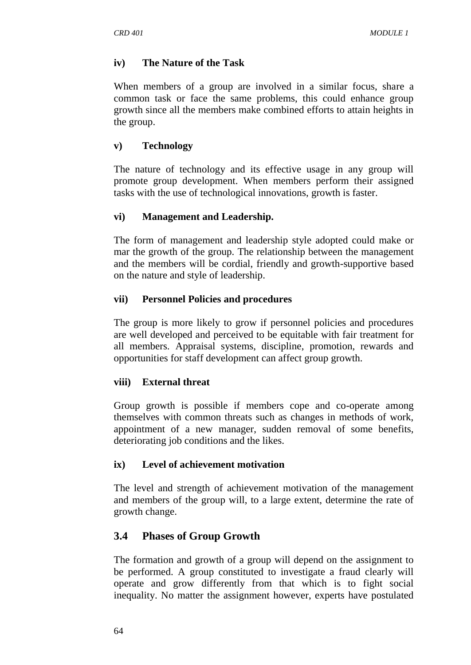#### **iv) The Nature of the Task**

When members of a group are involved in a similar focus, share a common task or face the same problems, this could enhance group growth since all the members make combined efforts to attain heights in the group.

#### **v) Technology**

The nature of technology and its effective usage in any group will promote group development. When members perform their assigned tasks with the use of technological innovations, growth is faster.

#### **vi) Management and Leadership.**

The form of management and leadership style adopted could make or mar the growth of the group. The relationship between the management and the members will be cordial, friendly and growth-supportive based on the nature and style of leadership.

#### **vii) Personnel Policies and procedures**

The group is more likely to grow if personnel policies and procedures are well developed and perceived to be equitable with fair treatment for all members. Appraisal systems, discipline, promotion, rewards and opportunities for staff development can affect group growth.

#### **viii) External threat**

Group growth is possible if members cope and co-operate among themselves with common threats such as changes in methods of work, appointment of a new manager, sudden removal of some benefits, deteriorating job conditions and the likes.

#### **ix) Level of achievement motivation**

The level and strength of achievement motivation of the management and members of the group will, to a large extent, determine the rate of growth change.

## **3.4 Phases of Group Growth**

The formation and growth of a group will depend on the assignment to be performed. A group constituted to investigate a fraud clearly will operate and grow differently from that which is to fight social inequality. No matter the assignment however, experts have postulated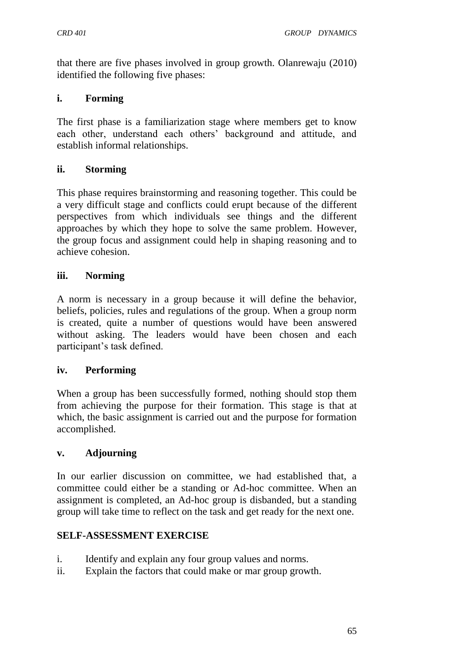that there are five phases involved in group growth. Olanrewaju (2010) identified the following five phases:

#### **i. Forming**

The first phase is a familiarization stage where members get to know each other, understand each others" background and attitude, and establish informal relationships.

#### **ii. Storming**

This phase requires brainstorming and reasoning together. This could be a very difficult stage and conflicts could erupt because of the different perspectives from which individuals see things and the different approaches by which they hope to solve the same problem. However, the group focus and assignment could help in shaping reasoning and to achieve cohesion.

#### **iii. Norming**

A norm is necessary in a group because it will define the behavior, beliefs, policies, rules and regulations of the group. When a group norm is created, quite a number of questions would have been answered without asking. The leaders would have been chosen and each participant"s task defined.

#### **iv. Performing**

When a group has been successfully formed, nothing should stop them from achieving the purpose for their formation. This stage is that at which, the basic assignment is carried out and the purpose for formation accomplished.

#### **v. Adjourning**

In our earlier discussion on committee, we had established that, a committee could either be a standing or Ad-hoc committee. When an assignment is completed, an Ad-hoc group is disbanded, but a standing group will take time to reflect on the task and get ready for the next one.

#### **SELF-ASSESSMENT EXERCISE**

- i. Identify and explain any four group values and norms.
- ii. Explain the factors that could make or mar group growth.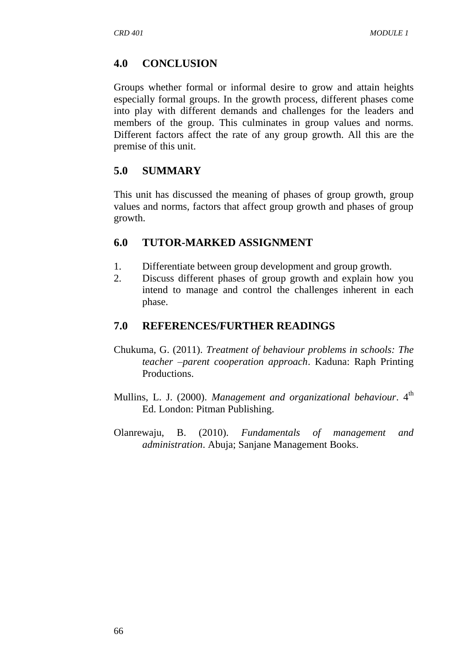## **4.0 CONCLUSION**

Groups whether formal or informal desire to grow and attain heights especially formal groups. In the growth process, different phases come into play with different demands and challenges for the leaders and members of the group. This culminates in group values and norms. Different factors affect the rate of any group growth. All this are the premise of this unit.

#### **5.0 SUMMARY**

This unit has discussed the meaning of phases of group growth, group values and norms, factors that affect group growth and phases of group growth.

#### **6.0 TUTOR-MARKED ASSIGNMENT**

- 1. Differentiate between group development and group growth.
- 2. Discuss different phases of group growth and explain how you intend to manage and control the challenges inherent in each phase.

#### **7.0 REFERENCES/FURTHER READINGS**

- Chukuma, G. (2011). *Treatment of behaviour problems in schools: The teacher –parent cooperation approach*. Kaduna: Raph Printing Productions.
- Mullins, L. J. (2000). *Management and organizational behaviour*. 4<sup>th</sup> Ed. London: Pitman Publishing.
- Olanrewaju, B. (2010). *Fundamentals of management and administration*. Abuja; Sanjane Management Books.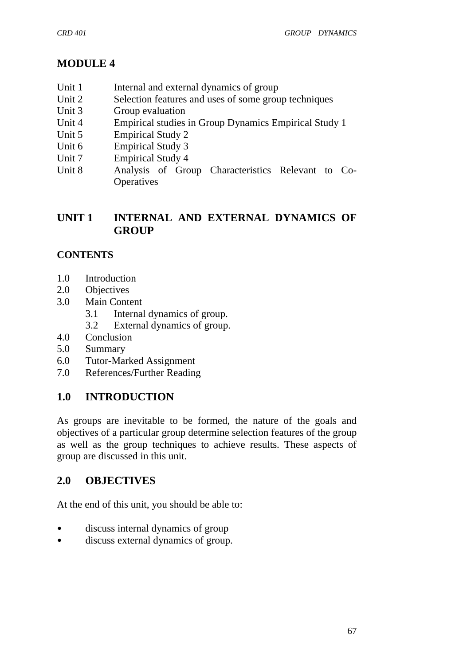# **MODULE 4**

- Unit 1 Internal and external dynamics of group
- Unit 2 Selection features and uses of some group techniques
- Unit 3 Group evaluation
- Unit 4 Empirical studies in Group Dynamics Empirical Study 1
- Unit 5 Empirical Study 2
- Unit 6 Empirical Study 3
- Unit 7 Empirical Study 4
- Unit 8 Analysis of Group Characteristics Relevant to Co-**Operatives**

## **UNIT 1 INTERNAL AND EXTERNAL DYNAMICS OF GROUP**

## **CONTENTS**

- 1.0 Introduction
- 2.0 Objectives
- 3.0 Main Content
	- 3.1 Internal dynamics of group.
	- 3.2 External dynamics of group.
- 4.0 Conclusion
- 5.0 Summary
- 6.0 Tutor-Marked Assignment
- 7.0 References/Further Reading

# **1.0 INTRODUCTION**

As groups are inevitable to be formed, the nature of the goals and objectives of a particular group determine selection features of the group as well as the group techniques to achieve results. These aspects of group are discussed in this unit.

# **2.0 OBJECTIVES**

At the end of this unit, you should be able to:

- discuss internal dynamics of group
- discuss external dynamics of group.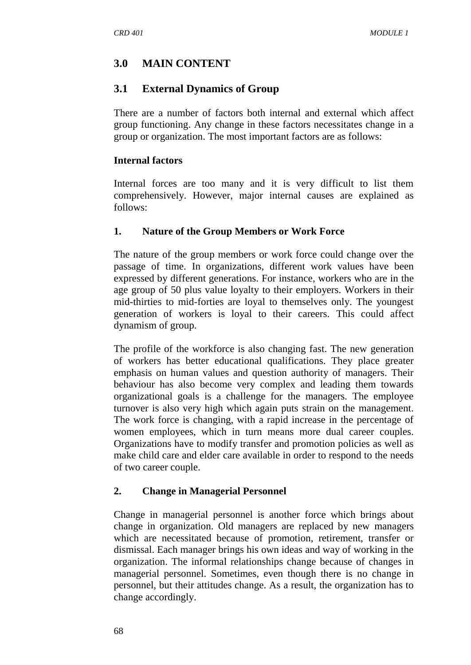## **3.0 MAIN CONTENT**

#### **3.1 External Dynamics of Group**

There are a number of factors both internal and external which affect group functioning. Any change in these factors necessitates change in a group or organization. The most important factors are as follows:

#### **Internal factors**

Internal forces are too many and it is very difficult to list them comprehensively. However, major internal causes are explained as follows:

#### **1. Nature of the Group Members or Work Force**

The nature of the group members or work force could change over the passage of time. In organizations, different work values have been expressed by different generations. For instance, workers who are in the age group of 50 plus value loyalty to their employers. Workers in their mid-thirties to mid-forties are loyal to themselves only. The youngest generation of workers is loyal to their careers. This could affect dynamism of group.

The profile of the workforce is also changing fast. The new generation of workers has better educational qualifications. They place greater emphasis on human values and question authority of managers. Their behaviour has also become very complex and leading them towards organizational goals is a challenge for the managers. The employee turnover is also very high which again puts strain on the management. The work force is changing, with a rapid increase in the percentage of women employees, which in turn means more dual career couples. Organizations have to modify transfer and promotion policies as well as make child care and elder care available in order to respond to the needs of two career couple.

#### **2. Change in Managerial Personnel**

Change in managerial personnel is another force which brings about change in organization. Old managers are replaced by new managers which are necessitated because of promotion, retirement, transfer or dismissal. Each manager brings his own ideas and way of working in the organization. The informal relationships change because of changes in managerial personnel. Sometimes, even though there is no change in personnel, but their attitudes change. As a result, the organization has to change accordingly.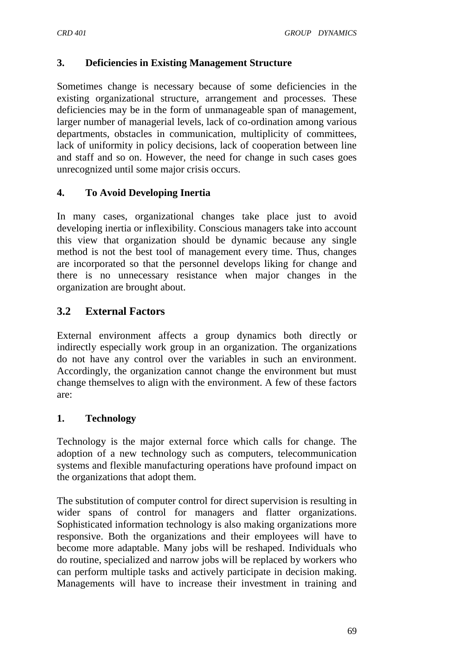#### **3. Deficiencies in Existing Management Structure**

Sometimes change is necessary because of some deficiencies in the existing organizational structure, arrangement and processes. These deficiencies may be in the form of unmanageable span of management, larger number of managerial levels, lack of co-ordination among various departments, obstacles in communication, multiplicity of committees, lack of uniformity in policy decisions, lack of cooperation between line and staff and so on. However, the need for change in such cases goes unrecognized until some major crisis occurs.

#### **4. To Avoid Developing Inertia**

In many cases, organizational changes take place just to avoid developing inertia or inflexibility. Conscious managers take into account this view that organization should be dynamic because any single method is not the best tool of management every time. Thus, changes are incorporated so that the personnel develops liking for change and there is no unnecessary resistance when major changes in the organization are brought about.

## **3.2 External Factors**

External environment affects a group dynamics both directly or indirectly especially work group in an organization. The organizations do not have any control over the variables in such an environment. Accordingly, the organization cannot change the environment but must change themselves to align with the environment. A few of these factors are:

#### **1. Technology**

Technology is the major external force which calls for change. The adoption of a new technology such as computers, telecommunication systems and flexible manufacturing operations have profound impact on the organizations that adopt them.

The substitution of computer control for direct supervision is resulting in wider spans of control for managers and flatter organizations. Sophisticated information technology is also making organizations more responsive. Both the organizations and their employees will have to become more adaptable. Many jobs will be reshaped. Individuals who do routine, specialized and narrow jobs will be replaced by workers who can perform multiple tasks and actively participate in decision making. Managements will have to increase their investment in training and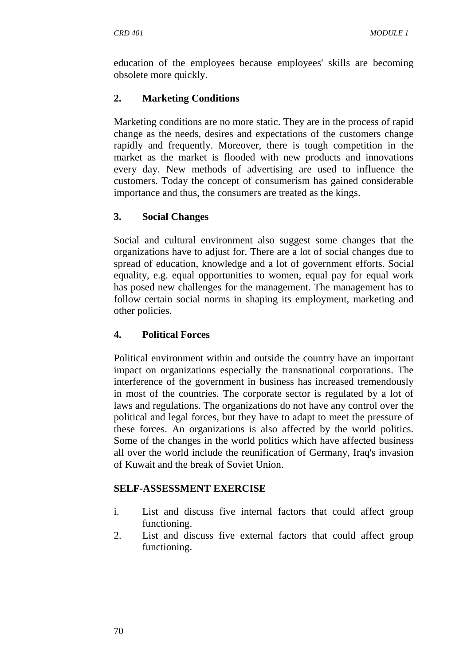education of the employees because employees' skills are becoming obsolete more quickly.

## **2. Marketing Conditions**

Marketing conditions are no more static. They are in the process of rapid change as the needs, desires and expectations of the customers change rapidly and frequently. Moreover, there is tough competition in the market as the market is flooded with new products and innovations every day. New methods of advertising are used to influence the customers. Today the concept of consumerism has gained considerable importance and thus, the consumers are treated as the kings.

## **3. Social Changes**

Social and cultural environment also suggest some changes that the organizations have to adjust for. There are a lot of social changes due to spread of education, knowledge and a lot of government efforts. Social equality, e.g. equal opportunities to women, equal pay for equal work has posed new challenges for the management. The management has to follow certain social norms in shaping its employment, marketing and other policies.

## **4. Political Forces**

Political environment within and outside the country have an important impact on organizations especially the transnational corporations. The interference of the government in business has increased tremendously in most of the countries. The corporate sector is regulated by a lot of laws and regulations. The organizations do not have any control over the political and legal forces, but they have to adapt to meet the pressure of these forces. An organizations is also affected by the world politics. Some of the changes in the world politics which have affected business all over the world include the reunification of Germany, Iraq's invasion of Kuwait and the break of Soviet Union.

#### **SELF-ASSESSMENT EXERCISE**

- i. List and discuss five internal factors that could affect group functioning.
- 2. List and discuss five external factors that could affect group functioning.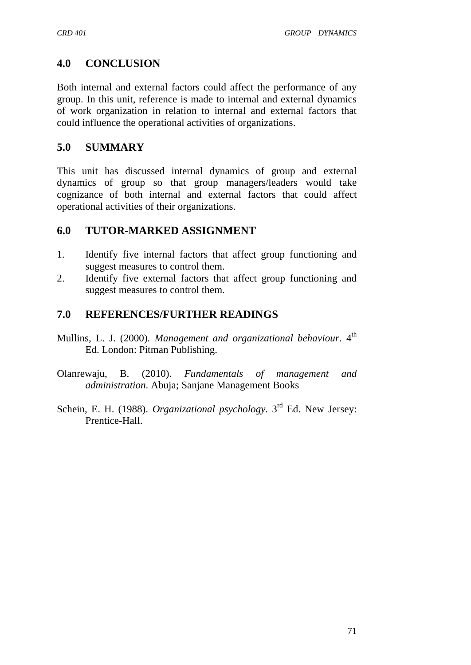## **4.0 CONCLUSION**

Both internal and external factors could affect the performance of any group. In this unit, reference is made to internal and external dynamics of work organization in relation to internal and external factors that could influence the operational activities of organizations.

#### **5.0 SUMMARY**

This unit has discussed internal dynamics of group and external dynamics of group so that group managers/leaders would take cognizance of both internal and external factors that could affect operational activities of their organizations.

#### **6.0 TUTOR-MARKED ASSIGNMENT**

- 1. Identify five internal factors that affect group functioning and suggest measures to control them.
- 2. Identify five external factors that affect group functioning and suggest measures to control them.

## **7.0 REFERENCES/FURTHER READINGS**

- Mullins, L. J. (2000). *Management and organizational behaviour*. 4<sup>th</sup> Ed. London: Pitman Publishing.
- Olanrewaju, B. (2010). *Fundamentals of management and administration*. Abuja; Sanjane Management Books
- Schein, E. H. (1988). *Organizational psychology*. 3<sup>rd</sup> Ed. New Jersey: Prentice-Hall.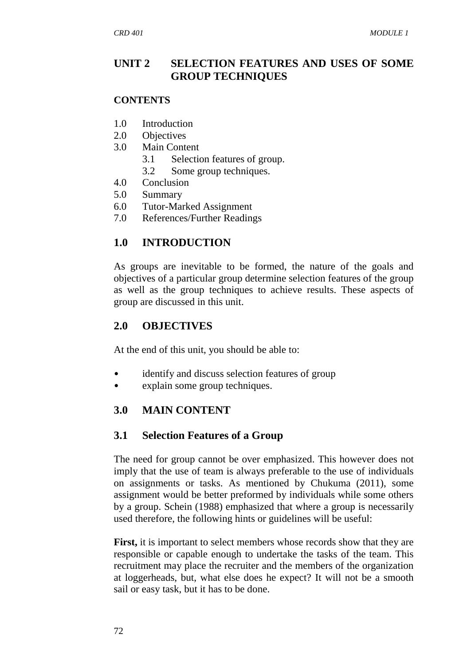### **UNIT 2 SELECTION FEATURES AND USES OF SOME GROUP TECHNIQUES**

#### **CONTENTS**

- 1.0 Introduction
- 2.0 Objectives
- 3.0 Main Content
	- 3.1 Selection features of group.
	- 3.2 Some group techniques.
- 4.0 Conclusion
- 5.0 Summary
- 6.0 Tutor-Marked Assignment
- 7.0 References/Further Readings

## **1.0 INTRODUCTION**

As groups are inevitable to be formed, the nature of the goals and objectives of a particular group determine selection features of the group as well as the group techniques to achieve results. These aspects of group are discussed in this unit.

#### **2.0 OBJECTIVES**

At the end of this unit, you should be able to:

- identify and discuss selection features of group
- explain some group techniques.

#### **3.0 MAIN CONTENT**

#### **3.1 Selection Features of a Group**

The need for group cannot be over emphasized. This however does not imply that the use of team is always preferable to the use of individuals on assignments or tasks. As mentioned by Chukuma (2011), some assignment would be better preformed by individuals while some others by a group. Schein (1988) emphasized that where a group is necessarily used therefore, the following hints or guidelines will be useful:

**First,** it is important to select members whose records show that they are responsible or capable enough to undertake the tasks of the team. This recruitment may place the recruiter and the members of the organization at loggerheads, but, what else does he expect? It will not be a smooth sail or easy task, but it has to be done.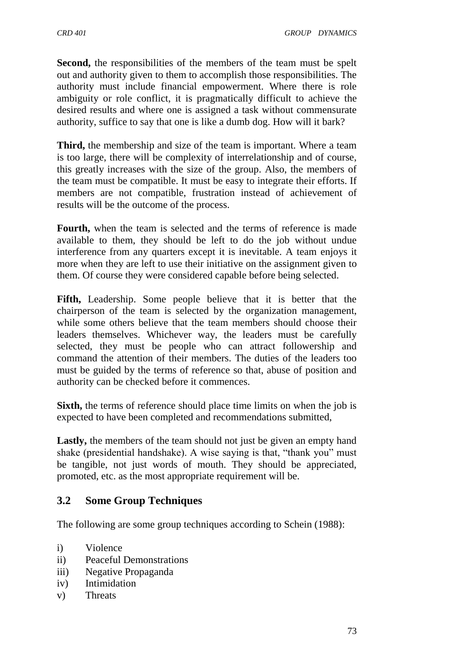**Second,** the responsibilities of the members of the team must be spelt out and authority given to them to accomplish those responsibilities. The authority must include financial empowerment. Where there is role ambiguity or role conflict, it is pragmatically difficult to achieve the desired results and where one is assigned a task without commensurate authority, suffice to say that one is like a dumb dog. How will it bark?

**Third,** the membership and size of the team is important. Where a team is too large, there will be complexity of interrelationship and of course, this greatly increases with the size of the group. Also, the members of the team must be compatible. It must be easy to integrate their efforts. If members are not compatible, frustration instead of achievement of results will be the outcome of the process.

**Fourth,** when the team is selected and the terms of reference is made available to them, they should be left to do the job without undue interference from any quarters except it is inevitable. A team enjoys it more when they are left to use their initiative on the assignment given to them. Of course they were considered capable before being selected.

**Fifth,** Leadership. Some people believe that it is better that the chairperson of the team is selected by the organization management, while some others believe that the team members should choose their leaders themselves. Whichever way, the leaders must be carefully selected, they must be people who can attract followership and command the attention of their members. The duties of the leaders too must be guided by the terms of reference so that, abuse of position and authority can be checked before it commences.

**Sixth,** the terms of reference should place time limits on when the job is expected to have been completed and recommendations submitted,

Lastly, the members of the team should not just be given an empty hand shake (presidential handshake). A wise saying is that, "thank you" must be tangible, not just words of mouth. They should be appreciated, promoted, etc. as the most appropriate requirement will be.

# **3.2 Some Group Techniques**

The following are some group techniques according to Schein (1988):

- i) Violence
- ii) Peaceful Demonstrations
- iii) Negative Propaganda
- iv) Intimidation
- v) Threats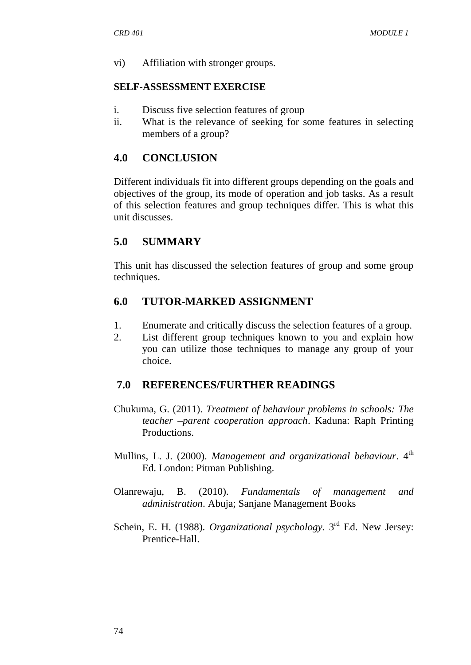vi) Affiliation with stronger groups.

#### **SELF-ASSESSMENT EXERCISE**

- i. Discuss five selection features of group
- ii. What is the relevance of seeking for some features in selecting members of a group?

#### **4.0 CONCLUSION**

Different individuals fit into different groups depending on the goals and objectives of the group, its mode of operation and job tasks. As a result of this selection features and group techniques differ. This is what this unit discusses.

#### **5.0 SUMMARY**

This unit has discussed the selection features of group and some group techniques.

#### **6.0 TUTOR-MARKED ASSIGNMENT**

- 1. Enumerate and critically discuss the selection features of a group.
- 2. List different group techniques known to you and explain how you can utilize those techniques to manage any group of your choice.

#### **7.0 REFERENCES/FURTHER READINGS**

- Chukuma, G. (2011). *Treatment of behaviour problems in schools: The teacher –parent cooperation approach*. Kaduna: Raph Printing Productions.
- Mullins, L. J. (2000). *Management and organizational behaviour*. 4<sup>th</sup> Ed. London: Pitman Publishing.
- Olanrewaju, B. (2010). *Fundamentals of management and administration*. Abuja; Sanjane Management Books
- Schein, E. H. (1988). *Organizational psychology*. 3<sup>rd</sup> Ed. New Jersey: Prentice-Hall.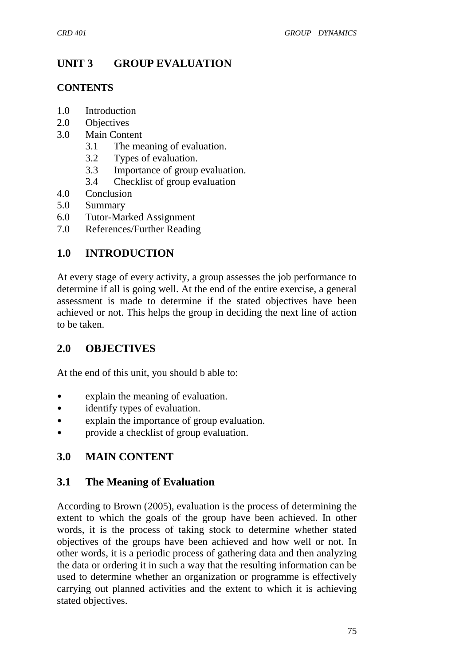# **UNIT 3 GROUP EVALUATION**

#### **CONTENTS**

- 1.0 Introduction
- 2.0 Objectives
- 3.0 Main Content
	- 3.1 The meaning of evaluation.
	- 3.2 Types of evaluation.
	- 3.3 Importance of group evaluation.
	- 3.4 Checklist of group evaluation
- 4.0 Conclusion
- 5.0 Summary
- 6.0 Tutor-Marked Assignment
- 7.0 References/Further Reading

# **1.0 INTRODUCTION**

At every stage of every activity, a group assesses the job performance to determine if all is going well. At the end of the entire exercise, a general assessment is made to determine if the stated objectives have been achieved or not. This helps the group in deciding the next line of action to be taken.

# **2.0 OBJECTIVES**

At the end of this unit, you should b able to:

- explain the meaning of evaluation.
- identify types of evaluation.
- explain the importance of group evaluation.
- provide a checklist of group evaluation.

# **3.0 MAIN CONTENT**

## **3.1 The Meaning of Evaluation**

According to Brown (2005), evaluation is the process of determining the extent to which the goals of the group have been achieved. In other words, it is the process of taking stock to determine whether stated objectives of the groups have been achieved and how well or not. In other words, it is a periodic process of gathering data and then analyzing the data or ordering it in such a way that the resulting information can be used to determine whether an organization or programme is effectively carrying out planned activities and the extent to which it is achieving stated objectives.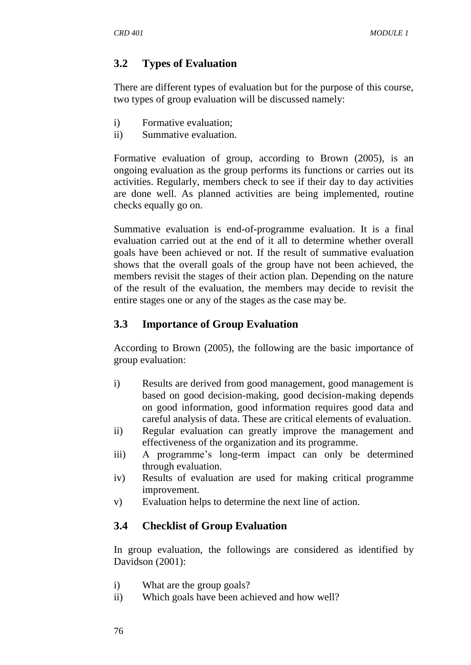## **3.2 Types of Evaluation**

There are different types of evaluation but for the purpose of this course, two types of group evaluation will be discussed namely:

- i) Formative evaluation:
- ii) Summative evaluation.

Formative evaluation of group, according to Brown (2005), is an ongoing evaluation as the group performs its functions or carries out its activities. Regularly, members check to see if their day to day activities are done well. As planned activities are being implemented, routine checks equally go on.

Summative evaluation is end-of-programme evaluation. It is a final evaluation carried out at the end of it all to determine whether overall goals have been achieved or not. If the result of summative evaluation shows that the overall goals of the group have not been achieved, the members revisit the stages of their action plan. Depending on the nature of the result of the evaluation, the members may decide to revisit the entire stages one or any of the stages as the case may be.

## **3.3 Importance of Group Evaluation**

According to Brown (2005), the following are the basic importance of group evaluation:

- i) Results are derived from good management, good management is based on good decision-making, good decision-making depends on good information, good information requires good data and careful analysis of data. These are critical elements of evaluation.
- ii) Regular evaluation can greatly improve the management and effectiveness of the organization and its programme.
- iii) A programme's long-term impact can only be determined through evaluation.
- iv) Results of evaluation are used for making critical programme improvement.
- v) Evaluation helps to determine the next line of action.

## **3.4 Checklist of Group Evaluation**

In group evaluation, the followings are considered as identified by Davidson (2001):

- i) What are the group goals?
- ii) Which goals have been achieved and how well?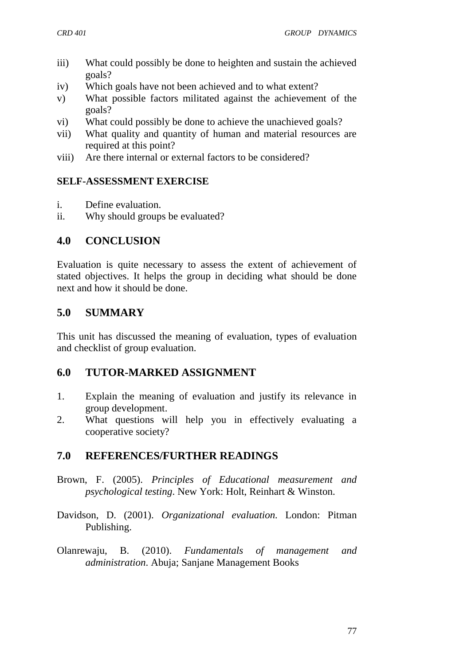- iii) What could possibly be done to heighten and sustain the achieved goals?
- iv) Which goals have not been achieved and to what extent?
- v) What possible factors militated against the achievement of the goals?
- vi) What could possibly be done to achieve the unachieved goals?
- vii) What quality and quantity of human and material resources are required at this point?
- viii) Are there internal or external factors to be considered?

#### **SELF-ASSESSMENT EXERCISE**

- i. Define evaluation.
- ii. Why should groups be evaluated?

## **4.0 CONCLUSION**

Evaluation is quite necessary to assess the extent of achievement of stated objectives. It helps the group in deciding what should be done next and how it should be done.

## **5.0 SUMMARY**

This unit has discussed the meaning of evaluation, types of evaluation and checklist of group evaluation.

## **6.0 TUTOR-MARKED ASSIGNMENT**

- 1. Explain the meaning of evaluation and justify its relevance in group development.
- 2. What questions will help you in effectively evaluating a cooperative society?

# **7.0 REFERENCES/FURTHER READINGS**

- Brown, F. (2005). *Principles of Educational measurement and psychological testing*. New York: Holt, Reinhart & Winston.
- Davidson, D. (2001). *Organizational evaluation.* London: Pitman Publishing.
- Olanrewaju, B. (2010). *Fundamentals of management and administration*. Abuja; Sanjane Management Books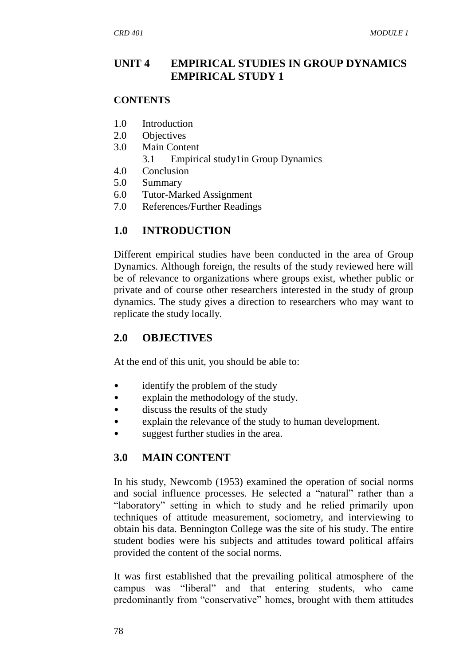## **UNIT 4 EMPIRICAL STUDIES IN GROUP DYNAMICS EMPIRICAL STUDY 1**

#### **CONTENTS**

- 1.0 Introduction
- 2.0 Objectives
- 3.0 Main Content
	- 3.1 Empirical study1in Group Dynamics
- 4.0 Conclusion
- 5.0 Summary
- 6.0 Tutor-Marked Assignment
- 7.0 References/Further Readings

## **1.0 INTRODUCTION**

Different empirical studies have been conducted in the area of Group Dynamics. Although foreign, the results of the study reviewed here will be of relevance to organizations where groups exist, whether public or private and of course other researchers interested in the study of group dynamics. The study gives a direction to researchers who may want to replicate the study locally.

## **2.0 OBJECTIVES**

At the end of this unit, you should be able to:

- identify the problem of the study
- explain the methodology of the study.
- discuss the results of the study
- explain the relevance of the study to human development.
- suggest further studies in the area.

## **3.0 MAIN CONTENT**

In his study, Newcomb (1953) examined the operation of social norms and social influence processes. He selected a "natural" rather than a "laboratory" setting in which to study and he relied primarily upon techniques of attitude measurement, sociometry, and interviewing to obtain his data. Bennington College was the site of his study. The entire student bodies were his subjects and attitudes toward political affairs provided the content of the social norms.

It was first established that the prevailing political atmosphere of the campus was "liberal" and that entering students, who came predominantly from "conservative" homes, brought with them attitudes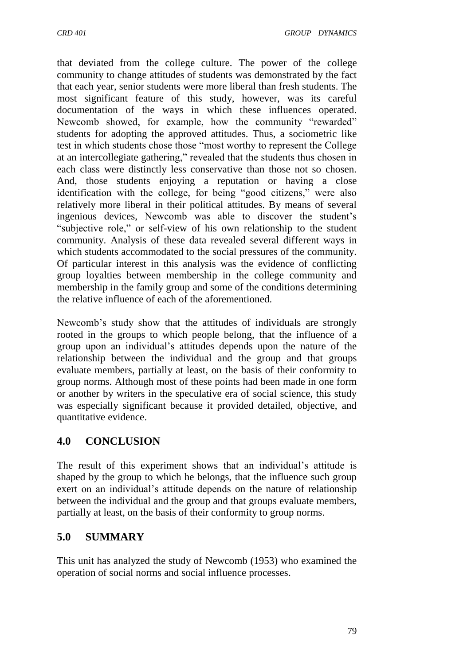that deviated from the college culture. The power of the college community to change attitudes of students was demonstrated by the fact that each year, senior students were more liberal than fresh students. The most significant feature of this study, however, was its careful documentation of the ways in which these influences operated. Newcomb showed, for example, how the community "rewarded" students for adopting the approved attitudes. Thus, a sociometric like test in which students chose those "most worthy to represent the College at an intercollegiate gathering," revealed that the students thus chosen in each class were distinctly less conservative than those not so chosen. And, those students enjoying a reputation or having a close identification with the college, for being "good citizens," were also relatively more liberal in their political attitudes. By means of several ingenious devices, Newcomb was able to discover the student"s "subjective role," or self-view of his own relationship to the student community. Analysis of these data revealed several different ways in which students accommodated to the social pressures of the community. Of particular interest in this analysis was the evidence of conflicting group loyalties between membership in the college community and membership in the family group and some of the conditions determining the relative influence of each of the aforementioned.

Newcomb's study show that the attitudes of individuals are strongly rooted in the groups to which people belong, that the influence of a group upon an individual"s attitudes depends upon the nature of the relationship between the individual and the group and that groups evaluate members, partially at least, on the basis of their conformity to group norms. Although most of these points had been made in one form or another by writers in the speculative era of social science, this study was especially significant because it provided detailed, objective, and quantitative evidence.

# **4.0 CONCLUSION**

The result of this experiment shows that an individual's attitude is shaped by the group to which he belongs, that the influence such group exert on an individual's attitude depends on the nature of relationship between the individual and the group and that groups evaluate members, partially at least, on the basis of their conformity to group norms.

# **5.0 SUMMARY**

This unit has analyzed the study of Newcomb (1953) who examined the operation of social norms and social influence processes.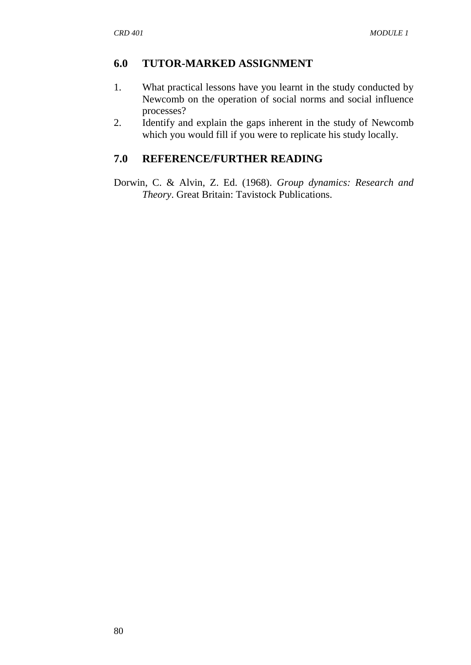#### **6.0 TUTOR-MARKED ASSIGNMENT**

- 1. What practical lessons have you learnt in the study conducted by Newcomb on the operation of social norms and social influence processes?
- 2. Identify and explain the gaps inherent in the study of Newcomb which you would fill if you were to replicate his study locally.

## **7.0 REFERENCE/FURTHER READING**

Dorwin, C. & Alvin, Z. Ed. (1968). *Group dynamics: Research and Theory*. Great Britain: Tavistock Publications.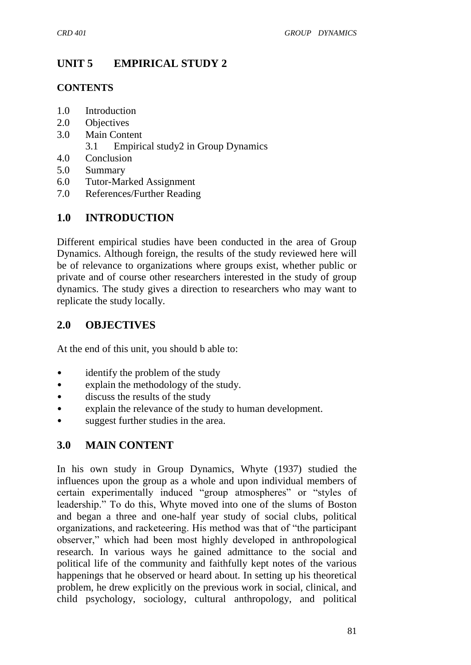# **UNIT 5 EMPIRICAL STUDY 2**

#### **CONTENTS**

- 1.0 Introduction
- 2.0 Objectives
- 3.0 Main Content
	- 3.1 Empirical study2 in Group Dynamics
- 4.0 Conclusion
- 5.0 Summary
- 6.0 Tutor-Marked Assignment
- 7.0 References/Further Reading

# **1.0 INTRODUCTION**

Different empirical studies have been conducted in the area of Group Dynamics. Although foreign, the results of the study reviewed here will be of relevance to organizations where groups exist, whether public or private and of course other researchers interested in the study of group dynamics. The study gives a direction to researchers who may want to replicate the study locally.

## **2.0 OBJECTIVES**

At the end of this unit, you should b able to:

- identify the problem of the study
- explain the methodology of the study.
- discuss the results of the study
- explain the relevance of the study to human development.
- suggest further studies in the area.

## **3.0 MAIN CONTENT**

In his own study in Group Dynamics, Whyte (1937) studied the influences upon the group as a whole and upon individual members of certain experimentally induced "group atmospheres" or "styles of leadership." To do this, Whyte moved into one of the slums of Boston and began a three and one-half year study of social clubs, political organizations, and racketeering. His method was that of "the participant observer," which had been most highly developed in anthropological research. In various ways he gained admittance to the social and political life of the community and faithfully kept notes of the various happenings that he observed or heard about. In setting up his theoretical problem, he drew explicitly on the previous work in social, clinical, and child psychology, sociology, cultural anthropology, and political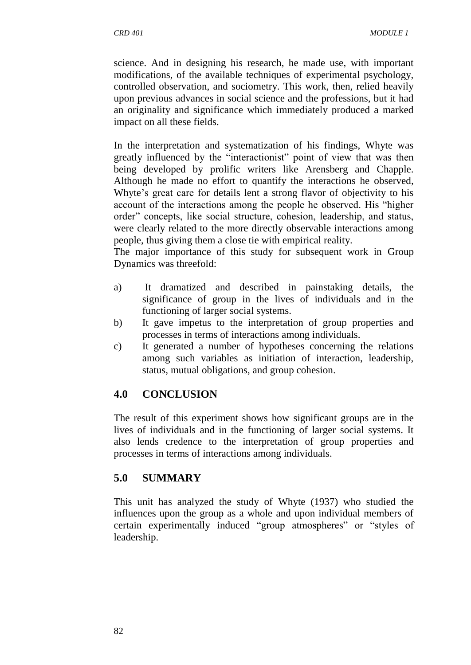science. And in designing his research, he made use, with important modifications, of the available techniques of experimental psychology, controlled observation, and sociometry. This work, then, relied heavily upon previous advances in social science and the professions, but it had an originality and significance which immediately produced a marked impact on all these fields.

In the interpretation and systematization of his findings, Whyte was greatly influenced by the "interactionist" point of view that was then being developed by prolific writers like Arensberg and Chapple. Although he made no effort to quantify the interactions he observed, Whyte's great care for details lent a strong flavor of objectivity to his account of the interactions among the people he observed. His "higher order" concepts, like social structure, cohesion, leadership, and status, were clearly related to the more directly observable interactions among people, thus giving them a close tie with empirical reality.

The major importance of this study for subsequent work in Group Dynamics was threefold:

- a) It dramatized and described in painstaking details, the significance of group in the lives of individuals and in the functioning of larger social systems.
- b) It gave impetus to the interpretation of group properties and processes in terms of interactions among individuals.
- c) It generated a number of hypotheses concerning the relations among such variables as initiation of interaction, leadership, status, mutual obligations, and group cohesion.

## **4.0 CONCLUSION**

The result of this experiment shows how significant groups are in the lives of individuals and in the functioning of larger social systems. It also lends credence to the interpretation of group properties and processes in terms of interactions among individuals.

## **5.0 SUMMARY**

This unit has analyzed the study of Whyte (1937) who studied the influences upon the group as a whole and upon individual members of certain experimentally induced "group atmospheres" or "styles of leadership.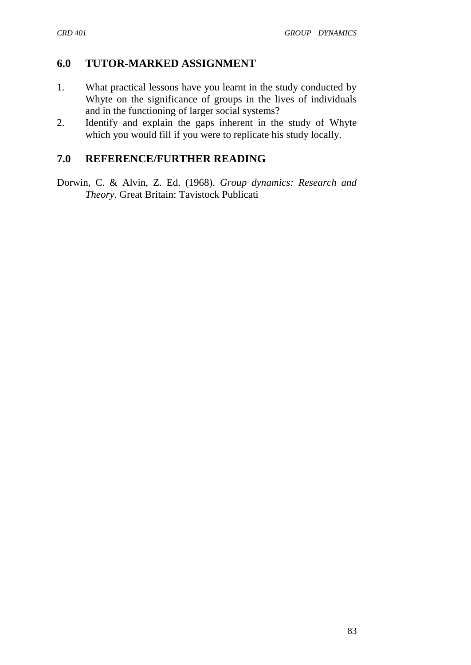## **6.0 TUTOR-MARKED ASSIGNMENT**

- 1. What practical lessons have you learnt in the study conducted by Whyte on the significance of groups in the lives of individuals and in the functioning of larger social systems?
- 2. Identify and explain the gaps inherent in the study of Whyte which you would fill if you were to replicate his study locally.

#### **7.0 REFERENCE/FURTHER READING**

Dorwin, C. & Alvin, Z. Ed. (1968). *Group dynamics: Research and Theory*. Great Britain: Tavistock Publicati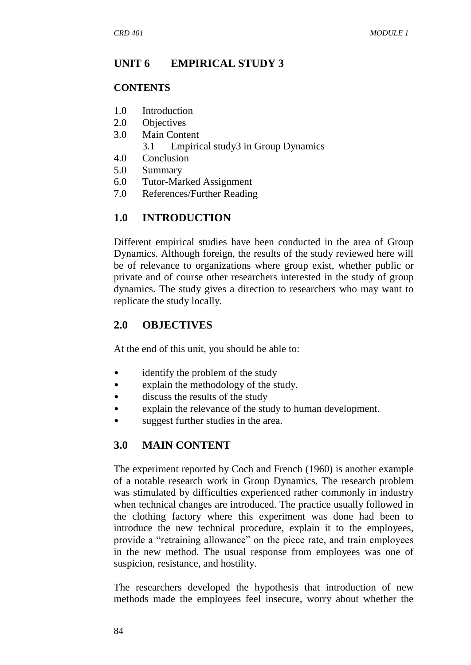# **UNIT 6 EMPIRICAL STUDY 3**

#### **CONTENTS**

- 1.0 Introduction
- 2.0 Objectives
- 3.0 Main Content
	- 3.1 Empirical study3 in Group Dynamics
- 4.0 Conclusion
- 5.0 Summary
- 6.0 Tutor-Marked Assignment
- 7.0 References/Further Reading

# **1.0 INTRODUCTION**

Different empirical studies have been conducted in the area of Group Dynamics. Although foreign, the results of the study reviewed here will be of relevance to organizations where group exist, whether public or private and of course other researchers interested in the study of group dynamics. The study gives a direction to researchers who may want to replicate the study locally.

# **2.0 OBJECTIVES**

At the end of this unit, you should be able to:

- identify the problem of the study
- explain the methodology of the study.
- discuss the results of the study
- explain the relevance of the study to human development.
- suggest further studies in the area.

# **3.0 MAIN CONTENT**

The experiment reported by Coch and French (1960) is another example of a notable research work in Group Dynamics. The research problem was stimulated by difficulties experienced rather commonly in industry when technical changes are introduced. The practice usually followed in the clothing factory where this experiment was done had been to introduce the new technical procedure, explain it to the employees, provide a "retraining allowance" on the piece rate, and train employees in the new method. The usual response from employees was one of suspicion, resistance, and hostility.

The researchers developed the hypothesis that introduction of new methods made the employees feel insecure, worry about whether the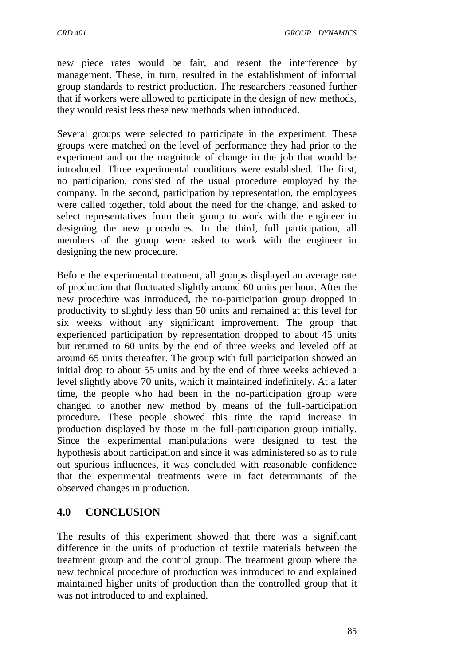*CRD 401 GROUP DYNAMICS*

new piece rates would be fair, and resent the interference by management. These, in turn, resulted in the establishment of informal group standards to restrict production. The researchers reasoned further that if workers were allowed to participate in the design of new methods, they would resist less these new methods when introduced.

Several groups were selected to participate in the experiment. These groups were matched on the level of performance they had prior to the experiment and on the magnitude of change in the job that would be introduced. Three experimental conditions were established. The first, no participation, consisted of the usual procedure employed by the company. In the second, participation by representation, the employees were called together, told about the need for the change, and asked to select representatives from their group to work with the engineer in designing the new procedures. In the third, full participation, all members of the group were asked to work with the engineer in designing the new procedure.

Before the experimental treatment, all groups displayed an average rate of production that fluctuated slightly around 60 units per hour. After the new procedure was introduced, the no-participation group dropped in productivity to slightly less than 50 units and remained at this level for six weeks without any significant improvement. The group that experienced participation by representation dropped to about 45 units but returned to 60 units by the end of three weeks and leveled off at around 65 units thereafter. The group with full participation showed an initial drop to about 55 units and by the end of three weeks achieved a level slightly above 70 units, which it maintained indefinitely. At a later time, the people who had been in the no-participation group were changed to another new method by means of the full-participation procedure. These people showed this time the rapid increase in production displayed by those in the full-participation group initially. Since the experimental manipulations were designed to test the hypothesis about participation and since it was administered so as to rule out spurious influences, it was concluded with reasonable confidence that the experimental treatments were in fact determinants of the observed changes in production.

#### **4.0 CONCLUSION**

The results of this experiment showed that there was a significant difference in the units of production of textile materials between the treatment group and the control group. The treatment group where the new technical procedure of production was introduced to and explained maintained higher units of production than the controlled group that it was not introduced to and explained.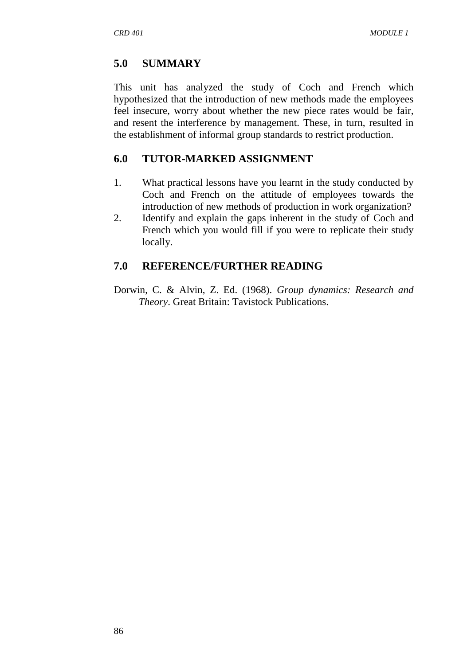## **5.0 SUMMARY**

This unit has analyzed the study of Coch and French which hypothesized that the introduction of new methods made the employees feel insecure, worry about whether the new piece rates would be fair, and resent the interference by management. These, in turn, resulted in the establishment of informal group standards to restrict production.

## **6.0 TUTOR-MARKED ASSIGNMENT**

- 1. What practical lessons have you learnt in the study conducted by Coch and French on the attitude of employees towards the introduction of new methods of production in work organization?
- 2. Identify and explain the gaps inherent in the study of Coch and French which you would fill if you were to replicate their study locally.

## **7.0 REFERENCE/FURTHER READING**

Dorwin, C. & Alvin, Z. Ed. (1968). *Group dynamics: Research and Theory*. Great Britain: Tavistock Publications.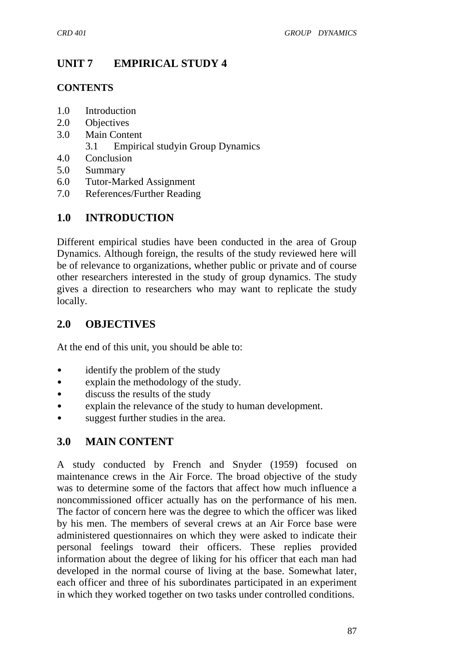# **UNIT 7 EMPIRICAL STUDY 4**

#### **CONTENTS**

- 1.0 Introduction
- 2.0 Objectives
- 3.0 Main Content
	- 3.1 Empirical studyin Group Dynamics
- 4.0 Conclusion
- 5.0 Summary
- 6.0 Tutor-Marked Assignment
- 7.0 References/Further Reading

# **1.0 INTRODUCTION**

Different empirical studies have been conducted in the area of Group Dynamics. Although foreign, the results of the study reviewed here will be of relevance to organizations, whether public or private and of course other researchers interested in the study of group dynamics. The study gives a direction to researchers who may want to replicate the study locally.

## **2.0 OBJECTIVES**

At the end of this unit, you should be able to:

- identify the problem of the study
- explain the methodology of the study.
- discuss the results of the study
- explain the relevance of the study to human development.
- suggest further studies in the area.

# **3.0 MAIN CONTENT**

A study conducted by French and Snyder (1959) focused on maintenance crews in the Air Force. The broad objective of the study was to determine some of the factors that affect how much influence a noncommissioned officer actually has on the performance of his men. The factor of concern here was the degree to which the officer was liked by his men. The members of several crews at an Air Force base were administered questionnaires on which they were asked to indicate their personal feelings toward their officers. These replies provided information about the degree of liking for his officer that each man had developed in the normal course of living at the base. Somewhat later, each officer and three of his subordinates participated in an experiment in which they worked together on two tasks under controlled conditions.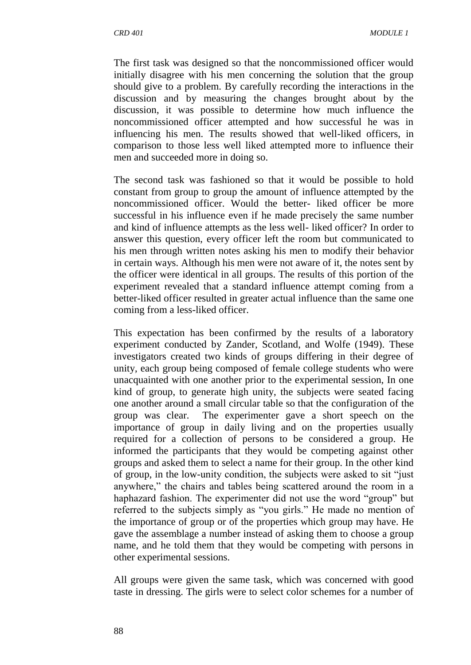The first task was designed so that the noncommissioned officer would initially disagree with his men concerning the solution that the group should give to a problem. By carefully recording the interactions in the discussion and by measuring the changes brought about by the discussion, it was possible to determine how much influence the noncommissioned officer attempted and how successful he was in influencing his men. The results showed that well-liked officers, in comparison to those less well liked attempted more to influence their men and succeeded more in doing so.

The second task was fashioned so that it would be possible to hold constant from group to group the amount of influence attempted by the noncommissioned officer. Would the better- liked officer be more successful in his influence even if he made precisely the same number and kind of influence attempts as the less well- liked officer? In order to answer this question, every officer left the room but communicated to his men through written notes asking his men to modify their behavior in certain ways. Although his men were not aware of it, the notes sent by the officer were identical in all groups. The results of this portion of the experiment revealed that a standard influence attempt coming from a better-liked officer resulted in greater actual influence than the same one coming from a less-liked officer.

This expectation has been confirmed by the results of a laboratory experiment conducted by Zander, Scotland, and Wolfe (1949). These investigators created two kinds of groups differing in their degree of unity, each group being composed of female college students who were unacquainted with one another prior to the experimental session, In one kind of group, to generate high unity, the subjects were seated facing one another around a small circular table so that the configuration of the group was clear. The experimenter gave a short speech on the importance of group in daily living and on the properties usually required for a collection of persons to be considered a group. He informed the participants that they would be competing against other groups and asked them to select a name for their group. In the other kind of group, in the low-unity condition, the subjects were asked to sit "just anywhere," the chairs and tables being scattered around the room in a haphazard fashion. The experimenter did not use the word "group" but referred to the subjects simply as "you girls." He made no mention of the importance of group or of the properties which group may have. He gave the assemblage a number instead of asking them to choose a group name, and he told them that they would be competing with persons in other experimental sessions.

All groups were given the same task, which was concerned with good taste in dressing. The girls were to select color schemes for a number of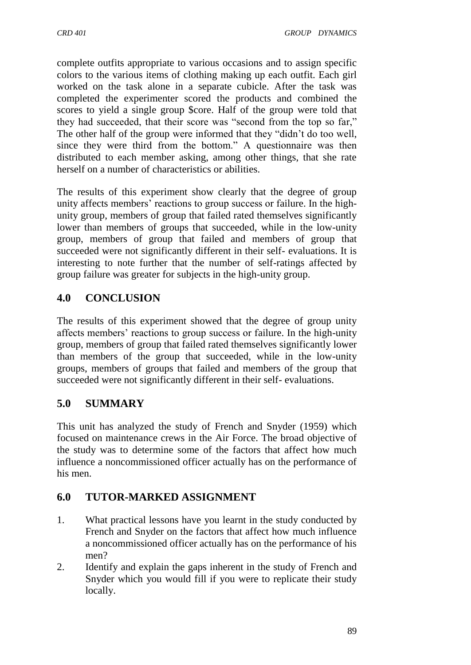complete outfits appropriate to various occasions and to assign specific colors to the various items of clothing making up each outfit. Each girl worked on the task alone in a separate cubicle. After the task was completed the experimenter scored the products and combined the scores to yield a single group \$core. Half of the group were told that they had succeeded, that their score was "second from the top so far," The other half of the group were informed that they "didn"t do too well, since they were third from the bottom." A questionnaire was then distributed to each member asking, among other things, that she rate herself on a number of characteristics or abilities.

The results of this experiment show clearly that the degree of group unity affects members' reactions to group success or failure. In the highunity group, members of group that failed rated themselves significantly lower than members of groups that succeeded, while in the low-unity group, members of group that failed and members of group that succeeded were not significantly different in their self- evaluations. It is interesting to note further that the number of self-ratings affected by group failure was greater for subjects in the high-unity group.

# **4.0 CONCLUSION**

The results of this experiment showed that the degree of group unity affects members" reactions to group success or failure. In the high-unity group, members of group that failed rated themselves significantly lower than members of the group that succeeded, while in the low-unity groups, members of groups that failed and members of the group that succeeded were not significantly different in their self- evaluations.

# **5.0 SUMMARY**

This unit has analyzed the study of French and Snyder (1959) which focused on maintenance crews in the Air Force. The broad objective of the study was to determine some of the factors that affect how much influence a noncommissioned officer actually has on the performance of his men.

# **6.0 TUTOR-MARKED ASSIGNMENT**

- 1. What practical lessons have you learnt in the study conducted by French and Snyder on the factors that affect how much influence a noncommissioned officer actually has on the performance of his men?
- 2. Identify and explain the gaps inherent in the study of French and Snyder which you would fill if you were to replicate their study locally.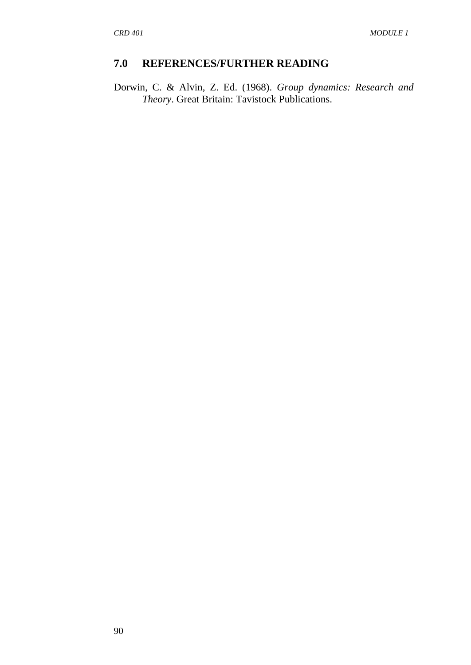## **7.0 REFERENCES/FURTHER READING**

Dorwin, C. & Alvin, Z. Ed. (1968). *Group dynamics: Research and Theory*. Great Britain: Tavistock Publications.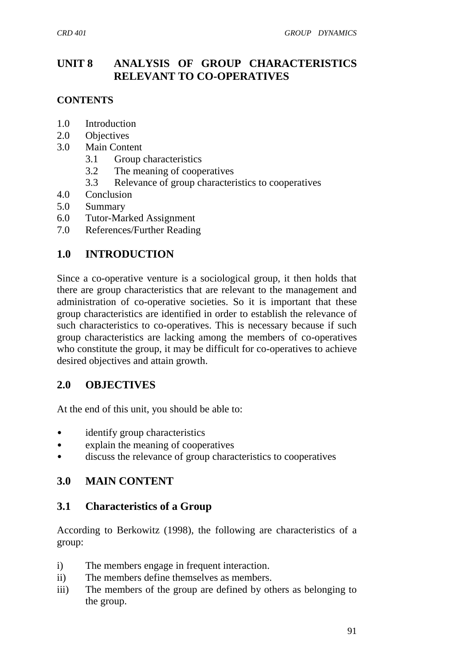# **UNIT 8 ANALYSIS OF GROUP CHARACTERISTICS RELEVANT TO CO-OPERATIVES**

## **CONTENTS**

- 1.0 Introduction
- 2.0 Objectives
- 3.0 Main Content
	- 3.1 Group characteristics
	- 3.2 The meaning of cooperatives
	- 3.3 Relevance of group characteristics to cooperatives
- 4.0 Conclusion
- 5.0 Summary
- 6.0 Tutor-Marked Assignment
- 7.0 References/Further Reading

# **1.0 INTRODUCTION**

Since a co-operative venture is a sociological group, it then holds that there are group characteristics that are relevant to the management and administration of co-operative societies. So it is important that these group characteristics are identified in order to establish the relevance of such characteristics to co-operatives. This is necessary because if such group characteristics are lacking among the members of co-operatives who constitute the group, it may be difficult for co-operatives to achieve desired objectives and attain growth.

# **2.0 OBJECTIVES**

At the end of this unit, you should be able to:

- identify group characteristics
- explain the meaning of cooperatives
- discuss the relevance of group characteristics to cooperatives

# **3.0 MAIN CONTENT**

# **3.1 Characteristics of a Group**

According to Berkowitz (1998), the following are characteristics of a group:

- i) The members engage in frequent interaction.
- ii) The members define themselves as members.
- iii) The members of the group are defined by others as belonging to the group.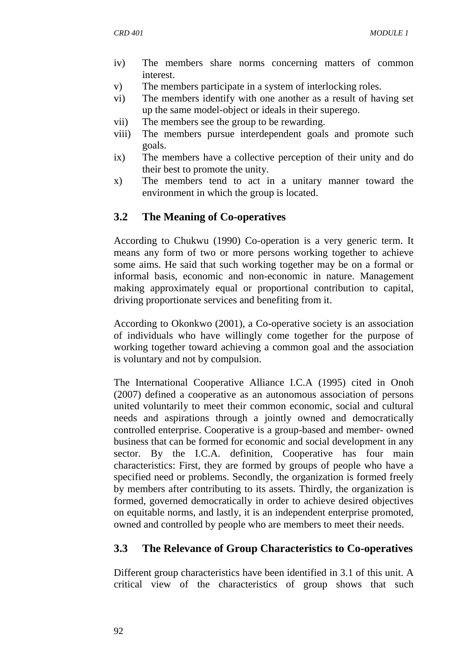- iv) The members share norms concerning matters of common interest.
- v) The members participate in a system of interlocking roles.
- vi) The members identify with one another as a result of having set up the same model-object or ideals in their superego.
- vii) The members see the group to be rewarding.
- viii) The members pursue interdependent goals and promote such goals.
- ix) The members have a collective perception of their unity and do their best to promote the unity.
- x) The members tend to act in a unitary manner toward the environment in which the group is located.

## **3.2 The Meaning of Co-operatives**

According to Chukwu (1990) Co-operation is a very generic term. It means any form of two or more persons working together to achieve some aims. He said that such working together may be on a formal or informal basis, economic and non-economic in nature. Management making approximately equal or proportional contribution to capital, driving proportionate services and benefiting from it.

According to Okonkwo (2001), a Co-operative society is an association of individuals who have willingly come together for the purpose of working together toward achieving a common goal and the association is voluntary and not by compulsion.

The International Cooperative Alliance I.C.A (1995) cited in Onoh (2007) defined a cooperative as an autonomous association of persons united voluntarily to meet their common economic, social and cultural needs and aspirations through a jointly owned and democratically controlled enterprise. Cooperative is a group-based and member- owned business that can be formed for economic and social development in any sector. By the I.C.A. definition, Cooperative has four main characteristics: First, they are formed by groups of people who have a specified need or problems. Secondly, the organization is formed freely by members after contributing to its assets. Thirdly, the organization is formed, governed democratically in order to achieve desired objectives on equitable norms, and lastly, it is an independent enterprise promoted, owned and controlled by people who are members to meet their needs.

## **3.3 The Relevance of Group Characteristics to Co-operatives**

Different group characteristics have been identified in 3.1 of this unit. A critical view of the characteristics of group shows that such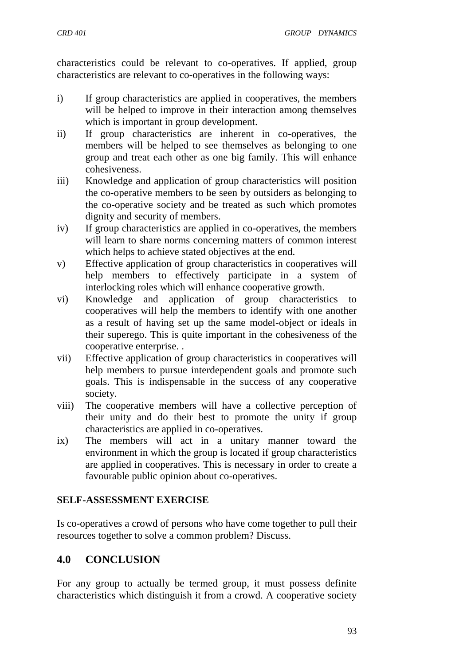characteristics could be relevant to co-operatives. If applied, group characteristics are relevant to co-operatives in the following ways:

- i) If group characteristics are applied in cooperatives, the members will be helped to improve in their interaction among themselves which is important in group development.
- ii) If group characteristics are inherent in co-operatives, the members will be helped to see themselves as belonging to one group and treat each other as one big family. This will enhance cohesiveness.
- iii) Knowledge and application of group characteristics will position the co-operative members to be seen by outsiders as belonging to the co-operative society and be treated as such which promotes dignity and security of members.
- iv) If group characteristics are applied in co-operatives, the members will learn to share norms concerning matters of common interest which helps to achieve stated objectives at the end.
- v) Effective application of group characteristics in cooperatives will help members to effectively participate in a system of interlocking roles which will enhance cooperative growth.
- vi) Knowledge and application of group characteristics to cooperatives will help the members to identify with one another as a result of having set up the same model-object or ideals in their superego. This is quite important in the cohesiveness of the cooperative enterprise. .
- vii) Effective application of group characteristics in cooperatives will help members to pursue interdependent goals and promote such goals. This is indispensable in the success of any cooperative society.
- viii) The cooperative members will have a collective perception of their unity and do their best to promote the unity if group characteristics are applied in co-operatives.
- ix) The members will act in a unitary manner toward the environment in which the group is located if group characteristics are applied in cooperatives. This is necessary in order to create a favourable public opinion about co-operatives.

## **SELF-ASSESSMENT EXERCISE**

Is co-operatives a crowd of persons who have come together to pull their resources together to solve a common problem? Discuss.

# **4.0 CONCLUSION**

For any group to actually be termed group, it must possess definite characteristics which distinguish it from a crowd. A cooperative society